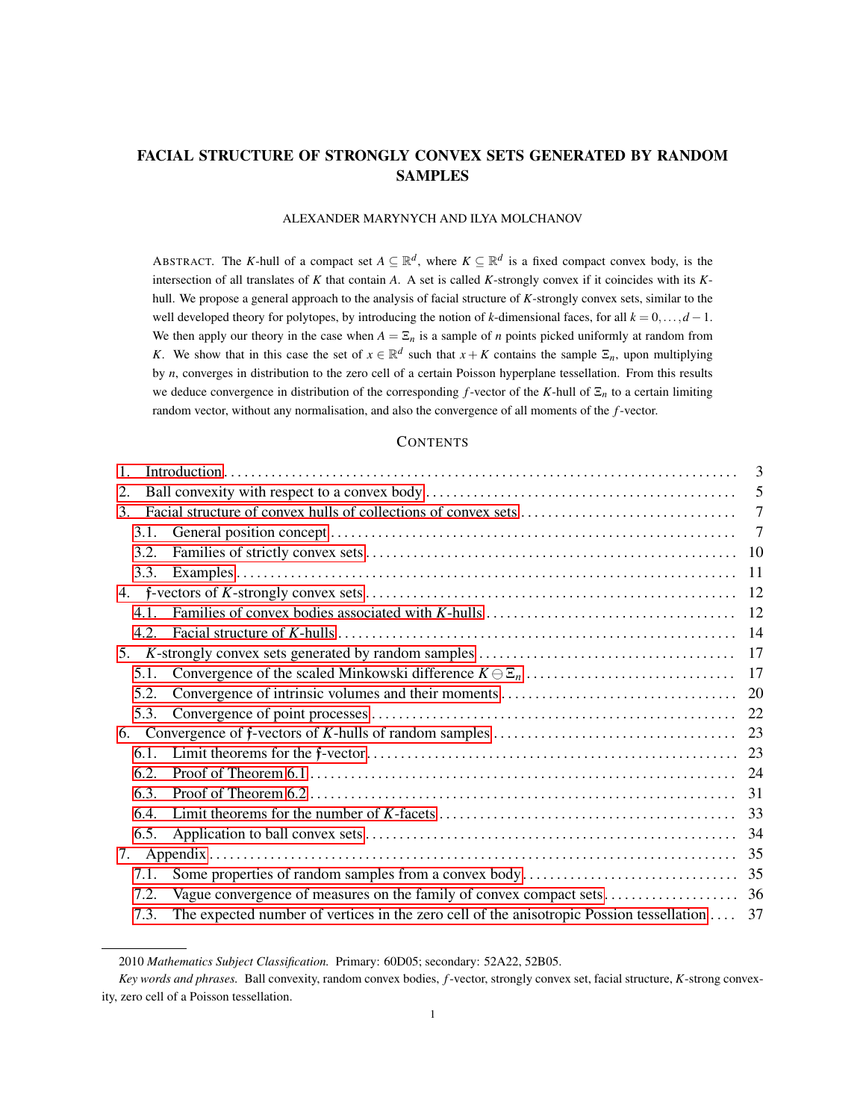# FACIAL STRUCTURE OF STRONGLY CONVEX SETS GENERATED BY RANDOM SAMPLES

# ALEXANDER MARYNYCH AND ILYA MOLCHANOV

ABSTRACT. The *K*-hull of a compact set  $A \subseteq \mathbb{R}^d$ , where  $K \subseteq \mathbb{R}^d$  is a fixed compact convex body, is the intersection of all translates of *K* that contain *A*. A set is called *K*-strongly convex if it coincides with its *K*hull. We propose a general approach to the analysis of facial structure of *K*-strongly convex sets, similar to the well developed theory for polytopes, by introducing the notion of *k*-dimensional faces, for all  $k = 0, \ldots, d - 1$ . We then apply our theory in the case when  $A = \Sigma_n$  is a sample of *n* points picked uniformly at random from *K*. We show that in this case the set of  $x \in \mathbb{R}^d$  such that  $x + K$  contains the sample  $\Xi_n$ , upon multiplying by *n*, converges in distribution to the zero cell of a certain Poisson hyperplane tessellation. From this results we deduce convergence in distribution of the corresponding *f*-vector of the *K*-hull of  $\Xi_n$  to a certain limiting random vector, without any normalisation, and also the convergence of all moments of the *f*-vector.

# **CONTENTS**

| $\mathbf{1}$ . |                                                                                              |                |
|----------------|----------------------------------------------------------------------------------------------|----------------|
| 2.             |                                                                                              | 5              |
| $3_{-}$        |                                                                                              |                |
| 3.1.           |                                                                                              | $\overline{7}$ |
| 3.2.           |                                                                                              |                |
| 3.3.           |                                                                                              |                |
|                |                                                                                              |                |
| 4.1.           |                                                                                              | 12             |
| 4.2.           |                                                                                              |                |
| 5.             |                                                                                              |                |
| 5.1.           |                                                                                              |                |
| 5.2.           |                                                                                              | 20             |
| 5.3.           |                                                                                              |                |
|                |                                                                                              |                |
| 6.1.           |                                                                                              |                |
| 6.2.           |                                                                                              |                |
| 6.3.           |                                                                                              |                |
| 6.4.           |                                                                                              |                |
| 6.5.           |                                                                                              |                |
| 7.             |                                                                                              |                |
| 7.1.           |                                                                                              |                |
| 7.2.           |                                                                                              |                |
| 7.3.           | The expected number of vertices in the zero cell of the anisotropic Possion tessellation  37 |                |
|                |                                                                                              |                |

<sup>2010</sup> *Mathematics Subject Classification.* Primary: 60D05; secondary: 52A22, 52B05.

*Key words and phrases.* Ball convexity, random convex bodies, *f*-vector, strongly convex set, facial structure, *K*-strong convexity, zero cell of a Poisson tessellation.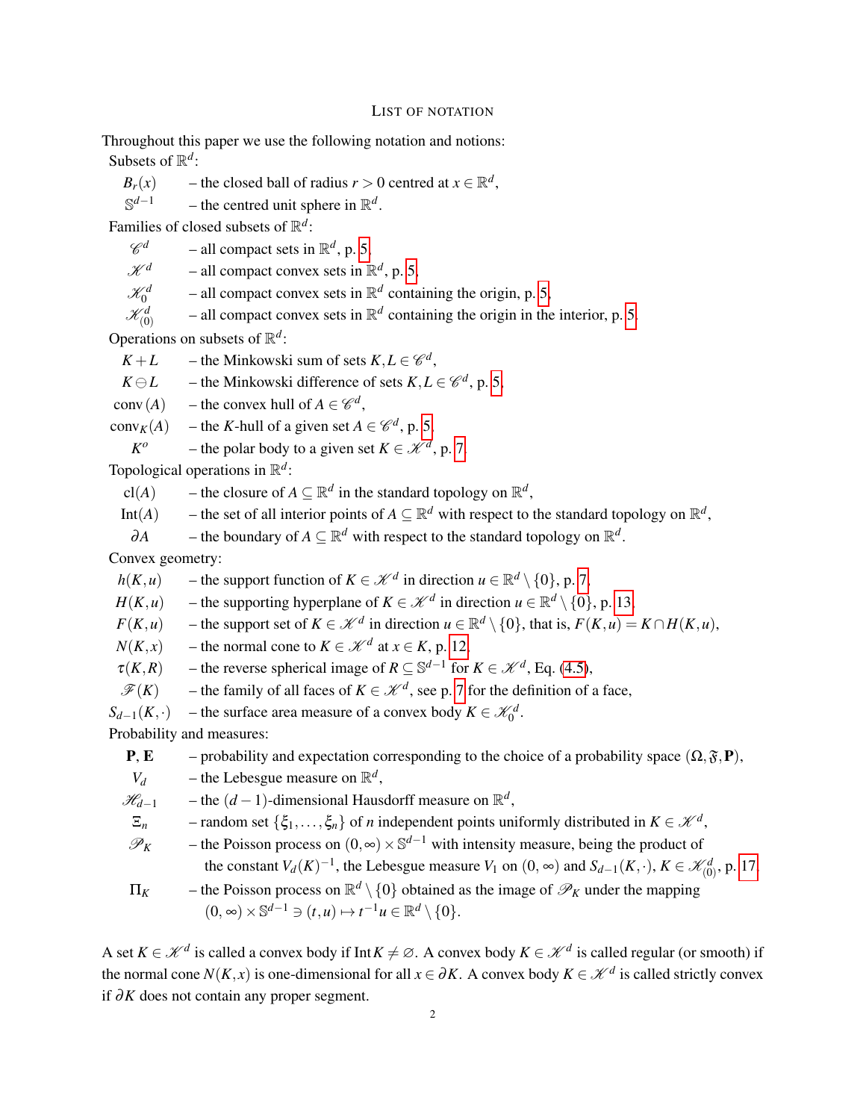#### LIST OF NOTATION

Throughout this paper we use the following notation and notions: Subsets of  $\mathbb{R}^d$ :

 $B_r(x)$  – the closed ball of radius  $r > 0$  centred at  $x \in \mathbb{R}^d$ ,

 $\mathbb{S}^{d-1}$ *d*<sup>−1</sup> – the centred unit sphere in  $\mathbb{R}^d$ .

Families of closed subsets of R *d* :

 $\mathscr{C}^d$  $d$  – all compact sets in  $\mathbb{R}^d$ , p. [5,](#page-4-0)

 $\mathcal{K}^d$  – all compact convex sets in  $\mathbb{R}^d$ , p. [5,](#page-4-0)

 $\mathscr{K}^d_0$  $-$  all compact convex sets in  $\mathbb{R}^d$  containing the origin, p. [5,](#page-4-0)

 $\mathscr{K}^d_{(0)}$  $-$  all compact convex sets in  $\mathbb{R}^d$  containing the origin in the interior, p. [5.](#page-4-0)

Operations on subsets of  $\mathbb{R}^d$ :

 $K + L$  – the Minkowski sum of sets  $K, L \in \mathcal{C}^d$ ,

 $K \ominus L$  – the Minkowski difference of sets  $K, L \in \mathscr{C}^d$ , p. [5,](#page-4-0)

conv $(A)$  – the convex hull of  $A \in \mathcal{C}^d$ ,

conv<sub>*K*</sub>(*A*) – the *K*-hull of a given set  $A \in \mathcal{C}^d$ , p. [5,](#page-4-1)

*K o* – the polar body to a given set  $K \in \mathcal{K}^d$ , p. [7.](#page-5-0)

Topological operations in R *d* :

cl(*A*) – the closure of  $A \subseteq \mathbb{R}^d$  in the standard topology on  $\mathbb{R}^d$ ,

Int(*A*) – the set of all interior points of  $A \subseteq \mathbb{R}^d$  with respect to the standard topology on  $\mathbb{R}^d$ ,

 $\partial A$  – the boundary of  $A \subseteq \mathbb{R}^d$  with respect to the standard topology on  $\mathbb{R}^d$ .

Convex geometry:

*h*(*K*,*u*) – the support function of *K* ∈  $\mathcal{K}^d$  in direction *u* ∈  $\mathbb{R}^d \setminus \{0\}$ , p. [7,](#page-5-0)

*H*(*K*,*u*) – the supporting hyperplane of  $K \in \mathcal{K}^d$  in direction  $u \in \mathbb{R}^d \setminus \{0\}$ , p. [13,](#page-11-2)

*F*(*K*,*u*) − the support set of *K* ∈  $\mathcal{K}^d$  in direction *u* ∈  $\mathbb{R}^d \setminus \{0\}$ , that is, *F*(*K*,*u*) = *K* ∩ *H*(*K*,*u*),

 $N(K, x)$  – the normal cone to  $K \in \mathcal{K}^d$  at  $x \in K$ , p. [12,](#page-11-2)

 $\tau(K,R)$  – the reverse spherical image of  $R \subseteq \mathbb{S}^{d-1}$  for  $K \in \mathcal{K}^d$ , Eq. [\(4.5\)](#page-14-0),

 $\mathscr{F}(K)$  – the family of all faces of  $K \in \mathscr{K}^d$ , see p. [7](#page-6-1) for the definition of a face,

 $S_{d-1}(K, \cdot)$  – the surface area measure of a convex body  $K \in \mathcal{K}_0^d$ .

Probability and measures:

**P, E** – probability and expectation corresponding to the choice of a probability space  $(\Omega, \mathfrak{F}, \mathbf{P})$ ,  $V_d$  – the Lebesgue measure on  $\mathbb{R}^d$ ,  $\mathcal{H}_{d-1}$  – the  $(d-1)$ -dimensional Hausdorff measure on  $\mathbb{R}^d$ ,  $\Xi_n$  – random set  $\{\xi_1,\ldots,\xi_n\}$  of *n* independent points uniformly distributed in  $K \in \mathcal{K}^d$ ,  $\mathcal{P}_K$  – the Poisson process on  $(0, ∞) \times \mathbb{S}^{d-1}$  with intensity measure, being the product of the constant  $V_d(K)^{-1}$ , the Lebesgue measure  $V_1$  on  $(0, \infty)$  and  $S_{d-1}(K, \cdot)$ ,  $K \in \mathcal{K}_{(0)}^d$ , p. [17,](#page-16-1)  $\Pi_K$  – the Poisson process on  $\mathbb{R}^d \setminus \{0\}$  obtained as the image of  $\mathscr{P}_K$  under the mapping  $(0, \infty) \times \mathbb{S}^{d-1} \ni (t, u) \mapsto t^{-1}u \in \mathbb{R}^d \setminus \{0\}.$ 

A set  $K \in \mathcal{K}^d$  is called a convex body if Int $K \neq \emptyset$ . A convex body  $K \in \mathcal{K}^d$  is called regular (or smooth) if the normal cone  $N(K, x)$  is one-dimensional for all  $x \in \partial K$ . A convex body  $K \in \mathcal{K}^d$  is called strictly convex if ∂*K* does not contain any proper segment.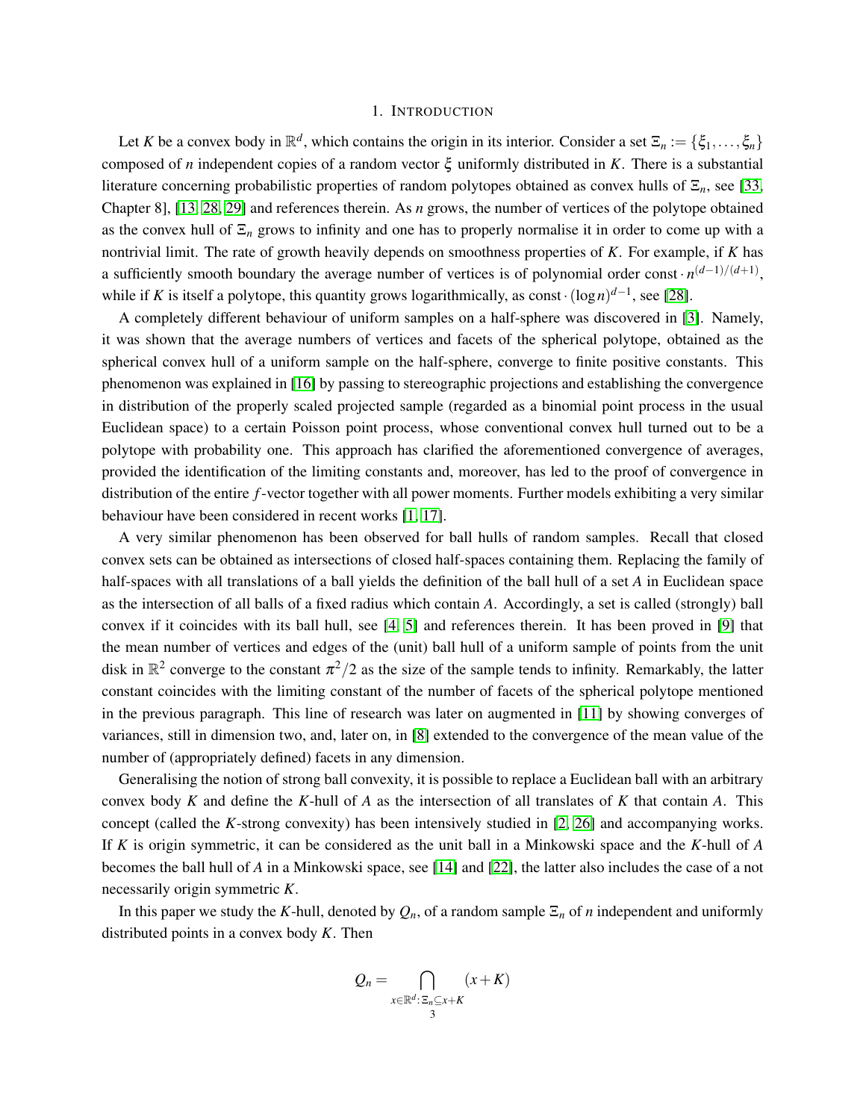#### 1. INTRODUCTION

<span id="page-2-0"></span>Let *K* be a convex body in  $\mathbb{R}^d$ , which contains the origin in its interior. Consider a set  $\Xi_n := \{\xi_1, \ldots, \xi_n\}$ composed of *n* independent copies of a random vector ξ uniformly distributed in *K*. There is a substantial literature concerning probabilistic properties of random polytopes obtained as convex hulls of Ξ*n*, see [\[33,](#page-39-0) Chapter 8], [\[13,](#page-38-0) [28,](#page-38-1) [29\]](#page-39-1) and references therein. As *n* grows, the number of vertices of the polytope obtained as the convex hull of  $\Xi_n$  grows to infinity and one has to properly normalise it in order to come up with a nontrivial limit. The rate of growth heavily depends on smoothness properties of *K*. For example, if *K* has a sufficiently smooth boundary the average number of vertices is of polynomial order const  $\cdot n^{(d-1)/(d+1)}$ , while if *K* is itself a polytope, this quantity grows logarithmically, as const $\cdot (\log n)^{d-1}$ , see [\[28\]](#page-38-1).

A completely different behaviour of uniform samples on a half-sphere was discovered in [\[3\]](#page-37-0). Namely, it was shown that the average numbers of vertices and facets of the spherical polytope, obtained as the spherical convex hull of a uniform sample on the half-sphere, converge to finite positive constants. This phenomenon was explained in [\[16\]](#page-38-2) by passing to stereographic projections and establishing the convergence in distribution of the properly scaled projected sample (regarded as a binomial point process in the usual Euclidean space) to a certain Poisson point process, whose conventional convex hull turned out to be a polytope with probability one. This approach has clarified the aforementioned convergence of averages, provided the identification of the limiting constants and, moreover, has led to the proof of convergence in distribution of the entire *f*-vector together with all power moments. Further models exhibiting a very similar behaviour have been considered in recent works [\[1,](#page-37-1) [17\]](#page-38-3).

A very similar phenomenon has been observed for ball hulls of random samples. Recall that closed convex sets can be obtained as intersections of closed half-spaces containing them. Replacing the family of half-spaces with all translations of a ball yields the definition of the ball hull of a set *A* in Euclidean space as the intersection of all balls of a fixed radius which contain *A*. Accordingly, a set is called (strongly) ball convex if it coincides with its ball hull, see [\[4,](#page-37-2) [5\]](#page-37-3) and references therein. It has been proved in [\[9\]](#page-38-4) that the mean number of vertices and edges of the (unit) ball hull of a uniform sample of points from the unit disk in  $\mathbb{R}^2$  converge to the constant  $\pi^2/2$  as the size of the sample tends to infinity. Remarkably, the latter constant coincides with the limiting constant of the number of facets of the spherical polytope mentioned in the previous paragraph. This line of research was later on augmented in [\[11\]](#page-38-5) by showing converges of variances, still in dimension two, and, later on, in [\[8\]](#page-38-6) extended to the convergence of the mean value of the number of (appropriately defined) facets in any dimension.

Generalising the notion of strong ball convexity, it is possible to replace a Euclidean ball with an arbitrary convex body *K* and define the *K*-hull of *A* as the intersection of all translates of *K* that contain *A*. This concept (called the *K*-strong convexity) has been intensively studied in [\[2,](#page-37-4) [26\]](#page-38-7) and accompanying works. If *K* is origin symmetric, it can be considered as the unit ball in a Minkowski space and the *K*-hull of *A* becomes the ball hull of *A* in a Minkowski space, see [\[14\]](#page-38-8) and [\[22\]](#page-38-9), the latter also includes the case of a not necessarily origin symmetric *K*.

In this paper we study the *K*-hull, denoted by  $Q_n$ , of a random sample  $\Xi_n$  of *n* independent and uniformly distributed points in a convex body *K*. Then

$$
Q_n = \bigcap_{\substack{x \in \mathbb{R}^d : \, \Xi_n \subseteq x + K \\ 3}} (x + K)
$$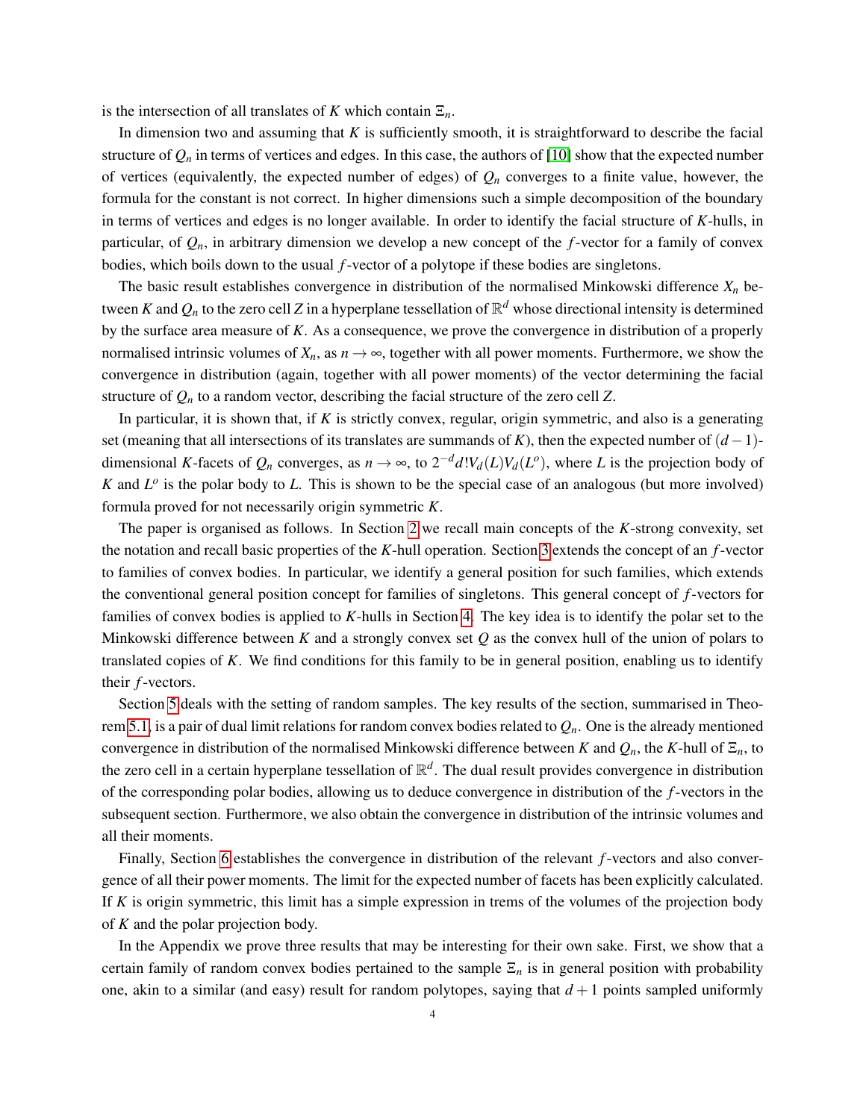is the intersection of all translates of *K* which contain  $\Xi_n$ .

In dimension two and assuming that *K* is sufficiently smooth, it is straightforward to describe the facial structure of  $Q_n$  in terms of vertices and edges. In this case, the authors of [\[10\]](#page-38-10) show that the expected number of vertices (equivalently, the expected number of edges) of  $Q_n$  converges to a finite value, however, the formula for the constant is not correct. In higher dimensions such a simple decomposition of the boundary in terms of vertices and edges is no longer available. In order to identify the facial structure of *K*-hulls, in particular, of *Qn*, in arbitrary dimension we develop a new concept of the *f*-vector for a family of convex bodies, which boils down to the usual *f*-vector of a polytope if these bodies are singletons.

The basic result establishes convergence in distribution of the normalised Minkowski difference *X<sup>n</sup>* between  $K$  and  $Q_n$  to the zero cell  $Z$  in a hyperplane tessellation of  $\mathbb{R}^d$  whose directional intensity is determined by the surface area measure of *K*. As a consequence, we prove the convergence in distribution of a properly normalised intrinsic volumes of  $X_n$ , as  $n \to \infty$ , together with all power moments. Furthermore, we show the convergence in distribution (again, together with all power moments) of the vector determining the facial structure of  $Q_n$  to a random vector, describing the facial structure of the zero cell  $Z$ .

In particular, it is shown that, if *K* is strictly convex, regular, origin symmetric, and also is a generating set (meaning that all intersections of its translates are summands of *K*), then the expected number of  $(d-1)$ dimensional *K*-facets of  $Q_n$  converges, as  $n \to \infty$ , to  $2^{-d}d!V_d(L)V_d(L^o)$ , where *L* is the projection body of  $K$  and  $L^{\circ}$  is the polar body to  $L$ . This is shown to be the special case of an analogous (but more involved) formula proved for not necessarily origin symmetric *K*.

The paper is organised as follows. In Section [2](#page-4-0) we recall main concepts of the *K*-strong convexity, set the notation and recall basic properties of the *K*-hull operation. Section [3](#page-6-0) extends the concept of an *f*-vector to families of convex bodies. In particular, we identify a general position for such families, which extends the conventional general position concept for families of singletons. This general concept of *f*-vectors for families of convex bodies is applied to *K*-hulls in Section [4.](#page-11-0) The key idea is to identify the polar set to the Minkowski difference between *K* and a strongly convex set *Q* as the convex hull of the union of polars to translated copies of *K*. We find conditions for this family to be in general position, enabling us to identify their *f*-vectors.

Section [5](#page-16-0) deals with the setting of random samples. The key results of the section, summarised in Theo-rem [5.1,](#page-18-0) is a pair of dual limit relations for random convex bodies related to  $Q_n$ . One is the already mentioned convergence in distribution of the normalised Minkowski difference between *K* and  $Q_n$ , the *K*-hull of  $\Xi_n$ , to the zero cell in a certain hyperplane tessellation of  $\mathbb{R}^d$ . The dual result provides convergence in distribution of the corresponding polar bodies, allowing us to deduce convergence in distribution of the *f*-vectors in the subsequent section. Furthermore, we also obtain the convergence in distribution of the intrinsic volumes and all their moments.

Finally, Section [6](#page-22-0) establishes the convergence in distribution of the relevant *f*-vectors and also convergence of all their power moments. The limit for the expected number of facets has been explicitly calculated. If *K* is origin symmetric, this limit has a simple expression in trems of the volumes of the projection body of *K* and the polar projection body.

In the Appendix we prove three results that may be interesting for their own sake. First, we show that a certain family of random convex bodies pertained to the sample  $\Xi_n$  is in general position with probability one, akin to a similar (and easy) result for random polytopes, saying that  $d+1$  points sampled uniformly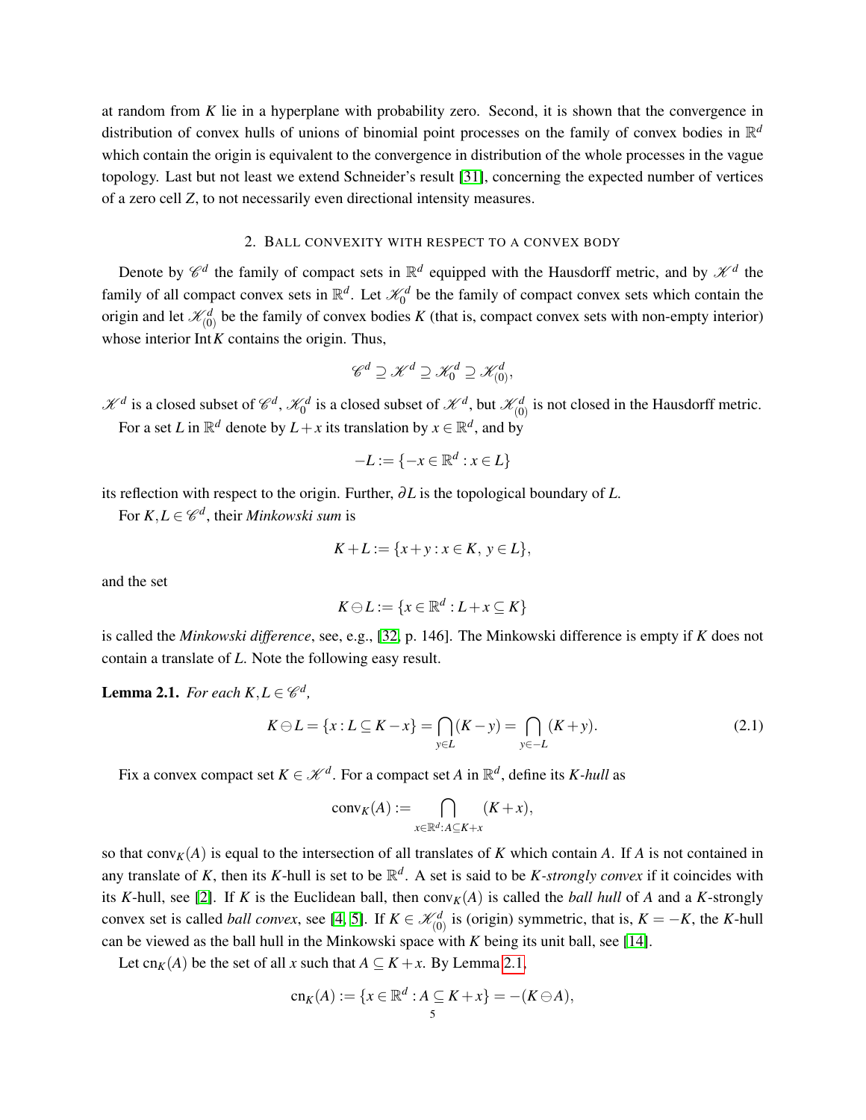at random from *K* lie in a hyperplane with probability zero. Second, it is shown that the convergence in distribution of convex hulls of unions of binomial point processes on the family of convex bodies in R *d* which contain the origin is equivalent to the convergence in distribution of the whole processes in the vague topology. Last but not least we extend Schneider's result [\[31\]](#page-39-2), concerning the expected number of vertices of a zero cell *Z*, to not necessarily even directional intensity measures.

# 2. BALL CONVEXITY WITH RESPECT TO A CONVEX BODY

<span id="page-4-0"></span>Denote by  $\mathscr{C}^d$  the family of compact sets in  $\mathbb{R}^d$  equipped with the Hausdorff metric, and by  $\mathscr{K}^d$  the family of all compact convex sets in  $\mathbb{R}^d$ . Let  $\mathcal{K}_0^d$  be the family of compact convex sets which contain the origin and let  $\mathcal{K}_{(0)}^d$  be the family of convex bodies K (that is, compact convex sets with non-empty interior) whose interior Int*K* contains the origin. Thus,

$$
\mathscr{C}^d \supseteq \mathscr{K}^d \supseteq \mathscr{K}_0^d \supseteq \mathscr{K}_{(0)}^d,
$$

 $\mathcal{K}^d$  is a closed subset of  $\mathcal{C}^d$ ,  $\mathcal{K}_0^d$  is a closed subset of  $\mathcal{K}^d$ , but  $\mathcal{K}_{(0)}^d$  is not closed in the Hausdorff metric.

For a set *L* in  $\mathbb{R}^d$  denote by  $L + x$  its translation by  $x \in \mathbb{R}^d$ , and by

$$
-L := \{-x \in \mathbb{R}^d : x \in L\}
$$

its reflection with respect to the origin. Further, ∂*L* is the topological boundary of *L*.

For  $K, L \in \mathscr{C}^d$ , their *Minkowski sum* is

$$
K + L := \{x + y : x \in K, y \in L\},\
$$

and the set

$$
K\ominus L:=\{x\in\mathbb{R}^d:L+x\subseteq K\}
$$

is called the *Minkowski difference*, see, e.g., [\[32,](#page-39-3) p. 146]. The Minkowski difference is empty if *K* does not contain a translate of *L*. Note the following easy result.

<span id="page-4-2"></span>**Lemma 2.1.** *For each*  $K, L \in \mathcal{C}^d$ ,

<span id="page-4-1"></span>
$$
K \ominus L = \{x : L \subseteq K - x\} = \bigcap_{y \in L} (K - y) = \bigcap_{y \in -L} (K + y). \tag{2.1}
$$

Fix a convex compact set  $K \in \mathcal{K}^d$ . For a compact set *A* in  $\mathbb{R}^d$ , define its *K-hull* as

$$
conv_K(A) := \bigcap_{x \in \mathbb{R}^d : A \subseteq K + x} (K + x),
$$

so that conv $_K(A)$  is equal to the intersection of all translates of *K* which contain *A*. If *A* is not contained in any translate of K, then its K-hull is set to be  $\mathbb{R}^d$ . A set is said to be K-strongly convex if it coincides with its *K*-hull, see [\[2\]](#page-37-4). If *K* is the Euclidean ball, then  $conv<sub>K</sub>(A)$  is called the *ball hull* of *A* and a *K*-strongly convex set is called *ball convex*, see [\[4,](#page-37-2) [5\]](#page-37-3). If  $K \in \mathcal{K}_{(0)}^d$  is (origin) symmetric, that is,  $K = -K$ , the *K*-hull can be viewed as the ball hull in the Minkowski space with *K* being its unit ball, see [\[14\]](#page-38-8).

Let cn<sub>K</sub>(A) be the set of all *x* such that  $A \subseteq K + x$ . By Lemma [2.1,](#page-4-2)

$$
\operatorname{cn}_K(A) := \{ x \in \mathbb{R}^d : A \subseteq K + x \} = -(K \ominus A),
$$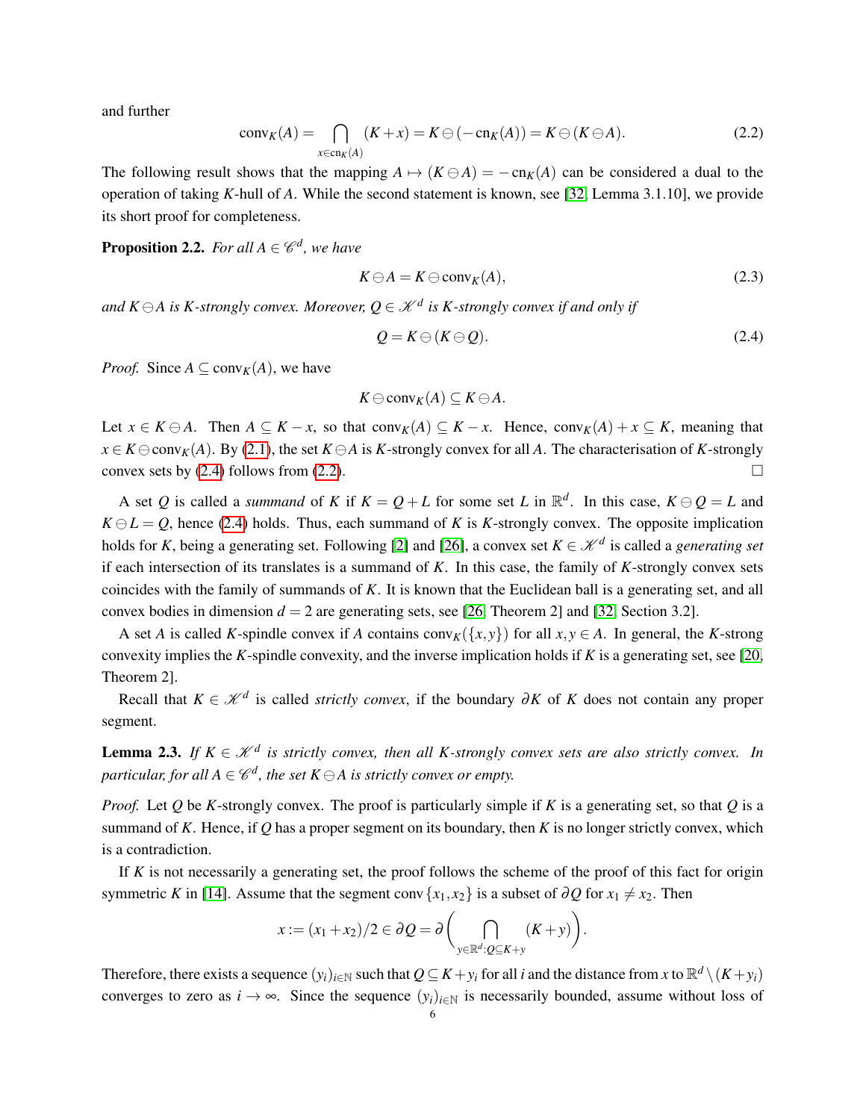and further

<span id="page-5-2"></span>
$$
conv_K(A) = \bigcap_{x \in cn_K(A)} (K+x) = K \ominus (-cn_K(A)) = K \ominus (K \ominus A). \tag{2.2}
$$

The following result shows that the mapping  $A \mapsto (K \ominus A) = -cn_K(A)$  can be considered a dual to the operation of taking *K*-hull of *A*. While the second statement is known, see [\[32,](#page-39-3) Lemma 3.1.10], we provide its short proof for completeness.

<span id="page-5-3"></span>**Proposition 2.2.** For all  $A \in \mathscr{C}^d$ , we have

$$
K \ominus A = K \ominus \text{conv}_K(A), \tag{2.3}
$$

and  $K \ominus A$  is  $K$ -strongly convex. Moreover,  $Q \in \mathscr{K}^{d}$  is  $K$ -strongly convex if and only if

<span id="page-5-1"></span>
$$
Q = K \ominus (K \ominus Q). \tag{2.4}
$$

*Proof.* Since  $A \subseteq \text{conv}_K(A)$ , we have

$$
K\ominus \operatorname{conv}_K(A)\subseteq K\ominus A.
$$

Let *x* ∈ *K* ⊖ *A*. Then  $A \subseteq K - x$ , so that conv<sub>*K*</sub>(*A*) ⊆ *K* − *x*. Hence, conv<sub>*K*</sub>(*A*) + *x* ⊆ *K*, meaning that  $x \in K \ominus conv<sub>K</sub>(A)$ . By [\(2.1\)](#page-4-1), the set  $K \ominus A$  is *K*-strongly convex for all *A*. The characterisation of *K*-strongly convex sets by  $(2.4)$  follows from  $(2.2)$ .

A set *Q* is called a *summand* of *K* if  $K = Q + L$  for some set *L* in  $\mathbb{R}^d$ . In this case,  $K \ominus Q = L$  and  $K \ominus L = O$ , hence [\(2.4\)](#page-5-1) holds. Thus, each summand of *K* is *K*-strongly convex. The opposite implication holds for *K*, being a generating set. Following [\[2\]](#page-37-4) and [\[26\]](#page-38-7), a convex set  $K \in \mathcal{K}^d$  is called a *generating set* if each intersection of its translates is a summand of *K*. In this case, the family of *K*-strongly convex sets coincides with the family of summands of *K*. It is known that the Euclidean ball is a generating set, and all convex bodies in dimension  $d = 2$  are generating sets, see [\[26,](#page-38-7) Theorem 2] and [\[32,](#page-39-3) Section 3.2].

A set *A* is called *K*-spindle convex if *A* contains conv<sub>*K*</sub>({*x*, *y*}) for all *x*, *y*  $\in$  *A*. In general, the *K*-strong convexity implies the *K*-spindle convexity, and the inverse implication holds if *K* is a generating set, see [\[20,](#page-38-11) Theorem 2].

Recall that  $K \in \mathcal{K}^d$  is called *strictly convex*, if the boundary ∂*K* of *K* does not contain any proper segment.

<span id="page-5-0"></span>**Lemma 2.3.** *If*  $K \in \mathcal{K}^d$  is strictly convex, then all K-strongly convex sets are also strictly convex. In  $\mathit{particular},$  for all  $A \in \mathscr{C}^d$ , the set  $K \ominus A$  is strictly convex or empty.

*Proof.* Let *Q* be *K*-strongly convex. The proof is particularly simple if *K* is a generating set, so that *Q* is a summand of *K*. Hence, if *Q* has a proper segment on its boundary, then *K* is no longer strictly convex, which is a contradiction.

If *K* is not necessarily a generating set, the proof follows the scheme of the proof of this fact for origin symmetric *K* in [\[14\]](#page-38-8). Assume that the segment conv  $\{x_1, x_2\}$  is a subset of ∂*Q* for  $x_1 \neq x_2$ . Then

$$
x := (x_1 + x_2)/2 \in \partial Q = \partial \left( \bigcap_{y \in \mathbb{R}^d : Q \subseteq K + y} (K + y) \right).
$$

Therefore, there exists a sequence  $(y_i)_{i\in\mathbb{N}}$  such that  $Q\subseteq K+y_i$  for all *i* and the distance from *x* to  $\mathbb{R}^d\setminus (K+y_i)$ converges to zero as  $i \to \infty$ . Since the sequence  $(y_i)_{i \in \mathbb{N}}$  is necessarily bounded, assume without loss of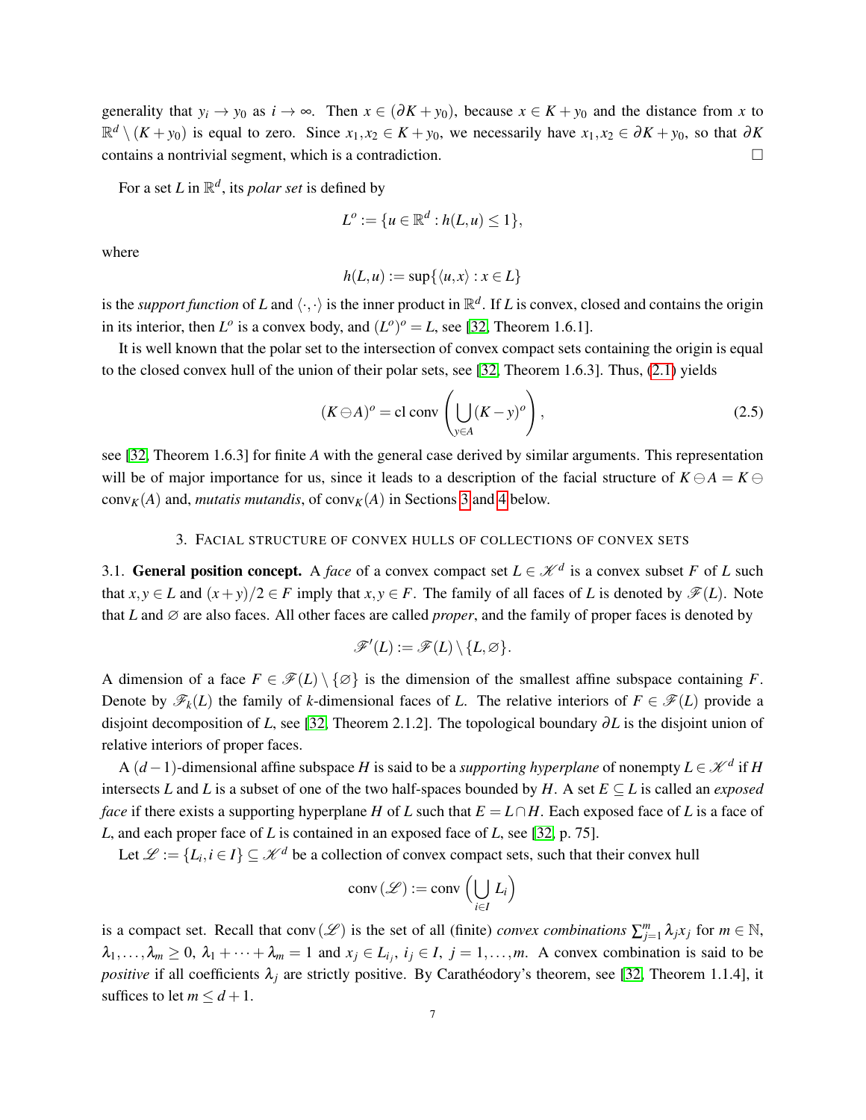generality that  $y_i \to y_0$  as  $i \to \infty$ . Then  $x \in (\partial K + y_0)$ , because  $x \in K + y_0$  and the distance from x to  $\mathbb{R}^d \setminus (K + y_0)$  is equal to zero. Since  $x_1, x_2 \in K + y_0$ , we necessarily have  $x_1, x_2 \in \partial K + y_0$ , so that  $\partial K$ contains a nontrivial segment, which is a contradiction.

For a set *L* in  $\mathbb{R}^d$ , its *polar set* is defined by

$$
L^o := \{ u \in \mathbb{R}^d : h(L, u) \le 1 \},
$$

where

$$
h(L, u) := \sup\{\langle u, x \rangle : x \in L\}
$$

is the *support function* of *L* and  $\langle \cdot, \cdot \rangle$  is the inner product in  $\mathbb{R}^d$ . If *L* is convex, closed and contains the origin in its interior, then  $L^{\circ}$  is a convex body, and  $(L^{\circ})^{\circ} = L$ , see [\[32,](#page-39-3) Theorem 1.6.1].

It is well known that the polar set to the intersection of convex compact sets containing the origin is equal to the closed convex hull of the union of their polar sets, see [\[32,](#page-39-3) Theorem 1.6.3]. Thus, [\(2.1\)](#page-4-1) yields

<span id="page-6-2"></span>
$$
(K \ominus A)^o = \text{cl} \text{ conv}\left(\bigcup_{y \in A} (K - y)^o\right),\tag{2.5}
$$

see [\[32,](#page-39-3) Theorem 1.6.3] for finite *A* with the general case derived by similar arguments. This representation will be of major importance for us, since it leads to a description of the facial structure of  $K \ominus A = K \ominus$ conv<sub>K</sub>(A) and, *mutatis mutandis*, of conv<sub>K</sub>(A) in Sections [3](#page-6-0) and [4](#page-11-0) below.

# 3. FACIAL STRUCTURE OF CONVEX HULLS OF COLLECTIONS OF CONVEX SETS

<span id="page-6-1"></span><span id="page-6-0"></span>3.1. General position concept. A *face* of a convex compact set  $L \in \mathcal{K}^d$  is a convex subset *F* of *L* such that  $x, y \in L$  and  $(x + y)/2 \in F$  imply that  $x, y \in F$ . The family of all faces of *L* is denoted by  $\mathscr{F}(L)$ . Note that *L* and  $\varnothing$  are also faces. All other faces are called *proper*, and the family of proper faces is denoted by

$$
\mathscr{F}'(L):=\mathscr{F}(L)\setminus\{L,\varnothing\}.
$$

A dimension of a face  $F \in \mathscr{F}(L) \setminus \{ \emptyset \}$  is the dimension of the smallest affine subspace containing *F*. Denote by  $\mathscr{F}_k(L)$  the family of *k*-dimensional faces of *L*. The relative interiors of  $F \in \mathscr{F}(L)$  provide a disjoint decomposition of *L*, see [\[32,](#page-39-3) Theorem 2.1.2]. The topological boundary ∂*L* is the disjoint union of relative interiors of proper faces.

A  $(d-1)$ -dimensional affine subspace *H* is said to be a *supporting hyperplane* of nonempty  $L \in \mathcal{K}^d$  if *H* intersects *L* and *L* is a subset of one of the two half-spaces bounded by *H*. A set  $E \subseteq L$  is called an *exposed face* if there exists a supporting hyperplane *H* of *L* such that  $E = L \cap H$ . Each exposed face of *L* is a face of *L*, and each proper face of *L* is contained in an exposed face of *L*, see [\[32,](#page-39-3) p. 75].

Let  $\mathcal{L} := \{L_i, i \in I\} \subseteq \mathcal{K}^d$  be a collection of convex compact sets, such that their convex hull

$$
conv(\mathcal{L}) := conv\left(\bigcup_{i \in I} L_i\right)
$$

is a compact set. Recall that conv $(\mathscr{L})$  is the set of all (finite) *convex combinations*  $\sum_{j=1}^{m} \lambda_j x_j$  for  $m \in \mathbb{N}$ ,  $\lambda_1, \ldots, \lambda_m \geq 0$ ,  $\lambda_1 + \cdots + \lambda_m = 1$  and  $x_j \in L_{i_j}$ ,  $i_j \in I$ ,  $j = 1, \ldots, m$ . A convex combination is said to be *positive* if all coefficients  $\lambda_j$  are strictly positive. By Caratheodory's theorem, see [\[32,](#page-39-3) Theorem 1.1.4], it suffices to let  $m \leq d+1$ .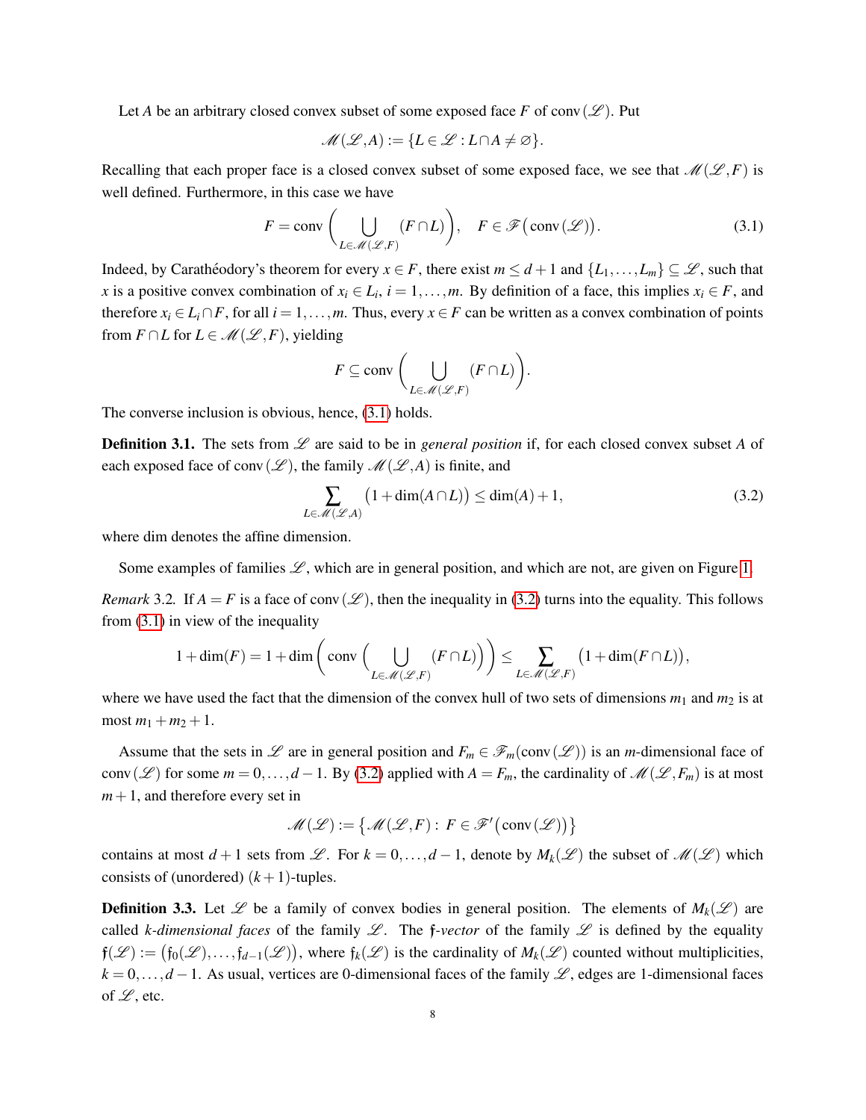Let *A* be an arbitrary closed convex subset of some exposed face *F* of conv $(\mathscr{L})$ . Put

$$
\mathscr{M}(\mathscr{L}, A) := \{ L \in \mathscr{L} : L \cap A \neq \varnothing \}.
$$

Recalling that each proper face is a closed convex subset of some exposed face, we see that  $\mathcal{M}(\mathcal{L}, F)$  is well defined. Furthermore, in this case we have

<span id="page-7-0"></span>
$$
F = \text{conv}\left(\bigcup_{L \in \mathcal{M}(\mathcal{L}, F)} (F \cap L)\right), \quad F \in \mathcal{F}\left(\text{conv}\left(\mathcal{L}\right)\right). \tag{3.1}
$$

Indeed, by Carathéodory's theorem for every  $x \in F$ , there exist  $m \leq d+1$  and  $\{L_1, \ldots, L_m\} \subseteq \mathcal{L}$ , such that *x* is a positive convex combination of  $x_i \in L_i$ ,  $i = 1, \ldots, m$ . By definition of a face, this implies  $x_i \in F$ , and therefore  $x_i \in L_i \cap F$ , for all  $i = 1, \ldots, m$ . Thus, every  $x \in F$  can be written as a convex combination of points from  $F \cap L$  for  $L \in \mathcal{M}(\mathcal{L}, F)$ , yielding

$$
F \subseteq \operatorname{conv}\left(\bigcup_{L \in \mathscr{M}(\mathscr{L}, F)} (F \cap L)\right).
$$

The converse inclusion is obvious, hence, [\(3.1\)](#page-7-0) holds.

<span id="page-7-3"></span>**Definition 3.1.** The sets from  $\mathscr L$  are said to be in *general position* if, for each closed convex subset A of each exposed face of conv $(\mathscr{L})$ , the family  $\mathscr{M}(\mathscr{L}, A)$  is finite, and

<span id="page-7-1"></span>
$$
\sum_{L \in \mathcal{M}(\mathcal{L}, A)} \left(1 + \dim(A \cap L)\right) \le \dim(A) + 1,\tag{3.2}
$$

where dim denotes the affine dimension.

Some examples of families  $\mathscr{L}$ , which are in general position, and which are not, are given on Figure [1.](#page-8-0)

<span id="page-7-2"></span>*Remark* 3.2. If  $A = F$  is a face of conv $(\mathcal{L})$ , then the inequality in [\(3.2\)](#page-7-1) turns into the equality. This follows from [\(3.1\)](#page-7-0) in view of the inequality

$$
1+\dim(F) = 1+\dim\bigg(\operatorname{conv}\Big(\bigcup_{L\in\mathscr{M}(\mathscr{L},F)}(F\cap L)\Big)\bigg) \leq \sum_{L\in\mathscr{M}(\mathscr{L},F)}\big(1+\dim(F\cap L)\big),
$$

where we have used the fact that the dimension of the convex hull of two sets of dimensions  $m_1$  and  $m_2$  is at most  $m_1 + m_2 + 1$ .

Assume that the sets in  $\mathscr L$  are in general position and  $F_m \in \mathscr F_m(\text{conv}(\mathscr L))$  is an *m*-dimensional face of conv(L) for some  $m = 0, ..., d - 1$ . By [\(3.2\)](#page-7-1) applied with  $A = F_m$ , the cardinality of  $\mathcal{M}(\mathcal{L}, F_m)$  is at most  $m+1$ , and therefore every set in

$$
\mathscr{M}(\mathscr{L}) := \big\{ \mathscr{M}(\mathscr{L}, F) : F \in \mathscr{F}' \big( \text{conv}(\mathscr{L}) \big) \big\}
$$

contains at most  $d+1$  sets from L. For  $k = 0, ..., d-1$ , denote by  $M_k(\mathcal{L})$  the subset of  $\mathcal{M}(\mathcal{L})$  which consists of (unordered)  $(k+1)$ -tuples.

<span id="page-7-4"></span>**Definition 3.3.** Let  $\mathcal{L}$  be a family of convex bodies in general position. The elements of  $M_k(\mathcal{L})$  are called *k*-dimensional faces of the family  $\mathcal{L}$ . The f-vector of the family  $\mathcal{L}$  is defined by the equality  $f(\mathcal{L}) := (f_0(\mathcal{L}), ..., f_{d-1}(\mathcal{L}))$ , where  $f_k(\mathcal{L})$  is the cardinality of  $M_k(\mathcal{L})$  counted without multiplicities,  $k = 0, \ldots, d - 1$ . As usual, vertices are 0-dimensional faces of the family L, edges are 1-dimensional faces of  $\mathscr{L}$ , etc.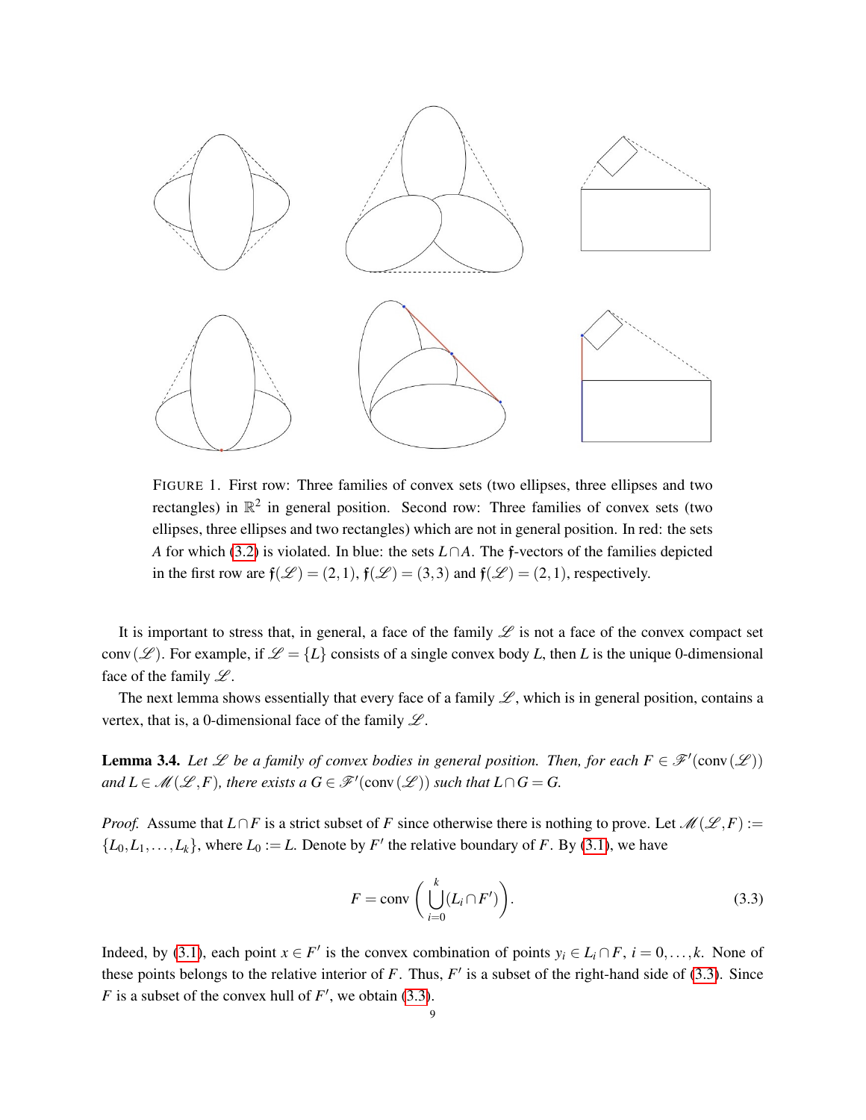

<span id="page-8-0"></span>FIGURE 1. First row: Three families of convex sets (two ellipses, three ellipses and two rectangles) in  $\mathbb{R}^2$  in general position. Second row: Three families of convex sets (two ellipses, three ellipses and two rectangles) which are not in general position. In red: the sets *A* for which [\(3.2\)](#page-7-1) is violated. In blue: the sets *L*∩*A*. The f-vectors of the families depicted in the first row are  $f(\mathcal{L}) = (2,1)$ ,  $f(\mathcal{L}) = (3,3)$  and  $f(\mathcal{L}) = (2,1)$ , respectively.

It is important to stress that, in general, a face of the family  $\mathscr L$  is not a face of the convex compact set conv(L). For example, if  $\mathcal{L} = \{L\}$  consists of a single convex body *L*, then *L* is the unique 0-dimensional face of the family  $\mathcal{L}$ .

The next lemma shows essentially that every face of a family  $\mathscr{L}$ , which is in general position, contains a vertex, that is, a 0-dimensional face of the family  $\mathscr L$ .

<span id="page-8-2"></span>**Lemma 3.4.** Let  $\mathscr L$  be a family of convex bodies in general position. Then, for each  $F \in \mathscr F'(\text{conv}(\mathscr L))$ *and*  $L \in \mathcal{M}(\mathcal{L}, F)$ , there exists a  $G \in \mathcal{F}'(\text{conv}(\mathcal{L}))$  such that  $L \cap G = G$ .

*Proof.* Assume that  $L \cap F$  is a strict subset of *F* since otherwise there is nothing to prove. Let  $\mathcal{M}(\mathcal{L}, F) :=$  $\{L_0, L_1, \ldots, L_k\}$ , where  $L_0 := L$ . Denote by *F*' the relative boundary of *F*. By [\(3.1\)](#page-7-0), we have

<span id="page-8-1"></span>
$$
F = \text{conv}\left(\bigcup_{i=0}^{k} (L_i \cap F')\right). \tag{3.3}
$$

Indeed, by [\(3.1\)](#page-7-0), each point  $x \in F'$  is the convex combination of points  $y_i \in L_i \cap F$ ,  $i = 0, \ldots, k$ . None of these points belongs to the relative interior of  $F$ . Thus,  $F'$  is a subset of the right-hand side of [\(3.3\)](#page-8-1). Since *F* is a subset of the convex hull of  $F'$ , we obtain [\(3.3\)](#page-8-1).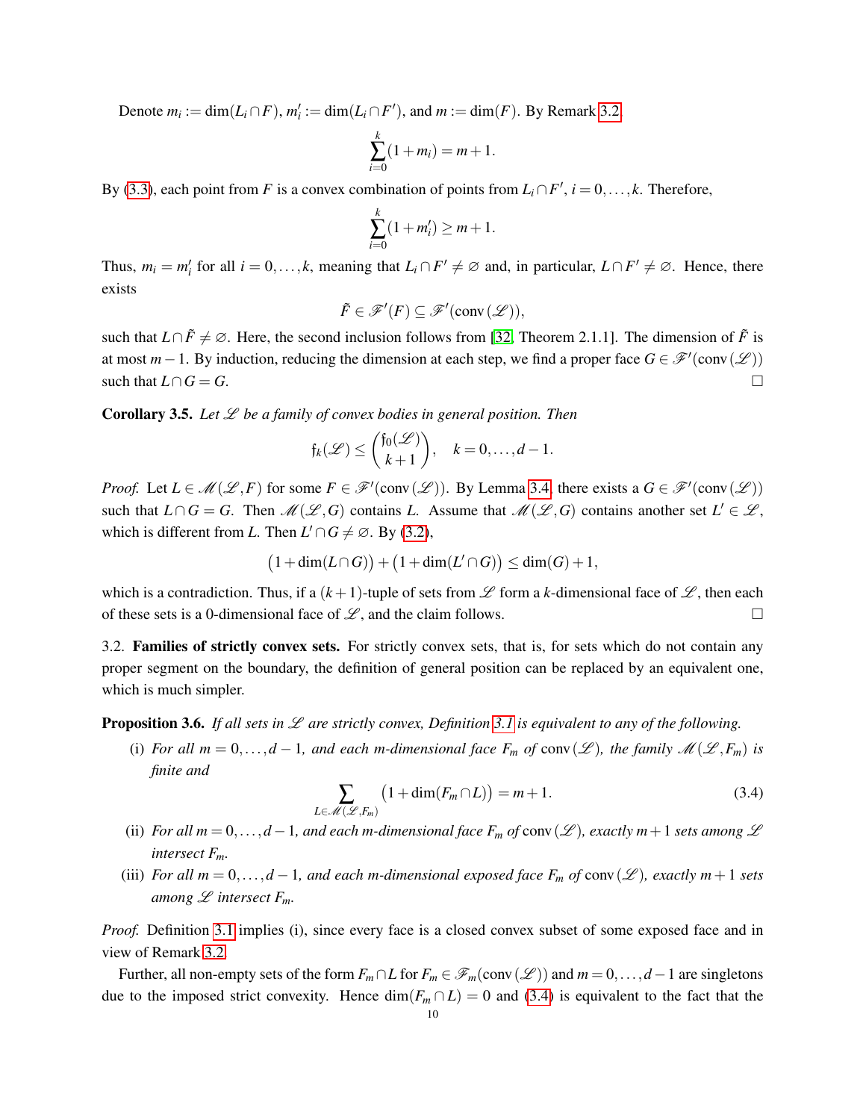Denote  $m_i := \dim(L_i \cap F)$ ,  $m'_i := \dim(L_i \cap F')$ , and  $m := \dim(F)$ . By Remark [3.2,](#page-7-2)

$$
\sum_{i=0}^{k} (1 + m_i) = m + 1.
$$

By [\(3.3\)](#page-8-1), each point from *F* is a convex combination of points from  $L_i \cap F'$ ,  $i = 0, \ldots, k$ . Therefore,

$$
\sum_{i=0}^{k} (1 + m'_i) \ge m + 1.
$$

Thus,  $m_i = m'_i$  for all  $i = 0, \ldots, k$ , meaning that  $L_i \cap F' \neq \emptyset$  and, in particular,  $L \cap F' \neq \emptyset$ . Hence, there exists

$$
\tilde{F} \in \mathscr{F}'(F) \subseteq \mathscr{F}'(\text{conv}(\mathscr{L})),
$$

such that *L*∩*F*<sup> $\neq$ </sup> $\emptyset$ . Here, the second inclusion follows from [\[32,](#page-39-3) Theorem 2.1.1]. The dimension of *F* is at most  $m-1$ . By induction, reducing the dimension at each step, we find a proper face  $G \in \mathcal{F}'(\text{conv}(\mathcal{L}))$ such that  $L \cap G = G$ .

<span id="page-9-3"></span>**Corollary 3.5.** Let  $\mathscr L$  be a family of convex bodies in general position. Then

$$
\mathfrak{f}_k(\mathscr{L}) \leq \binom{\mathfrak{f}_0(\mathscr{L})}{k+1}, \quad k=0,\ldots,d-1.
$$

*Proof.* Let  $L \in \mathcal{M}(\mathcal{L}, F)$  for some  $F \in \mathcal{F}'(\text{conv}(\mathcal{L}))$ . By Lemma [3.4,](#page-8-2) there exists a  $G \in \mathcal{F}'(\text{conv}(\mathcal{L}))$ such that  $L \cap G = G$ . Then  $\mathcal{M}(\mathcal{L}, G)$  contains *L*. Assume that  $\mathcal{M}(\mathcal{L}, G)$  contains another set  $L' \in \mathcal{L}$ , which is different from *L*. Then  $L' \cap G \neq \emptyset$ . By [\(3.2\)](#page-7-1),

$$
(1+\dim(L\cap G))+(1+\dim(L'\cap G))\leq \dim(G)+1,
$$

which is a contradiction. Thus, if a  $(k+1)$ -tuple of sets from  $\mathscr L$  form a *k*-dimensional face of  $\mathscr L$ , then each of these sets is a 0-dimensional face of  $\mathscr{L}$ , and the claim follows.

<span id="page-9-0"></span>3.2. Families of strictly convex sets. For strictly convex sets, that is, for sets which do not contain any proper segment on the boundary, the definition of general position can be replaced by an equivalent one, which is much simpler.

<span id="page-9-2"></span>Proposition 3.6. *If all sets in* L *are strictly convex, Definition [3.1](#page-7-3) is equivalent to any of the following.*

(i) For all  $m = 0, \ldots, d - 1$ , and each m-dimensional face  $F_m$  of conv $(\mathscr{L})$ , the family  $\mathscr{M}(\mathscr{L}, F_m)$  is *finite and*

<span id="page-9-1"></span>
$$
\sum_{L \in \mathcal{M}(\mathcal{L}, F_m)} \left( 1 + \dim(F_m \cap L) \right) = m + 1. \tag{3.4}
$$

- (ii) *For all*  $m = 0, \ldots, d 1$ *, and each m-dimensional face*  $F_m$  *of* conv $(\mathscr{L})$ *, exactly*  $m + 1$  *sets among*  $\mathscr{L}$ *intersect Fm.*
- (iii) *For all*  $m = 0, \ldots, d 1$ *, and each m-dimensional exposed face*  $F_m$  *of* conv( $\mathscr L$ )*, exactly*  $m + 1$  *sets among*  $\mathscr L$  *intersect*  $F_m$ *.*

*Proof.* Definition [3.1](#page-7-3) implies (i), since every face is a closed convex subset of some exposed face and in view of Remark [3.2.](#page-7-2)

Further, all non-empty sets of the form  $F_m \cap L$  for  $F_m \in \mathscr{F}_m(\text{conv}(\mathscr{L}))$  and  $m = 0, \ldots, d - 1$  are singletons due to the imposed strict convexity. Hence  $\dim(F_m \cap L) = 0$  and [\(3.4\)](#page-9-1) is equivalent to the fact that the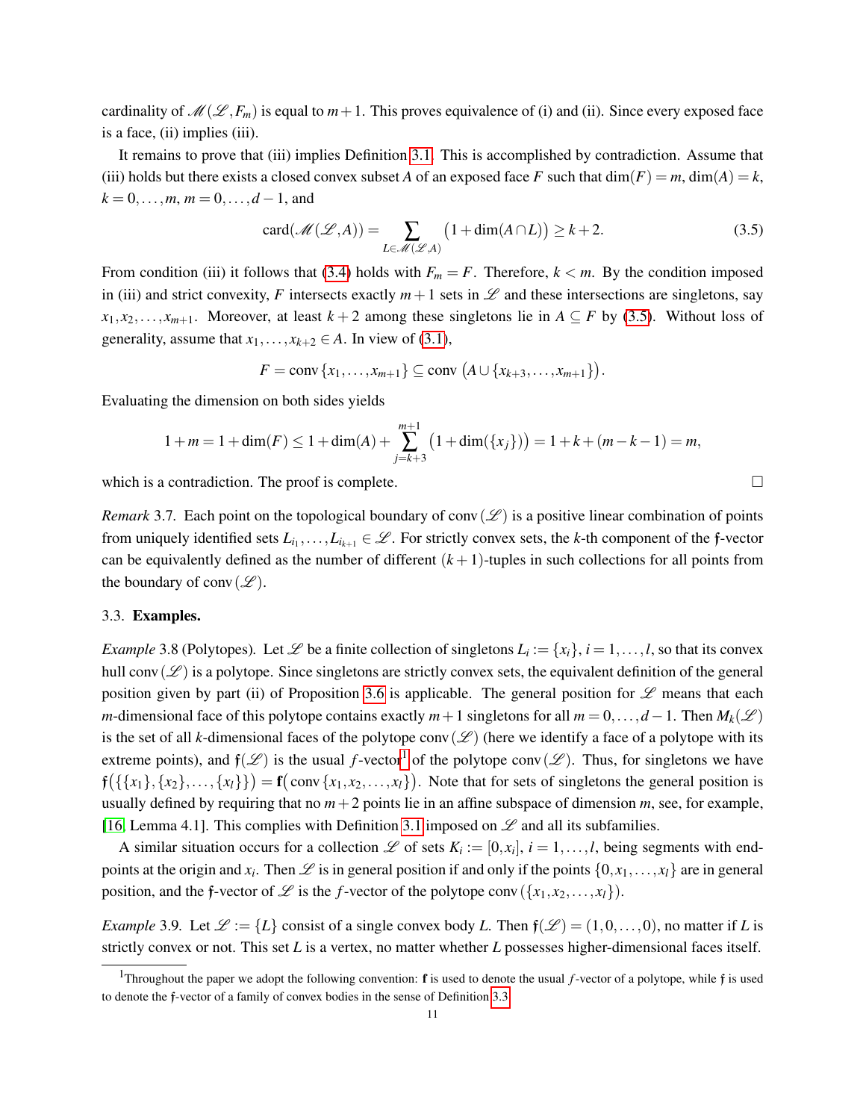cardinality of  $\mathcal{M}(\mathcal{L}, F_m)$  is equal to  $m+1$ . This proves equivalence of (i) and (ii). Since every exposed face is a face, (ii) implies (iii).

It remains to prove that (iii) implies Definition [3.1.](#page-7-3) This is accomplished by contradiction. Assume that (iii) holds but there exists a closed convex subset *A* of an exposed face *F* such that  $\dim(F) = m$ ,  $\dim(A) = k$ ,  $k = 0, \ldots, m, m = 0, \ldots, d - 1$ , and

<span id="page-10-1"></span>
$$
card(\mathcal{M}(\mathcal{L}, A)) = \sum_{L \in \mathcal{M}(\mathcal{L}, A)} \left(1 + dim(A \cap L)\right) \ge k + 2.
$$
 (3.5)

From condition (iii) it follows that [\(3.4\)](#page-9-1) holds with  $F_m = F$ . Therefore,  $k < m$ . By the condition imposed in (iii) and strict convexity, *F* intersects exactly  $m+1$  sets in  $\mathscr L$  and these intersections are singletons, say  $x_1, x_2, \ldots, x_{m+1}$ . Moreover, at least  $k+2$  among these singletons lie in  $A \subseteq F$  by [\(3.5\)](#page-10-1). Without loss of generality, assume that  $x_1, \ldots, x_{k+2} \in A$ . In view of [\(3.1\)](#page-7-0),

$$
F = \operatorname{conv}\{x_1,\ldots,x_{m+1}\} \subseteq \operatorname{conv}\left(A \cup \{x_{k+3},\ldots,x_{m+1}\}\right).
$$

Evaluating the dimension on both sides yields

$$
1+m=1+\dim(F)\leq 1+\dim(A)+\sum_{j=k+3}^{m+1}\left(1+\dim(\{x_j\})\right)=1+k+(m-k-1)=m,
$$

which is a contradiction. The proof is complete.  $\Box$ 

*Remark* 3.7. Each point on the topological boundary of conv $(\mathscr{L})$  is a positive linear combination of points from uniquely identified sets  $L_{i_1}, \ldots, L_{i_{k+1}} \in \mathcal{L}$ . For strictly convex sets, the *k*-th component of the f-vector can be equivalently defined as the number of different  $(k+1)$ -tuples in such collections for all points from the boundary of conv $(\mathscr{L})$ .

#### <span id="page-10-0"></span>3.3. Examples.

<span id="page-10-3"></span>*Example* 3.8 (Polytopes). Let  $\mathscr L$  be a finite collection of singletons  $L_i := \{x_i\}$ ,  $i = 1, \ldots, l$ , so that its convex hull conv $(\mathscr{L})$  is a polytope. Since singletons are strictly convex sets, the equivalent definition of the general position given by part (ii) of Proposition [3.6](#page-9-2) is applicable. The general position for  $\mathscr L$  means that each *m*-dimensional face of this polytope contains exactly  $m+1$  singletons for all  $m = 0, \ldots, d-1$ . Then  $M_k(\mathscr{L})$ is the set of all *k*-dimensional faces of the polytope conv( $\mathscr{L}$ ) (here we identify a face of a polytope with its extreme points), and  $f(\mathscr{L})$  is the usual *f*-vector<sup>[1](#page-10-2)</sup> of the polytope conv( $\mathscr{L}$ ). Thus, for singletons we have  $f({\{\{x_1\}, \{x_2\}, \ldots, \{x_l\}\}) = f(\text{conv}\{x_1, x_2, \ldots, x_l\})$ . Note that for sets of singletons the general position is usually defined by requiring that no  $m+2$  points lie in an affine subspace of dimension  $m$ , see, for example, [\[16,](#page-38-2) Lemma 4.1]. This complies with Definition [3.1](#page-7-3) imposed on  $\mathscr L$  and all its subfamilies.

A similar situation occurs for a collection  $\mathscr L$  of sets  $K_i := [0, x_i]$ ,  $i = 1, \ldots, l$ , being segments with endpoints at the origin and  $x_i$ . Then  $\mathscr L$  is in general position if and only if the points  $\{0, x_1, \ldots, x_l\}$  are in general position, and the *f*-vector of  $\mathcal{L}$  is the *f*-vector of the polytope conv  $(\{x_1, x_2, ..., x_l\})$ .

*Example* 3.9. Let  $\mathcal{L} := \{L\}$  consist of a single convex body *L*. Then  $\mathfrak{f}(\mathcal{L}) = (1,0,\ldots,0)$ , no matter if *L* is strictly convex or not. This set *L* is a vertex, no matter whether *L* possesses higher-dimensional faces itself.

<span id="page-10-2"></span><sup>1</sup>Throughout the paper we adopt the following convention: f is used to denote the usual *f*-vector of a polytope, while f is used to denote the f-vector of a family of convex bodies in the sense of Definition [3.3.](#page-7-4)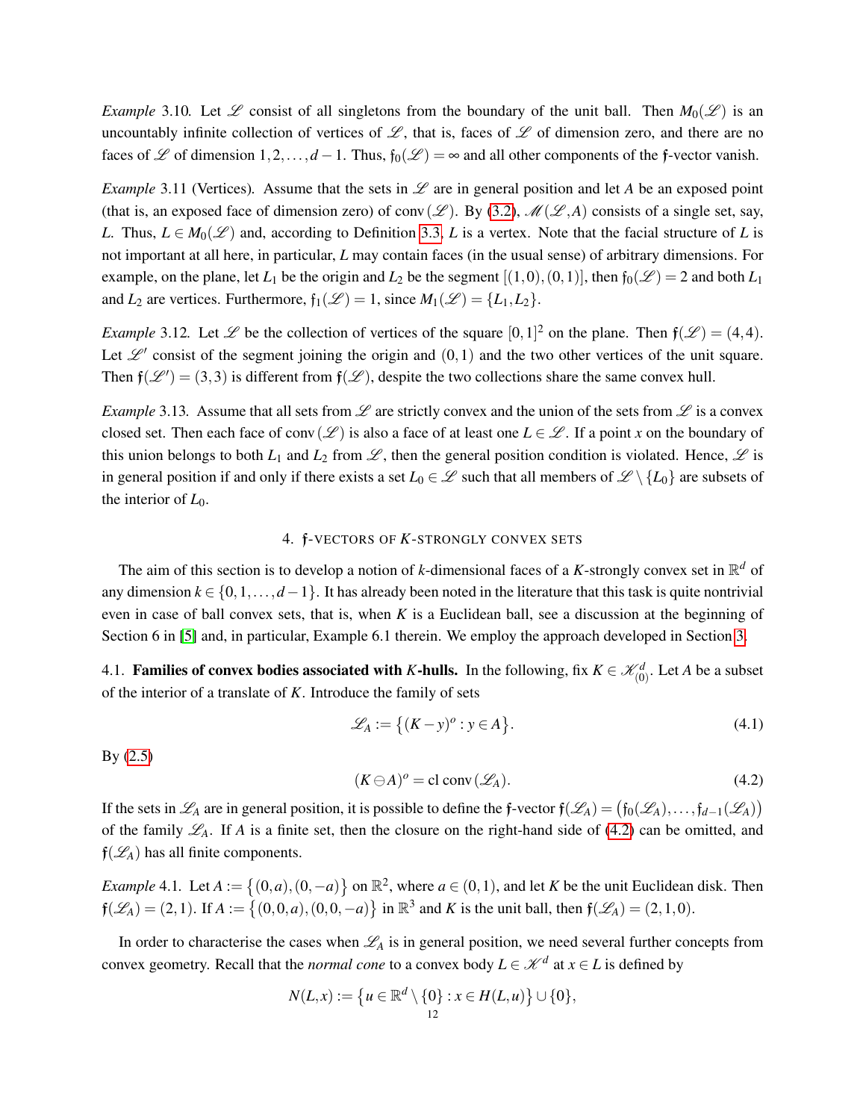*Example* 3.10*.* Let  $\mathscr L$  consist of all singletons from the boundary of the unit ball. Then  $M_0(\mathscr L)$  is an uncountably infinite collection of vertices of  $\mathscr{L}$ , that is, faces of  $\mathscr{L}$  of dimension zero, and there are no faces of L of dimension  $1,2,\ldots,d-1$ . Thus,  $f_0(\mathcal{L}) = \infty$  and all other components of the f-vector vanish.

*Example* 3.11 (Vertices). Assume that the sets in  $\mathscr L$  are in general position and let *A* be an exposed point (that is, an exposed face of dimension zero) of conv( $\mathscr{L}$ ). By [\(3.2\)](#page-7-1),  $\mathscr{M}(\mathscr{L},A)$  consists of a single set, say, *L*. Thus,  $L \in M_0(\mathscr{L})$  and, according to Definition [3.3,](#page-7-4) *L* is a vertex. Note that the facial structure of *L* is not important at all here, in particular, *L* may contain faces (in the usual sense) of arbitrary dimensions. For example, on the plane, let  $L_1$  be the origin and  $L_2$  be the segment  $[(1,0),(0,1)]$ , then  $f_0(\mathscr{L}) = 2$  and both  $L_1$ and *L*<sub>2</sub> are vertices. Furthermore,  $f_1(\mathcal{L}) = 1$ , since  $M_1(\mathcal{L}) = \{L_1, L_2\}$ .

*Example* 3.12. Let  $\mathscr L$  be the collection of vertices of the square  $[0,1]^2$  on the plane. Then  $\mathfrak f(\mathscr L) = (4,4)$ . Let  $\mathscr{L}'$  consist of the segment joining the origin and  $(0,1)$  and the two other vertices of the unit square. Then  $f(\mathcal{L}^{\prime}) = (3,3)$  is different from  $f(\mathcal{L})$ , despite the two collections share the same convex hull.

*Example* 3.13. Assume that all sets from  $\mathscr L$  are strictly convex and the union of the sets from  $\mathscr L$  is a convex closed set. Then each face of conv( $\mathscr{L}$ ) is also a face of at least one  $L \in \mathscr{L}$ . If a point *x* on the boundary of this union belongs to both  $L_1$  and  $L_2$  from  $\mathscr L$ , then the general position condition is violated. Hence,  $\mathscr L$  is in general position if and only if there exists a set  $L_0 \in \mathscr{L}$  such that all members of  $\mathscr{L} \setminus \{L_0\}$  are subsets of the interior of  $L_0$ .

# 4. f-VECTORS OF *K*-STRONGLY CONVEX SETS

<span id="page-11-0"></span>The aim of this section is to develop a notion of *k*-dimensional faces of a *K*-strongly convex set in  $\mathbb{R}^d$  of any dimension  $k \in \{0,1,\ldots,d-1\}$ . It has already been noted in the literature that this task is quite nontrivial even in case of ball convex sets, that is, when *K* is a Euclidean ball, see a discussion at the beginning of Section 6 in [\[5\]](#page-37-3) and, in particular, Example 6.1 therein. We employ the approach developed in Section [3.](#page-6-0)

<span id="page-11-1"></span>4.1. **Families of convex bodies associated with** *K***-hulls.** In the following, fix  $K \in \mathcal{K}_{(0)}^d$ . Let *A* be a subset of the interior of a translate of *K*. Introduce the family of sets

<span id="page-11-4"></span>
$$
\mathcal{L}_A := \left\{ (K - y)^o : y \in A \right\}.
$$
\n(4.1)

By [\(2.5\)](#page-6-2)

<span id="page-11-3"></span>
$$
(K \ominus A)^{o} = \text{cl conv}(\mathscr{L}_{A}). \tag{4.2}
$$

If the sets in  $\mathscr{L}_A$  are in general position, it is possible to define the f-vector  $f(\mathscr{L}_A) = (f_0(\mathscr{L}_A), \dots, f_{d-1}(\mathscr{L}_A))$ of the family  $\mathcal{L}_A$ . If *A* is a finite set, then the closure on the right-hand side of [\(4.2\)](#page-11-3) can be omitted, and  $f(\mathcal{L}_A)$  has all finite components.

<span id="page-11-2"></span>*Example* 4.1. Let  $A := \{(0, a), (0, -a)\}$  on  $\mathbb{R}^2$ , where  $a \in (0, 1)$ , and let *K* be the unit Euclidean disk. Then  $f(\mathcal{L}_A) = (2, 1)$ . If  $A := \{(0, 0, a), (0, 0, -a)\}$  in  $\mathbb{R}^3$  and *K* is the unit ball, then  $f(\mathcal{L}_A) = (2, 1, 0)$ .

In order to characterise the cases when  $\mathcal{L}_A$  is in general position, we need several further concepts from convex geometry. Recall that the *normal cone* to a convex body  $L \in \mathcal{K}^d$  at  $x \in L$  is defined by

$$
N(L, x) := \{ u \in \mathbb{R}^d \setminus \{0\} : x \in H(L, u) \} \cup \{0\},
$$
  
<sub>12</sub>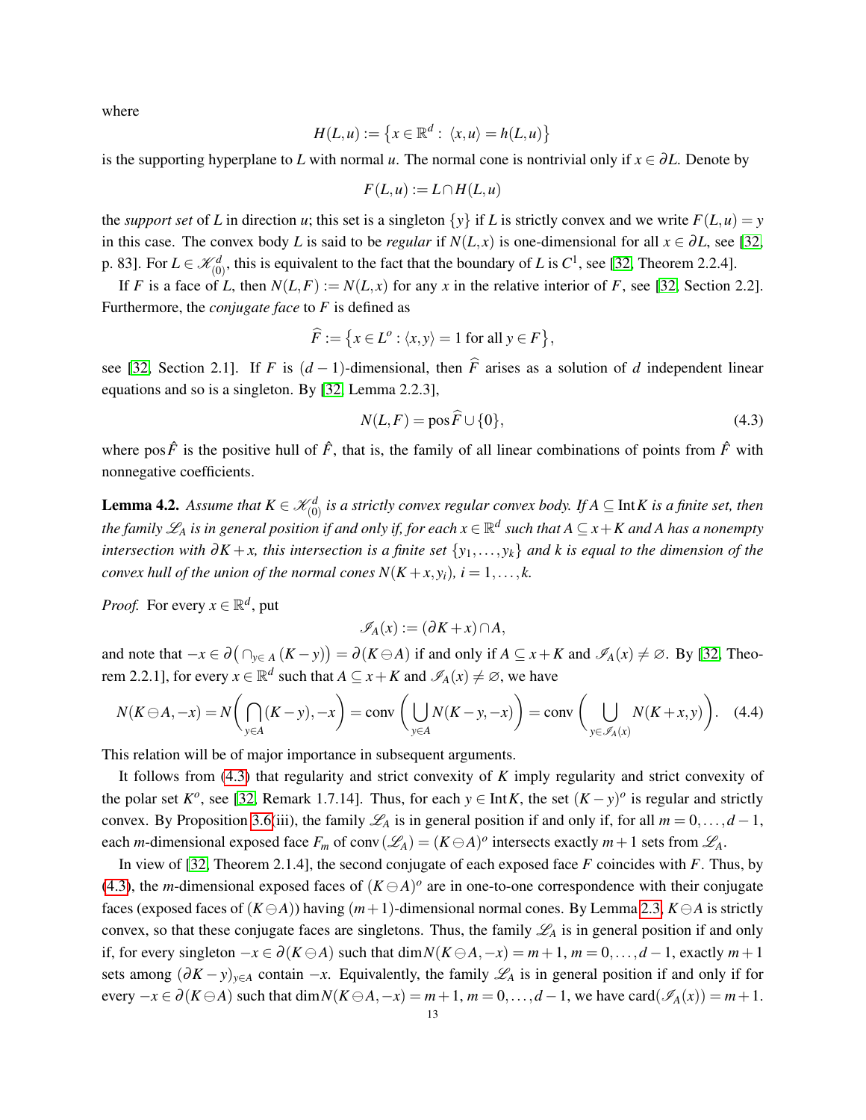where

$$
H(L, u) := \{x \in \mathbb{R}^d : \langle x, u \rangle = h(L, u)\}
$$

is the supporting hyperplane to *L* with normal *u*. The normal cone is nontrivial only if  $x \in \partial L$ . Denote by

$$
F(L, u) := L \cap H(L, u)
$$

the *support set* of *L* in direction *u*; this set is a singleton  $\{y\}$  if *L* is strictly convex and we write  $F(L, u) = y$ in this case. The convex body *L* is said to be *regular* if  $N(L, x)$  is one-dimensional for all  $x \in \partial L$ , see [\[32,](#page-39-3) p. 83]. For  $L \in \mathcal{K}_{(0)}^d$ , this is equivalent to the fact that the boundary of *L* is  $C^1$ , see [\[32,](#page-39-3) Theorem 2.2.4].

If *F* is a face of *L*, then  $N(L, F) := N(L, x)$  for any *x* in the relative interior of *F*, see [\[32,](#page-39-3) Section 2.2]. Furthermore, the *conjugate face* to *F* is defined as

$$
\widehat{F} := \left\{ x \in L^o : \langle x, y \rangle = 1 \text{ for all } y \in F \right\},\
$$

see [\[32,](#page-39-3) Section 2.1]. If *F* is  $(d-1)$ -dimensional, then  $\hat{F}$  arises as a solution of *d* independent linear equations and so is a singleton. By [\[32,](#page-39-3) Lemma 2.2.3],

<span id="page-12-0"></span>
$$
N(L,F) = \cos \widehat{F} \cup \{0\},\tag{4.3}
$$

where pos  $\hat{F}$  is the positive hull of  $\hat{F}$ , that is, the family of all linear combinations of points from  $\hat{F}$  with nonnegative coefficients.

<span id="page-12-2"></span>**Lemma 4.2.** Assume that  $K \in \mathcal{K}_{(0)}^d$  is a strictly convex regular convex body. If  $A \subseteq \text{Int } K$  is a finite set, then the family  $\mathscr{L}_A$  is in general position if and only if, for each  $x\in\mathbb{R}^d$  such that  $A\subseteq x+K$  and  $A$  has a nonempty *intersection with* ∂*K* + *x, this intersection is a finite set* {*y*1,..., *yk*} *and k is equal to the dimension of the convex hull of the union of the normal cones*  $N(K + x, y_i)$ *,*  $i = 1, \ldots, k$ *.* 

*Proof.* For every  $x \in \mathbb{R}^d$ , put

$$
\mathscr{I}_A(x) := (\partial K + x) \cap A,
$$

and note that  $-x \in \partial(\bigcap_{y \in A} (K - y)) = \partial(K \ominus A)$  if and only if  $A \subseteq x + K$  and  $\mathscr{I}_A(x) \neq \emptyset$ . By [\[32,](#page-39-3) Theorem 2.2.1], for every  $x \in \mathbb{R}^d$  such that  $A \subseteq x + K$  and  $\mathscr{I}_A(x) \neq \emptyset$ , we have

<span id="page-12-1"></span>
$$
N(K\ominus A, -x) = N\left(\bigcap_{y\in A} (K-y), -x\right) = \text{conv}\left(\bigcup_{y\in A} N(K-y, -x)\right) = \text{conv}\left(\bigcup_{y\in\mathscr{I}_A(x)} N(K+x, y)\right). \tag{4.4}
$$

This relation will be of major importance in subsequent arguments.

It follows from [\(4.3\)](#page-12-0) that regularity and strict convexity of *K* imply regularity and strict convexity of the polar set  $K^o$ , see [\[32,](#page-39-3) Remark 1.7.14]. Thus, for each  $y \in \text{Int } K$ , the set  $(K - y)^o$  is regular and strictly convex. By Proposition [3.6\(](#page-9-2)iii), the family  $\mathcal{L}_A$  is in general position if and only if, for all  $m = 0, \ldots, d - 1$ , each *m*-dimensional exposed face  $F_m$  of conv $(\mathscr{L}_A) = (K \ominus A)^o$  intersects exactly  $m+1$  sets from  $\mathscr{L}_A$ .

In view of [\[32,](#page-39-3) Theorem 2.1.4], the second conjugate of each exposed face *F* coincides with *F*. Thus, by [\(4.3\)](#page-12-0), the *m*-dimensional exposed faces of  $(K \ominus A)^\circ$  are in one-to-one correspondence with their conjugate faces (exposed faces of  $(K \ominus A)$ ) having  $(m+1)$ -dimensional normal cones. By Lemma [2.3,](#page-5-0)  $K \ominus A$  is strictly convex, so that these conjugate faces are singletons. Thus, the family  $\mathcal{L}_A$  is in general position if and only if, for every singleton  $-x \in \partial (K \ominus A)$  such that dim  $N(K \ominus A, -x) = m+1$ ,  $m = 0, \ldots, d-1$ , exactly  $m+1$ sets among  $(\partial K - y)_{y \in A}$  contain  $-x$ . Equivalently, the family  $\mathscr{L}_A$  is in general position if and only if for every  $-x \in \partial (K \ominus A)$  such that dim  $N(K \ominus A, -x) = m+1$ ,  $m = 0, \ldots, d-1$ , we have card $(\mathscr{I}_A(x)) = m+1$ .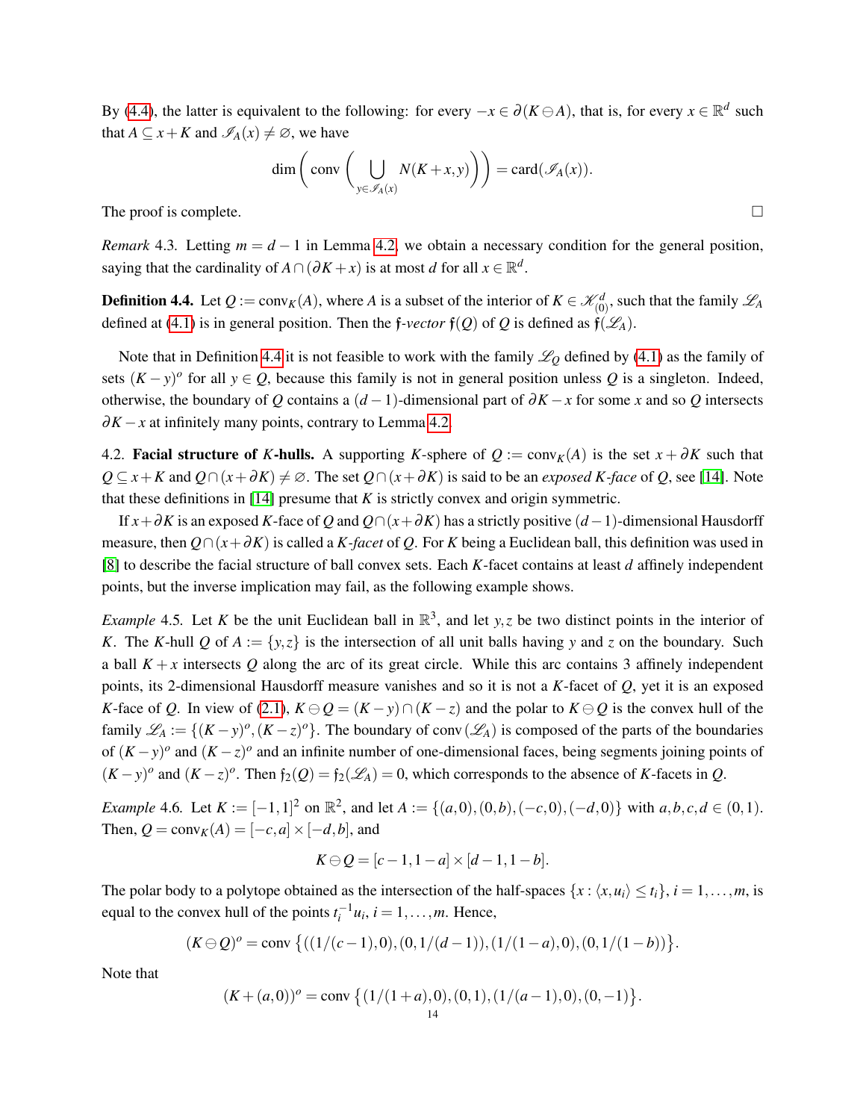By [\(4.4\)](#page-12-1), the latter is equivalent to the following: for every  $-x \in \partial (K \ominus A)$ , that is, for every  $x \in \mathbb{R}^d$  such that  $A \subseteq x + K$  and  $\mathscr{I}_A(x) \neq \emptyset$ , we have

$$
\dim\left(\text{conv}\left(\bigcup_{y\in\mathscr{I}_A(x)}N(K+x,y)\right)\right)=\text{card}(\mathscr{I}_A(x)).
$$

The proof is complete.  $\Box$ 

*Remark* 4.3. Letting *m* = *d* − 1 in Lemma [4.2,](#page-12-2) we obtain a necessary condition for the general position, saying that the cardinality of  $A \cap (\partial K + x)$  is at most *d* for all  $x \in \mathbb{R}^d$ .

<span id="page-13-1"></span>**Definition 4.4.** Let  $Q := \text{conv}_K(A)$ , where *A* is a subset of the interior of  $K \in \mathcal{K}_{(0)}^d$ , such that the family  $\mathcal{L}_A$ defined at [\(4.1\)](#page-11-4) is in general position. Then the f*-vector*  $f(Q)$  of Q is defined as  $f(\mathcal{L}_A)$ .

Note that in Definition [4.4](#page-13-1) it is not feasible to work with the family  $\mathcal{L}_0$  defined by [\(4.1\)](#page-11-4) as the family of sets  $(K - y)^{\circ}$  for all  $y \in Q$ , because this family is not in general position unless Q is a singleton. Indeed, otherwise, the boundary of *Q* contains a  $(d-1)$ -dimensional part of  $\partial K - x$  for some *x* and so *Q* intersects  $\partial K - x$  at infinitely many points, contrary to Lemma [4.2.](#page-12-2)

<span id="page-13-0"></span>4.2. Facial structure of *K*-hulls. A supporting *K*-sphere of  $Q := \text{conv}_K(A)$  is the set  $x + \partial K$  such that *Q* ⊆ *x* + *K* and *Q* ∩  $(x + ∂K) \neq \emptyset$ . The set  $Q \cap (x + ∂K)$  is said to be an *exposed K-face* of *Q*, see [\[14\]](#page-38-8). Note that these definitions in  $[14]$  presume that  $K$  is strictly convex and origin symmetric.

If *x*+∂*K* is an exposed *K*-face of *Q* and *Q*∩(*x*+∂*K*) has a strictly positive (*d*−1)-dimensional Hausdorff measure, then  $Q \cap (x + \partial K)$  is called a *K-facet* of *Q*. For *K* being a Euclidean ball, this definition was used in [\[8\]](#page-38-6) to describe the facial structure of ball convex sets. Each *K*-facet contains at least *d* affinely independent points, but the inverse implication may fail, as the following example shows.

*Example* 4.5. Let *K* be the unit Euclidean ball in  $\mathbb{R}^3$ , and let *y*,*z* be two distinct points in the interior of *K*. The *K*-hull *Q* of  $A := \{y, z\}$  is the intersection of all unit balls having *y* and *z* on the boundary. Such a ball  $K + x$  intersects Q along the arc of its great circle. While this arc contains 3 affinely independent points, its 2-dimensional Hausdorff measure vanishes and so it is not a *K*-facet of *Q*, yet it is an exposed *K*-face of *Q*. In view of [\(2.1\)](#page-4-1),  $K \ominus Q = (K - y) \cap (K - z)$  and the polar to  $K \ominus Q$  is the convex hull of the family  $\mathscr{L}_A := \{(K - y)^o, (K - z)^o\}$ . The boundary of conv $(\mathscr{L}_A)$  is composed of the parts of the boundaries of  $(K-y)$ <sup>o</sup> and  $(K-z)$ <sup>o</sup> and an infinite number of one-dimensional faces, being segments joining points of  $(K-y)$ <sup>o</sup> and  $(K-z)$ <sup>o</sup>. Then  $f_2(Q) = f_2(\mathcal{L}_A) = 0$ , which corresponds to the absence of *K*-facets in *Q*.

<span id="page-13-2"></span>*Example* 4.6. Let  $K := [-1,1]^2$  on  $\mathbb{R}^2$ , and let  $A := \{(a,0), (0,b), (-c,0), (-d,0)\}$  with  $a, b, c, d \in (0,1)$ . Then,  $Q = \text{conv}_K(A) = [-c, a] \times [-d, b]$ , and

$$
K\ominus Q = [c-1, 1-a] \times [d-1, 1-b].
$$

The polar body to a polytope obtained as the intersection of the half-spaces  $\{x : \langle x, u_i \rangle \le t_i\}, i = 1, \ldots, m$ , is equal to the convex hull of the points  $t_i^{-1}u_i$ ,  $i = 1,...,m$ . Hence,

$$
(K\ominus Q)^{o} = \text{conv }\big\{((1/(c-1),0),(0,1/(d-1)),(1/(1-a),0),(0,1/(1-b))\big\}.
$$

Note that

$$
(K+(a,0))^o = \text{conv }\big\{ (1/(1+a),0), (0,1), (1/(a-1),0), (0,-1) \big\}.
$$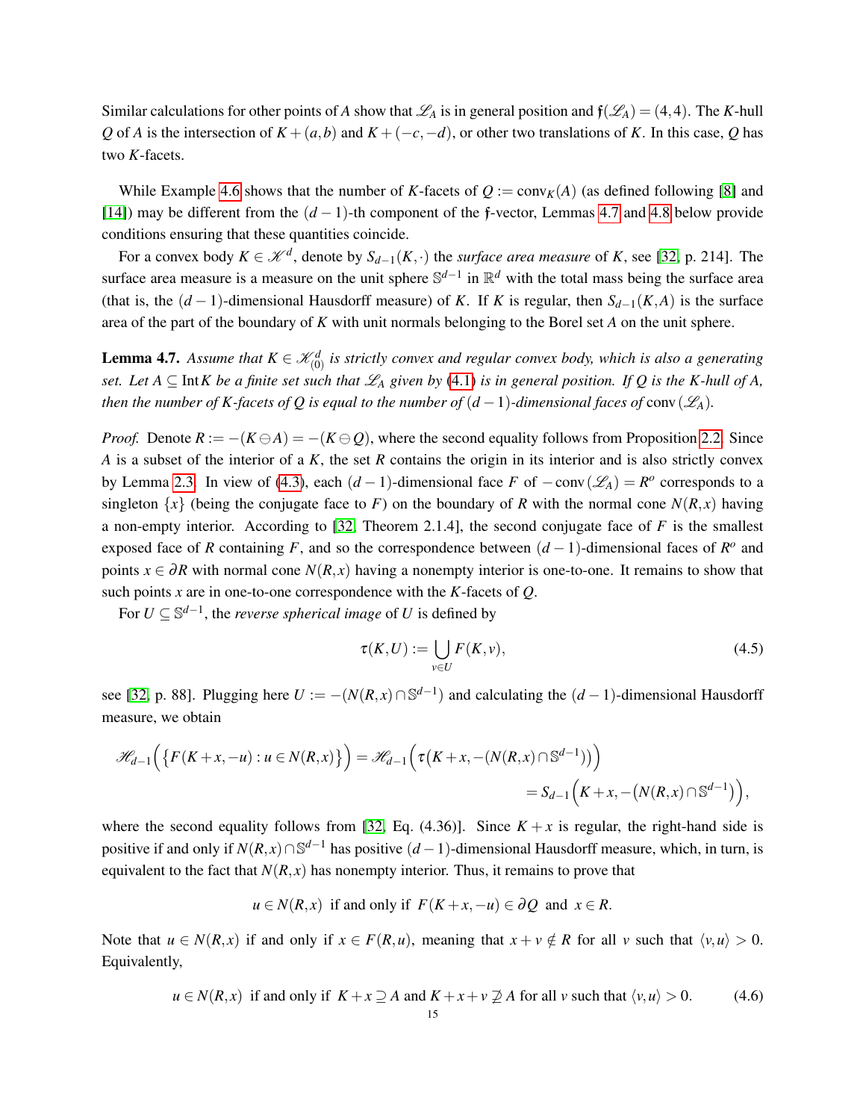Similar calculations for other points of *A* show that  $\mathscr{L}_A$  is in general position and  $f(\mathscr{L}_A) = (4, 4)$ . The *K*-hull *Q* of *A* is the intersection of  $K + (a, b)$  and  $K + (-c, -d)$ , or other two translations of *K*. In this case, *Q* has two *K*-facets.

While Example [4.6](#page-13-2) shows that the number of *K*-facets of  $Q := \text{conv}_K(A)$  (as defined following [\[8\]](#page-38-6) and [\[14\]](#page-38-8)) may be different from the (*d* − 1)-th component of the f-vector, Lemmas [4.7](#page-14-1) and [4.8](#page-15-0) below provide conditions ensuring that these quantities coincide.

For a convex body  $K \in \mathcal{K}^d$ , denote by  $S_{d-1}(K, \cdot)$  the *surface area measure* of *K*, see [\[32,](#page-39-3) p. 214]. The surface area measure is a measure on the unit sphere S<sup>d-1</sup> in R<sup>d</sup> with the total mass being the surface area (that is, the  $(d-1)$ -dimensional Hausdorff measure) of *K*. If *K* is regular, then  $S_{d-1}(K,A)$  is the surface area of the part of the boundary of *K* with unit normals belonging to the Borel set *A* on the unit sphere.

<span id="page-14-1"></span>**Lemma 4.7.** Assume that  $K \in \mathcal{K}_{(0)}^d$  is strictly convex and regular convex body, which is also a generating *set. Let*  $A \subseteq \text{Int } K$  *be a finite set such that*  $\mathcal{L}_A$  *given by* [\(4.1\)](#page-11-4) *is in general position. If* Q *is the* K-hull of A, *then the number of K-facets of Q is equal to the number of*  $(d-1)$ *-dimensional faces of* conv $(\mathscr{L}_A)$ *.* 

*Proof.* Denote  $R := -(K \ominus A) = -(K \ominus Q)$ , where the second equality follows from Proposition [2.2.](#page-5-3) Since *A* is a subset of the interior of a *K*, the set *R* contains the origin in its interior and is also strictly convex by Lemma [2.3.](#page-5-0) In view of [\(4.3\)](#page-12-0), each  $(d-1)$ -dimensional face *F* of  $-\text{conv}(\mathscr{L}_A) = R^o$  corresponds to a singleton  $\{x\}$  (being the conjugate face to *F*) on the boundary of *R* with the normal cone  $N(R, x)$  having a non-empty interior. According to [\[32,](#page-39-3) Theorem 2.1.4], the second conjugate face of *F* is the smallest exposed face of *R* containing *F*, and so the correspondence between  $(d-1)$ -dimensional faces of  $R^o$  and points  $x \in \partial R$  with normal cone  $N(R, x)$  having a nonempty interior is one-to-one. It remains to show that such points *x* are in one-to-one correspondence with the *K*-facets of *Q*.

For  $U \subseteq \mathbb{S}^{d-1}$ , the *reverse spherical image* of *U* is defined by

<span id="page-14-0"></span>
$$
\tau(K, U) := \bigcup_{v \in U} F(K, v),\tag{4.5}
$$

see [\[32,](#page-39-3) p. 88]. Plugging here  $U := -(N(R, x) \cap \mathbb{S}^{d-1})$  and calculating the  $(d-1)$ -dimensional Hausdorff measure, we obtain

$$
\mathscr{H}_{d-1}\Big(\big\{F(K+x,-u):u\in N(R,x)\big\}\Big)=\mathscr{H}_{d-1}\Big(\tau\big(K+x,-\big(N(R,x)\cap\mathbb{S}^{d-1})\big)\Big)
$$
  
=S\_{d-1}\Big(K+x,-\big(N(R,x)\cap\mathbb{S}^{d-1}\big)\Big),

where the second equality follows from [\[32,](#page-39-3) Eq. (4.36)]. Since  $K + x$  is regular, the right-hand side is positive if and only if  $N(R, x) \cap \mathbb{S}^{d-1}$  has positive  $(d-1)$ -dimensional Hausdorff measure, which, in turn, is equivalent to the fact that  $N(R, x)$  has nonempty interior. Thus, it remains to prove that

$$
u \in N(R, x)
$$
 if and only if  $F(K + x, -u) \in \partial Q$  and  $x \in R$ .

Note that  $u \in N(R,x)$  if and only if  $x \in F(R,u)$ , meaning that  $x + v \notin R$  for all *v* such that  $\langle v, u \rangle > 0$ . Equivalently,

<span id="page-14-2"></span>
$$
u \in N(R, x)
$$
 if and only if  $K + x \supseteq A$  and  $K + x + v \supseteq A$  for all v such that  $\langle v, u \rangle > 0$ . (4.6)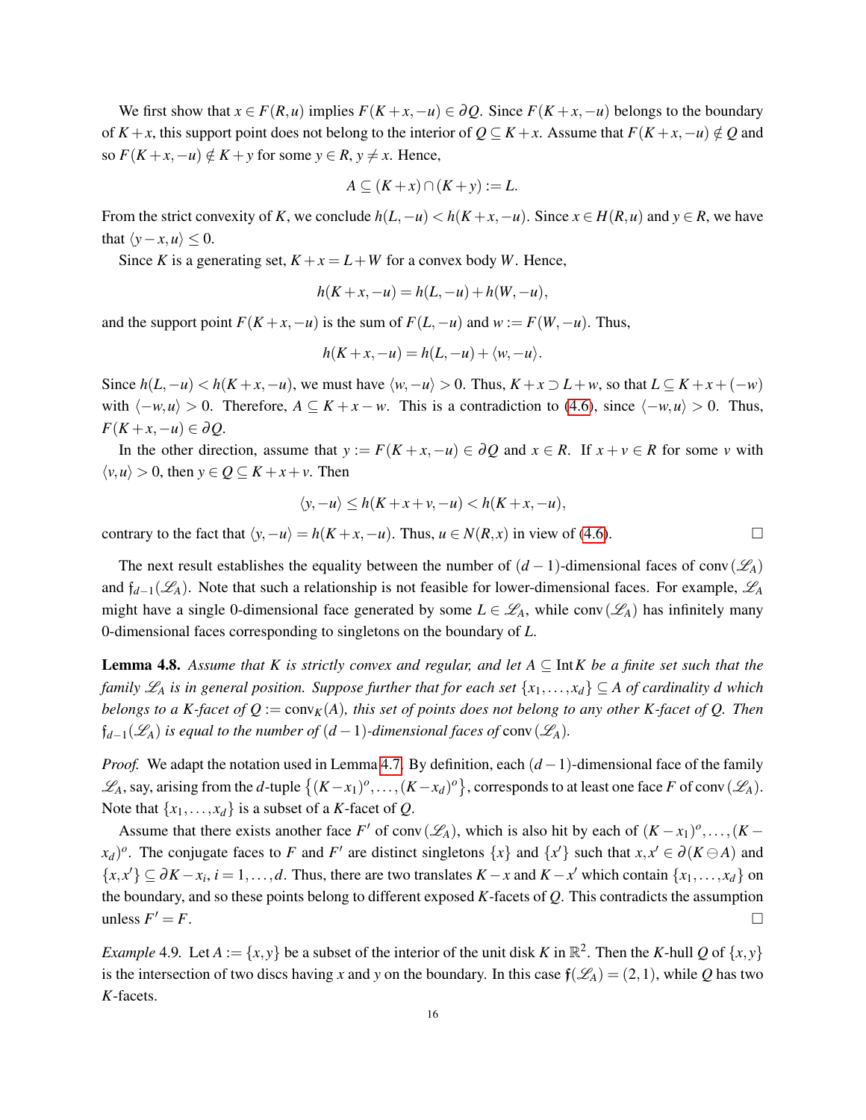We first show that  $x \in F(R, u)$  implies  $F(K + x, -u) \in \partial Q$ . Since  $F(K + x, -u)$  belongs to the boundary of  $K + x$ , this support point does not belong to the interior of  $Q \subseteq K + x$ . Assume that  $F(K + x, -u) \notin Q$  and so  $F(K + x, -u) \notin K + y$  for some  $y \in R$ ,  $y \neq x$ . Hence,

$$
A \subseteq (K + x) \cap (K + y) := L.
$$

From the strict convexity of *K*, we conclude  $h(L, -u) < h(K + x, -u)$ . Since  $x \in H(R, u)$  and  $y \in R$ , we have that  $\langle y-x,u \rangle \leq 0$ .

Since *K* is a generating set,  $K + x = L + W$  for a convex body *W*. Hence,

$$
h(K + x, -u) = h(L, -u) + h(W, -u),
$$

and the support point  $F(K+x, -u)$  is the sum of  $F(L, -u)$  and  $w := F(W, -u)$ . Thus,

$$
h(K+x,-u)=h(L,-u)+\langle w,-u\rangle.
$$

Since  $h(L, -u) < h(K + x, -u)$ , we must have  $\langle w, -u \rangle > 0$ . Thus,  $K + x \supset L + w$ , so that  $L \subseteq K + x + (-w)$ with  $\langle -w, u \rangle > 0$ . Therefore,  $A \subseteq K + x - w$ . This is a contradiction to [\(4.6\)](#page-14-2), since  $\langle -w, u \rangle > 0$ . Thus, *F*(*K* + *x*,−*u*) ∈ ∂*Q*.

In the other direction, assume that  $y := F(K + x, -u) \in \partial Q$  and  $x \in R$ . If  $x + v \in R$  for some *v* with  $\langle v, u \rangle > 0$ , then  $y \in Q \subseteq K + x + v$ . Then

$$
\langle y, -u \rangle \le h(K + x + v, -u) < h(K + x, -u),
$$

contrary to the fact that  $\langle y, -u \rangle = h(K+x, -u)$ . Thus,  $u \in N(R, x)$  in view of [\(4.6\)](#page-14-2). □

The next result establishes the equality between the number of  $(d-1)$ -dimensional faces of conv $(\mathscr{L}_A)$ and f*d*−1(L*A*). Note that such a relationship is not feasible for lower-dimensional faces. For example, L*<sup>A</sup>* might have a single 0-dimensional face generated by some  $L \in \mathcal{L}_A$ , while conv $(\mathcal{L}_A)$  has infinitely many 0-dimensional faces corresponding to singletons on the boundary of *L*.

<span id="page-15-0"></span>Lemma 4.8. *Assume that K is strictly convex and regular, and let A* ⊆ Int*K be a finite set such that the family*  $\mathscr{L}_A$  *is in general position. Suppose further that for each set*  $\{x_1, \ldots, x_d\} \subseteq A$  *of cardinality d which belongs to a K-facet of Q* := conv $_K(A)$ *, this set of points does not belong to any other K-facet of Q. Then*  $f_{d-1}(\mathscr{L}_A)$  *is equal to the number of*  $(d-1)$ *-dimensional faces of* conv $(\mathscr{L}_A)$ *.* 

*Proof.* We adapt the notation used in Lemma [4.7.](#page-14-1) By definition, each  $(d − 1)$ -dimensional face of the family  $\mathscr{L}_A$ , say, arising from the *d*-tuple  $\{(K-x_1)^o, \ldots, (K-x_d)^o\}$ , corresponds to at least one face *F* of conv ( $\mathscr{L}_A$ ). Note that  $\{x_1, \ldots, x_d\}$  is a subset of a *K*-facet of *Q*.

Assume that there exists another face *F*<sup>'</sup> of conv $(\mathscr{L}_A)$ , which is also hit by each of  $(K - x_1)^o, \ldots, (K - x_n)^o$  $(x_d)^o$ . The conjugate faces to *F* and *F*' are distinct singletons  $\{x\}$  and  $\{x'\}$  such that  $x, x' \in \partial(K \ominus A)$  and  $\{x, x'\}\subseteq \partial K - x_i, i = 1, \ldots, d$ . Thus, there are two translates  $K - x$  and  $K - x'$  which contain  $\{x_1, \ldots, x_d\}$  on the boundary, and so these points belong to different exposed *K*-facets of *Q*. This contradicts the assumption unless  $F' = F$ .  $\mathcal{I}' = F.$ 

<span id="page-15-1"></span>*Example* 4.9. Let  $A := \{x, y\}$  be a subset of the interior of the unit disk K in  $\mathbb{R}^2$ . Then the K-hull Q of  $\{x, y\}$ is the intersection of two discs having *x* and *y* on the boundary. In this case  $f(\mathcal{L}_A) = (2,1)$ , while *Q* has two *K*-facets.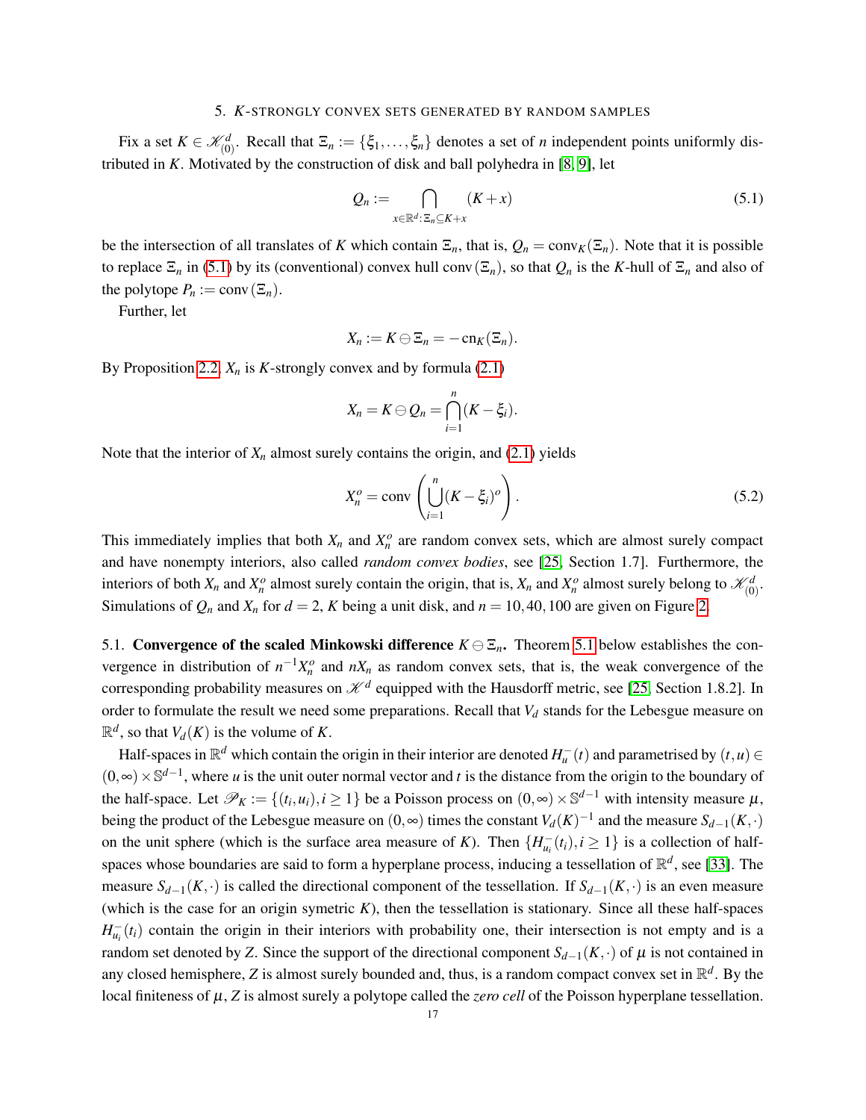#### 5. *K*-STRONGLY CONVEX SETS GENERATED BY RANDOM SAMPLES

<span id="page-16-0"></span>Fix a set  $K \in \mathcal{K}_{(0)}^d$ . Recall that  $\Xi_n := {\{\xi_1, \ldots, \xi_n\}}$  denotes a set of *n* independent points uniformly distributed in *K*. Motivated by the construction of disk and ball polyhedra in [\[8,](#page-38-6) [9\]](#page-38-4), let

<span id="page-16-2"></span>
$$
Q_n := \bigcap_{x \in \mathbb{R}^d : \, \Xi_n \subseteq K + x} (K + x) \tag{5.1}
$$

be the intersection of all translates of *K* which contain  $\Xi_n$ , that is,  $Q_n = \text{conv}_K(\Xi_n)$ . Note that it is possible to replace  $\Xi_n$  in [\(5.1\)](#page-16-2) by its (conventional) convex hull conv $(\Xi_n)$ , so that  $Q_n$  is the *K*-hull of  $\Xi_n$  and also of the polytope  $P_n := \text{conv}(\Xi_n)$ .

Further, let

$$
X_n:=K\ominus \Xi_n=-\operatorname{cn}_K(\Xi_n).
$$

By Proposition [2.2,](#page-5-3)  $X_n$  is *K*-strongly convex and by formula [\(2.1\)](#page-4-1)

$$
X_n=K\ominus Q_n=\bigcap_{i=1}^n(K-\xi_i).
$$

Note that the interior of  $X_n$  almost surely contains the origin, and [\(2.1\)](#page-4-1) yields

<span id="page-16-3"></span>
$$
X_n^o = \text{conv}\left(\bigcup_{i=1}^n (K - \xi_i)^o\right). \tag{5.2}
$$

This immediately implies that both  $X_n$  and  $X_n^o$  are random convex sets, which are almost surely compact and have nonempty interiors, also called *random convex bodies*, see [\[25,](#page-38-12) Section 1.7]. Furthermore, the interiors of both  $X_n$  and  $X_n^o$  almost surely contain the origin, that is,  $X_n$  and  $X_n^o$  almost surely belong to  $\mathcal{K}_{(0)}^d$ . Simulations of  $Q_n$  and  $X_n$  for  $d = 2$ , *K* being a unit disk, and  $n = 10, 40, 100$  are given on Figure [2.](#page-17-0)

<span id="page-16-1"></span>5.1. Convergence of the scaled Minkowski difference  $K \ominus \Xi_n$ . Theorem [5.1](#page-18-0) below establishes the convergence in distribution of  $n^{-1}X_n^o$  and  $nX_n$  as random convex sets, that is, the weak convergence of the corresponding probability measures on  $\mathcal{K}^d$  equipped with the Hausdorff metric, see [\[25,](#page-38-12) Section 1.8.2]. In order to formulate the result we need some preparations. Recall that *V<sup>d</sup>* stands for the Lebesgue measure on  $\mathbb{R}^d$ , so that  $V_d(K)$  is the volume of *K*.

Half-spaces in  $\mathbb{R}^d$  which contain the origin in their interior are denoted  $H_u^-(t)$  and parametrised by  $(t, u) \in$  $(0, ∞) \times \mathbb{S}^{d-1}$ , where *u* is the unit outer normal vector and *t* is the distance from the origin to the boundary of the half-space. Let  $\mathscr{P}_K := \{(t_i, u_i), i \geq 1\}$  be a Poisson process on  $(0, \infty) \times \mathbb{S}^{d-1}$  with intensity measure  $\mu$ , being the product of the Lebesgue measure on  $(0, \infty)$  times the constant  $V_d(K)^{-1}$  and the measure  $S_{d-1}(K, \cdot)$ on the unit sphere (which is the surface area measure of *K*). Then  $\{H_{u_i}^-(t_i), i \geq 1\}$  is a collection of halfspaces whose boundaries are said to form a hyperplane process, inducing a tessellation of  $\mathbb{R}^d$ , see [\[33\]](#page-39-0). The measure  $S_{d-1}(K, \cdot)$  is called the directional component of the tessellation. If  $S_{d-1}(K, \cdot)$  is an even measure (which is the case for an origin symetric  $K$ ), then the tessellation is stationary. Since all these half-spaces  $H_{u_i}^-(t_i)$  contain the origin in their interiors with probability one, their intersection is not empty and is a random set denoted by *Z*. Since the support of the directional component  $S_{d-1}(K, \cdot)$  of  $\mu$  is not contained in any closed hemisphere, *Z* is almost surely bounded and, thus, is a random compact convex set in  $\mathbb{R}^d$ . By the local finiteness of µ, *Z* is almost surely a polytope called the *zero cell* of the Poisson hyperplane tessellation.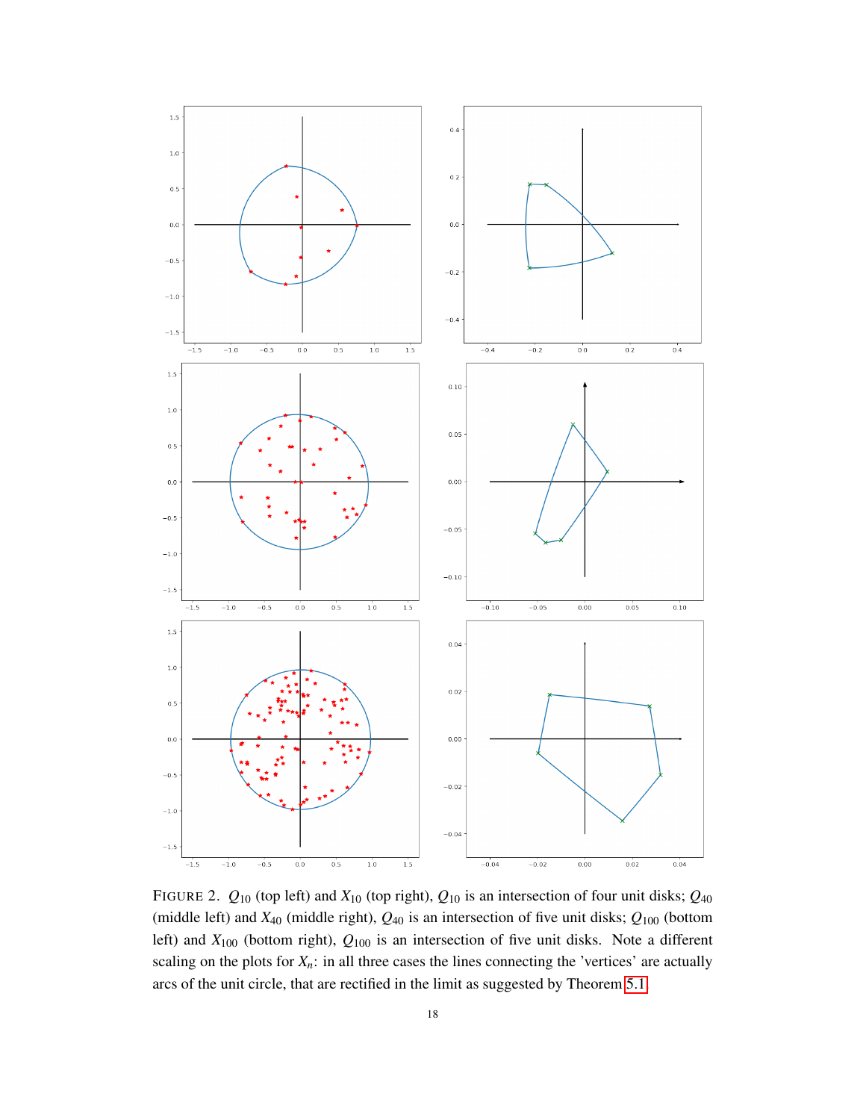

<span id="page-17-0"></span>FIGURE 2.  $Q_{10}$  (top left) and  $X_{10}$  (top right),  $Q_{10}$  is an intersection of four unit disks;  $Q_{40}$ (middle left) and  $X_{40}$  (middle right),  $Q_{40}$  is an intersection of five unit disks;  $Q_{100}$  (bottom left) and *X*<sup>100</sup> (bottom right), *Q*<sup>100</sup> is an intersection of five unit disks. Note a different scaling on the plots for  $X_n$ : in all three cases the lines connecting the 'vertices' are actually arcs of the unit circle, that are rectified in the limit as suggested by Theorem [5.1.](#page-18-0)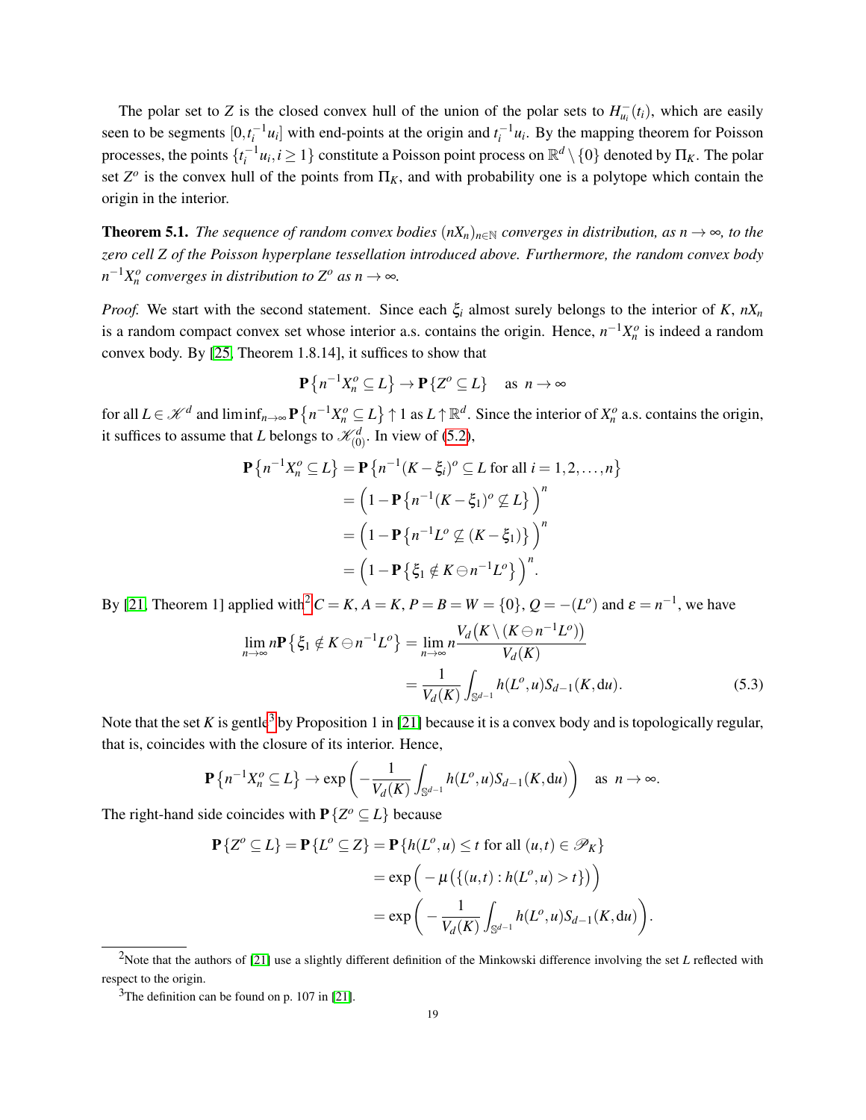The polar set to *Z* is the closed convex hull of the union of the polar sets to  $H_{u_i}^-(t_i)$ , which are easily seen to be segments  $[0, t_i^{-1}u_i]$  with end-points at the origin and  $t_i^{-1}u_i$ . By the mapping theorem for Poisson processes, the points  $\{t_i^{-1}u_i, i\geq 1\}$  constitute a Poisson point process on  $\mathbb{R}^d\setminus\{0\}$  denoted by  $\Pi_K$ . The polar set  $Z^{\circ}$  is the convex hull of the points from  $\Pi_K$ , and with probability one is a polytope which contain the origin in the interior.

<span id="page-18-0"></span>**Theorem 5.1.** *The sequence of random convex bodies*  $(nX_n)_{n\in\mathbb{N}}$  *converges in distribution, as n*  $\rightarrow \infty$ *, to the zero cell Z of the Poisson hyperplane tessellation introduced above. Furthermore, the random convex body*  $n^{-1}X_n^o$  converges in distribution to  $Z^o$  as  $n \to \infty$ .

*Proof.* We start with the second statement. Since each  $\xi$ <sup>*i*</sup> almost surely belongs to the interior of *K*,  $nX_n$ is a random compact convex set whose interior a.s. contains the origin. Hence,  $n^{-1}X_n^o$  is indeed a random convex body. By [\[25,](#page-38-12) Theorem 1.8.14], it suffices to show that

$$
\mathbf{P}\left\{n^{-1}X_{n}^{o}\subseteq L\right\}\to\mathbf{P}\left\{Z^{o}\subseteq L\right\}\quad\text{as}\ \ n\to\infty
$$

for all  $L \in \mathcal{K}^d$  and  $\liminf_{n \to \infty} \mathbf{P} \{ n^{-1} X_n^o \subseteq L \} \uparrow 1$  as  $L \uparrow \mathbb{R}^d$ . Since the interior of  $X_n^o$  a.s. contains the origin, it suffices to assume that *L* belongs to  $\mathcal{K}_{(0)}^d$ . In view of [\(5.2\)](#page-16-3),

$$
\mathbf{P}\left\{n^{-1}X_{n}^{o}\subseteq L\right\} = \mathbf{P}\left\{n^{-1}(K-\xi_{i})^{o}\subseteq L \text{ for all } i=1,2,\ldots,n\right\}
$$

$$
= \left(1 - \mathbf{P}\left\{n^{-1}(K-\xi_{1})^{o}\nsubseteq L\right\}\right)^{n}
$$

$$
= \left(1 - \mathbf{P}\left\{n^{-1}L^{o}\nsubseteq (K-\xi_{1})\right\}\right)^{n}
$$

$$
= \left(1 - \mathbf{P}\left\{\xi_{1} \notin K \ominus n^{-1}L^{o}\right\}\right)^{n}.
$$

By [\[21,](#page-38-13) Theorem 1] applied with<sup>[2](#page-18-1)</sup>  $C = K$ ,  $A = K$ ,  $P = B = W = \{0\}$ ,  $Q = -(L^o)$  and  $\varepsilon = n^{-1}$ , we have

$$
\lim_{n \to \infty} n \mathbf{P} \left\{ \xi_1 \notin K \ominus n^{-1} L^o \right\} = \lim_{n \to \infty} n \frac{V_d \left( K \setminus (K \ominus n^{-1} L^o) \right)}{V_d(K)}
$$
\n
$$
= \frac{1}{V_d(K)} \int_{\mathbb{S}^{d-1}} h(L^o, u) S_{d-1}(K, \mathrm{d}u). \tag{5.3}
$$

.

Note that the set K is gentle<sup>[3](#page-18-2)</sup> by Proposition 1 in [\[21\]](#page-38-13) because it is a convex body and is topologically regular, that is, coincides with the closure of its interior. Hence,

$$
\mathbf{P}\left\{n^{-1}X_{n}^{o}\subseteq L\right\} \to \exp\left(-\frac{1}{V_{d}(K)}\int_{\mathbb{S}^{d-1}}h(L^{o},u)S_{d-1}(K,\mathrm{d}u)\right) \quad \text{as } n \to \infty.
$$

The right-hand side coincides with  $P\{Z^o \subseteq L\}$  because

$$
\mathbf{P}\{Z^o \subseteq L\} = \mathbf{P}\{L^o \subseteq Z\} = \mathbf{P}\{h(L^o, u) \le t \text{ for all } (u, t) \in \mathcal{P}_K\}
$$

$$
= \exp\left(-\mu\left(\{(u, t) : h(L^o, u) > t\}\right)\right)
$$

$$
= \exp\left(-\frac{1}{V_d(K)} \int_{\mathbb{S}^{d-1}} h(L^o, u) S_{d-1}(K, \mathrm{d}u)\right)
$$

<span id="page-18-1"></span><sup>&</sup>lt;sup>2</sup>Note that the authors of [\[21\]](#page-38-13) use a slightly different definition of the Minkowski difference involving the set *L* reflected with respect to the origin.

<span id="page-18-2"></span> $3$ The definition can be found on p. 107 in [\[21\]](#page-38-13).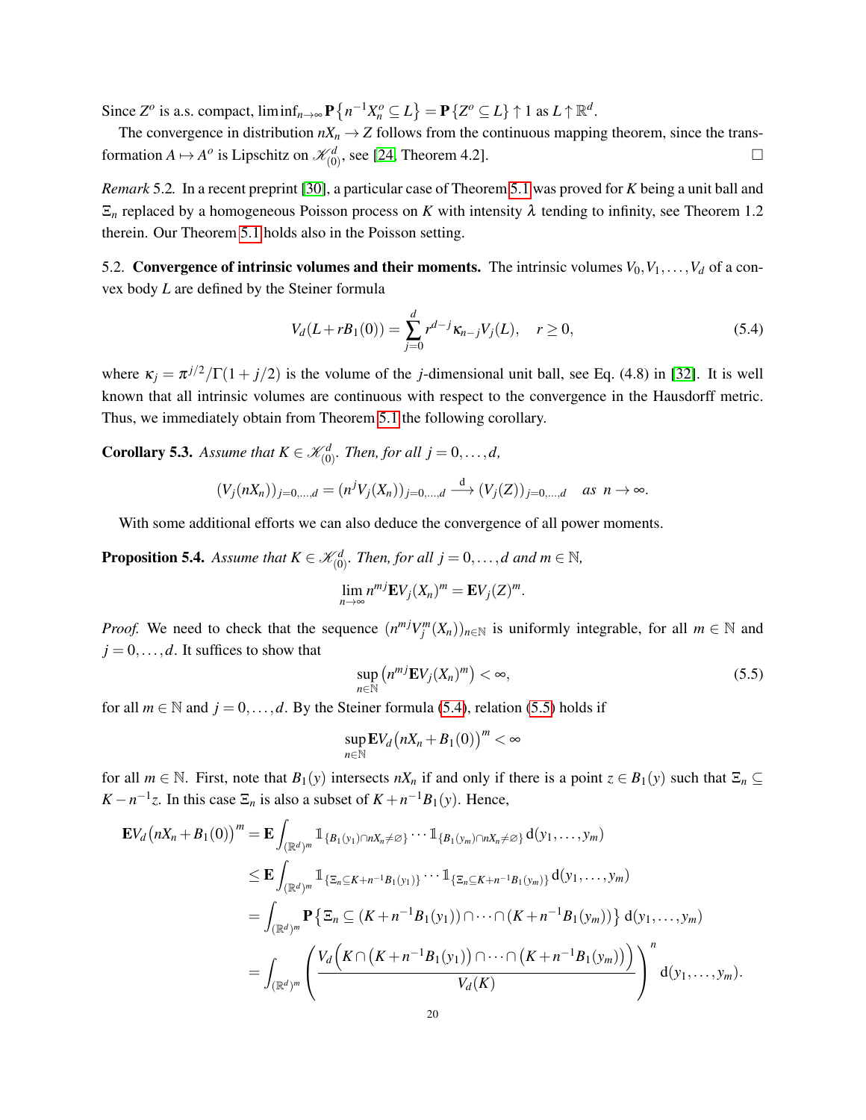Since  $Z^o$  is a.s. compact,  $\liminf_{n\to\infty} P\left\{n^{-1}X_n^o \subseteq L\right\} = P\left\{Z^o \subseteq L\right\} \uparrow 1$  as  $L \uparrow \mathbb{R}^d$ .

The convergence in distribution  $nX_n \to Z$  follows from the continuous mapping theorem, since the transformation  $A \mapsto A^o$  is Lipschitz on  $\mathcal{K}_{(0)}^d$ , see [\[24,](#page-38-14) Theorem 4.2].

*Remark* 5.2*.* In a recent preprint [\[30\]](#page-39-4), a particular case of Theorem [5.1](#page-18-0) was proved for *K* being a unit ball and  $\Xi_n$  replaced by a homogeneous Poisson process on *K* with intensity  $\lambda$  tending to infinity, see Theorem 1.2 therein. Our Theorem [5.1](#page-18-0) holds also in the Poisson setting.

<span id="page-19-0"></span>5.2. Convergence of intrinsic volumes and their moments. The intrinsic volumes  $V_0, V_1, \ldots, V_d$  of a convex body *L* are defined by the Steiner formula

<span id="page-19-1"></span>
$$
V_d(L + rB_1(0)) = \sum_{j=0}^d r^{d-j} \kappa_{n-j} V_j(L), \quad r \ge 0,
$$
\n(5.4)

where  $\kappa_j = \frac{\pi^{j/2}}{\Gamma(1 + j/2)}$  is the volume of the *j*-dimensional unit ball, see Eq. (4.8) in [\[32\]](#page-39-3). It is well known that all intrinsic volumes are continuous with respect to the convergence in the Hausdorff metric. Thus, we immediately obtain from Theorem [5.1](#page-18-0) the following corollary.

**Corollary 5.3.** Assume that  $K \in \mathcal{K}_{(0)}^d$ . Then, for all  $j = 0, \ldots, d$ ,

$$
(V_j(nX_n))_{j=0,...,d} = (n^jV_j(X_n))_{j=0,...,d} \xrightarrow{d} (V_j(Z))_{j=0,...,d} \text{ as } n \to \infty.
$$

With some additional efforts we can also deduce the convergence of all power moments.

**Proposition 5.4.** Assume that  $K \in \mathcal{K}_{(0)}^d$ . Then, for all  $j = 0, \ldots, d$  and  $m \in \mathbb{N}$ ,

$$
\lim_{n\to\infty}n^{mj}\mathbf{E}V_j(X_n)^m=\mathbf{E}V_j(Z)^m.
$$

*Proof.* We need to check that the sequence  $(n^{mj}V_j^m(X_n))_{n\in\mathbb{N}}$  is uniformly integrable, for all  $m \in \mathbb{N}$  and  $j = 0, \ldots, d$ . It suffices to show that

<span id="page-19-2"></span>
$$
\sup_{n \in \mathbb{N}} \left( n^{mj} \mathbf{E} V_j(X_n)^m \right) < \infty,\tag{5.5}
$$

for all  $m \in \mathbb{N}$  and  $j = 0, \ldots, d$ . By the Steiner formula [\(5.4\)](#page-19-1), relation [\(5.5\)](#page-19-2) holds if

$$
\sup_{n\in\mathbb{N}}\mathbf{E}V_d\big(nX_n+B_1(0)\big)^m<\infty
$$

for all  $m \in \mathbb{N}$ . First, note that  $B_1(y)$  intersects  $nX_n$  if and only if there is a point  $z \in B_1(y)$  such that  $\Xi_n \subseteq$  $K - n^{-1}z$ . In this case  $\Xi_n$  is also a subset of  $K + n^{-1}B_1(y)$ . Hence,

$$
\mathbf{E}V_d(nX_n + B_1(0))^m = \mathbf{E} \int_{(\mathbb{R}^d)^m} \mathbb{1}_{\{B_1(y_1) \cap nX_n \neq \varnothing\}} \cdots \mathbb{1}_{\{B_1(y_m) \cap nX_n \neq \varnothing\}} d(y_1, \ldots, y_m)
$$
\n
$$
\leq \mathbf{E} \int_{(\mathbb{R}^d)^m} \mathbb{1}_{\{\Xi_n \subseteq K + n^{-1}B_1(y_1)\}} \cdots \mathbb{1}_{\{\Xi_n \subseteq K + n^{-1}B_1(y_m)\}} d(y_1, \ldots, y_m)
$$
\n
$$
= \int_{(\mathbb{R}^d)^m} \mathbf{P} \left\{ \Xi_n \subseteq (K + n^{-1}B_1(y_1)) \cap \cdots \cap (K + n^{-1}B_1(y_m)) \right\} d(y_1, \ldots, y_m)
$$
\n
$$
= \int_{(\mathbb{R}^d)^m} \left( \frac{V_d \left( K \cap (K + n^{-1}B_1(y_1)) \cap \cdots \cap (K + n^{-1}B_1(y_m)) \right)}{V_d(K)} \right)^n d(y_1, \ldots, y_m).
$$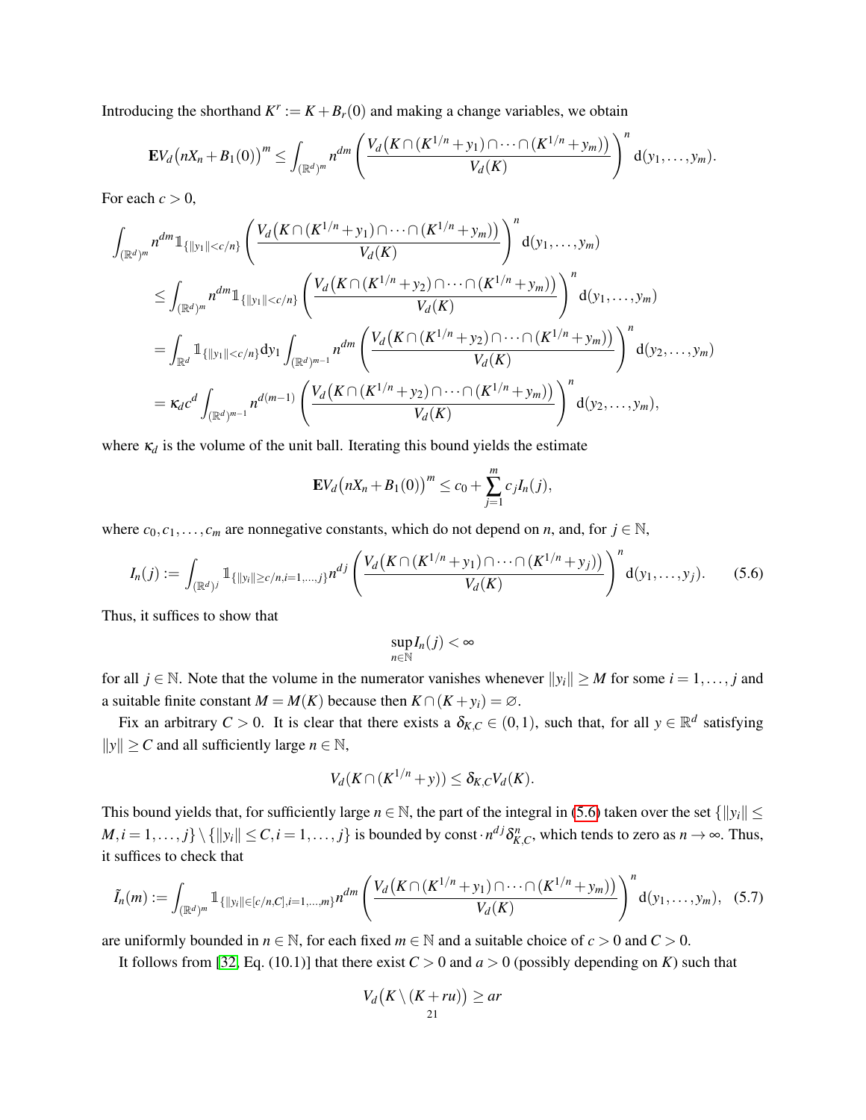Introducing the shorthand  $K^r := K + B_r(0)$  and making a change variables, we obtain

$$
\mathbf{E}V_d\big(nX_n+B_1(0)\big)^m\leq \int_{(\mathbb{R}^d)^m}n^{dm}\left(\frac{V_d\big(K\cap (K^{1/n}+y_1)\cap\cdots\cap (K^{1/n}+y_m)\big)}{V_d(K)}\right)^n d(y_1,\ldots,y_m).
$$

For each  $c > 0$ ,

$$
\int_{(\mathbb{R}^d)^m} n^{dm} 1_{\{|y_1||\n
$$
\leq \int_{(\mathbb{R}^d)^m} n^{dm} 1_{\{|y_1||\n
$$
= \int_{\mathbb{R}^d} 1_{\{|y_1||\n
$$
= \kappa_d c^d \int_{(\mathbb{R}^d)^{m-1}} n^{d(m-1)} \left( \frac{V_d(K \cap (K^{1/n} + y_2) \cap \cdots \cap (K^{1/n} + y_m))}{V_d(K)} \right)^n d(y_2, \ldots, y_m),
$$
$$
$$
$$

where  $\kappa_d$  is the volume of the unit ball. Iterating this bound yields the estimate

$$
\mathbf{E} V_d (nX_n + B_1(0))^{m} \le c_0 + \sum_{j=1}^{m} c_j I_n(j),
$$

where  $c_0, c_1, \ldots, c_m$  are nonnegative constants, which do not depend on *n*, and, for  $j \in \mathbb{N}$ ,

<span id="page-20-0"></span>
$$
I_n(j) := \int_{(\mathbb{R}^d)^j} \mathbb{1}_{\{\|y_i\| \ge c/n, i=1,\dots,j\}} n^{dj} \left( \frac{V_d\big(K \cap (K^{1/n} + y_1) \cap \dots \cap (K^{1/n} + y_j)\big)}{V_d(K)} \right)^n d(y_1, \dots, y_j).
$$
 (5.6)

Thus, it suffices to show that

$$
\sup_{n\in\mathbb{N}}I_n(j)<\infty
$$

for all  $j \in \mathbb{N}$ . Note that the volume in the numerator vanishes whenever  $||y_i|| \geq M$  for some  $i = 1, \ldots, j$  and a suitable finite constant  $M = M(K)$  because then  $K \cap (K + y_i) = \emptyset$ .

Fix an arbitrary  $C > 0$ . It is clear that there exists a  $\delta_{K,C} \in (0,1)$ , such that, for all  $y \in \mathbb{R}^d$  satisfying  $||y||$  ≥ *C* and all sufficiently large *n* ∈ N,

$$
V_d(K \cap (K^{1/n} + y)) \leq \delta_{K,C} V_d(K).
$$

This bound yields that, for sufficiently large  $n \in \mathbb{N}$ , the part of the integral in [\(5.6\)](#page-20-0) taken over the set  $\{||y_i|| \leq \ell\}$  $M, i = 1, \ldots, j$   $\setminus \{||y_i|| \le C, i = 1, \ldots, j\}$  is bounded by const $\cdot n^{dj} \delta_{K,C}^n$ , which tends to zero as  $n \to \infty$ . Thus, it suffices to check that

<span id="page-20-1"></span>
$$
\tilde{I}_n(m) := \int_{(\mathbb{R}^d)^m} \mathbb{1}_{\{\|y_i\| \in [c/n, C], i=1,\dots,m\}} n^{dm} \left( \frac{V_d\left(K \cap (K^{1/n} + y_1) \cap \dots \cap (K^{1/n} + y_m)\right)}{V_d(K)} \right)^n d(y_1, \dots, y_m), \quad (5.7)
$$

are uniformly bounded in  $n \in \mathbb{N}$ , for each fixed  $m \in \mathbb{N}$  and a suitable choice of  $c > 0$  and  $C > 0$ .

It follows from [\[32,](#page-39-3) Eq. (10.1)] that there exist  $C > 0$  and  $a > 0$  (possibly depending on *K*) such that

$$
V_d\big(K\setminus (K+ru)\big)\ge ar
$$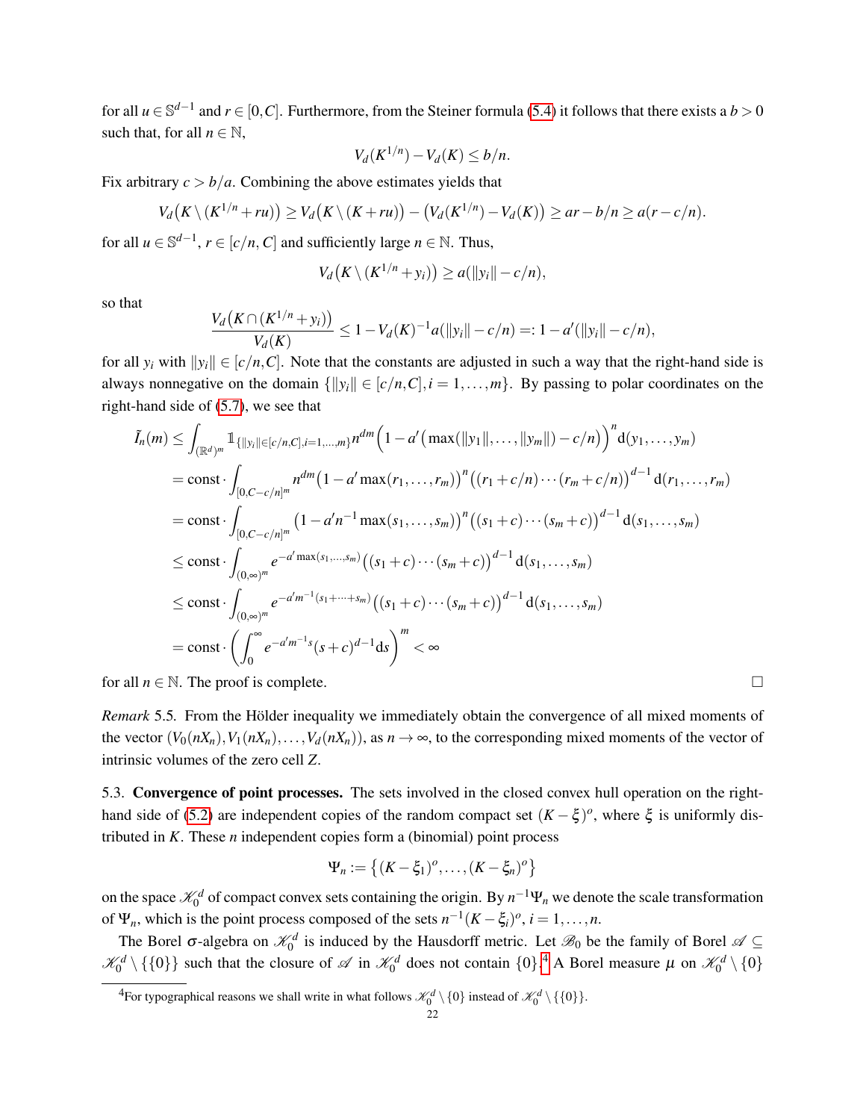for all  $u \in \mathbb{S}^{d-1}$  and  $r \in [0, C]$ . Furthermore, from the Steiner formula [\(5.4\)](#page-19-1) it follows that there exists a  $b > 0$ such that, for all  $n \in \mathbb{N}$ ,

$$
V_d(K^{1/n}) - V_d(K) \le b/n.
$$

Fix arbitrary  $c > b/a$ . Combining the above estimates yields that

$$
V_d(K\setminus (K^{1/n}+ru))\geq V_d(K\setminus (K+ru))-(V_d(K^{1/n})-V_d(K))\geq ar-b/n\geq a(r-c/n).
$$

for all  $u \in \mathbb{S}^{d-1}$ ,  $r \in [c/n, C]$  and sufficiently large  $n \in \mathbb{N}$ . Thus,

$$
V_d\big(K\setminus (K^{1/n}+y_i)\big)\ge a(\|y_i\|-c/n),
$$

so that

$$
\frac{V_d\big(K\cap (K^{1/n}+y_i)\big)}{V_d(K)}\le 1-V_d(K)^{-1}a(\|y_i\|-c/n)=:1-a'(\|y_i\|-c/n),
$$

for all  $y_i$  with  $||y_i|| \in [c/n, C]$ . Note that the constants are adjusted in such a way that the right-hand side is always nonnegative on the domain  $\{||y_i|| \in [c/n, C], i = 1, \ldots, m\}$ . By passing to polar coordinates on the right-hand side of [\(5.7\)](#page-20-1), we see that

$$
\tilde{I}_n(m) \leq \int_{(\mathbb{R}^d)^m} \mathbb{1}_{\{||y_i|| \in [c/n, C], i=1,\dots,m\}} n^{dm} \Big( 1 - a' \big( \max(||y_1||, \dots, ||y_m||) - c/n \big) \Big)^n d(y_1, \dots, y_m)
$$
\n
$$
= \text{const} \cdot \int_{[0, C-c/n]^m} n^{dm} \big( 1 - a' \max(r_1, \dots, r_m) \big)^n \big( (r_1 + c/n) \cdots (r_m + c/n) \big)^{d-1} d(r_1, \dots, r_m)
$$
\n
$$
= \text{const} \cdot \int_{[0, C-c/n]^m} \big( 1 - a' n^{-1} \max(s_1, \dots, s_m) \big)^n \big( (s_1 + c) \cdots (s_m + c) \big)^{d-1} d(s_1, \dots, s_m)
$$
\n
$$
\leq \text{const} \cdot \int_{(0, \infty)^m} e^{-a' \max(s_1, \dots, s_m)} \big( (s_1 + c) \cdots (s_m + c) \big)^{d-1} d(s_1, \dots, s_m)
$$
\n
$$
\leq \text{const} \cdot \int_{(0, \infty)^m} e^{-a' m^{-1} (s_1 + \dots + s_m)} \big( (s_1 + c) \cdots (s_m + c) \big)^{d-1} d(s_1, \dots, s_m)
$$
\n
$$
= \text{const} \cdot \left( \int_0^\infty e^{-a' m^{-1} s} (s + c)^{d-1} ds \right)^m < \infty
$$

for all  $n \in \mathbb{N}$ . The proof is complete.

*Remark* 5.5. From the Hölder inequality we immediately obtain the convergence of all mixed moments of the vector  $(V_0(nX_n), V_1(nX_n), \ldots, V_d(nX_n))$ , as  $n \to \infty$ , to the corresponding mixed moments of the vector of intrinsic volumes of the zero cell *Z*.

<span id="page-21-0"></span>5.3. Convergence of point processes. The sets involved in the closed convex hull operation on the right-hand side of [\(5.2\)](#page-16-3) are independent copies of the random compact set  $(K - \xi)^o$ , where  $\xi$  is uniformly distributed in *K*. These *n* independent copies form a (binomial) point process

$$
\Psi_n := \left\{ (K - \xi_1)^o, \ldots, (K - \xi_n)^o \right\}
$$

on the space  $\mathcal{K}_0^d$  of compact convex sets containing the origin. By  $n^{-1}\Psi_n$  we denote the scale transformation of  $\Psi_n$ , which is the point process composed of the sets  $n^{-1}(K - \xi_i)^o$ ,  $i = 1, ..., n$ .

The Borel  $\sigma$ -algebra on  $\mathcal{K}_0^d$  is induced by the Hausdorff metric. Let  $\mathcal{B}_0$  be the family of Borel  $\mathcal{A} \subseteq$  $\mathcal{K}_0^d \setminus \{\{0\}\}\$  such that the closure of  $\mathcal{A}$  in  $\mathcal{K}_0^d$  does not contain  $\{0\}$ .<sup>[4](#page-21-1)</sup> A Borel measure  $\mu$  on  $\mathcal{K}_0^d \setminus \{0\}$ 

<span id="page-21-1"></span><sup>&</sup>lt;sup>4</sup>For typographical reasons we shall write in what follows  $\mathcal{K}_0^d \setminus \{0\}$  instead of  $\mathcal{K}_0^d \setminus \{0\}$ .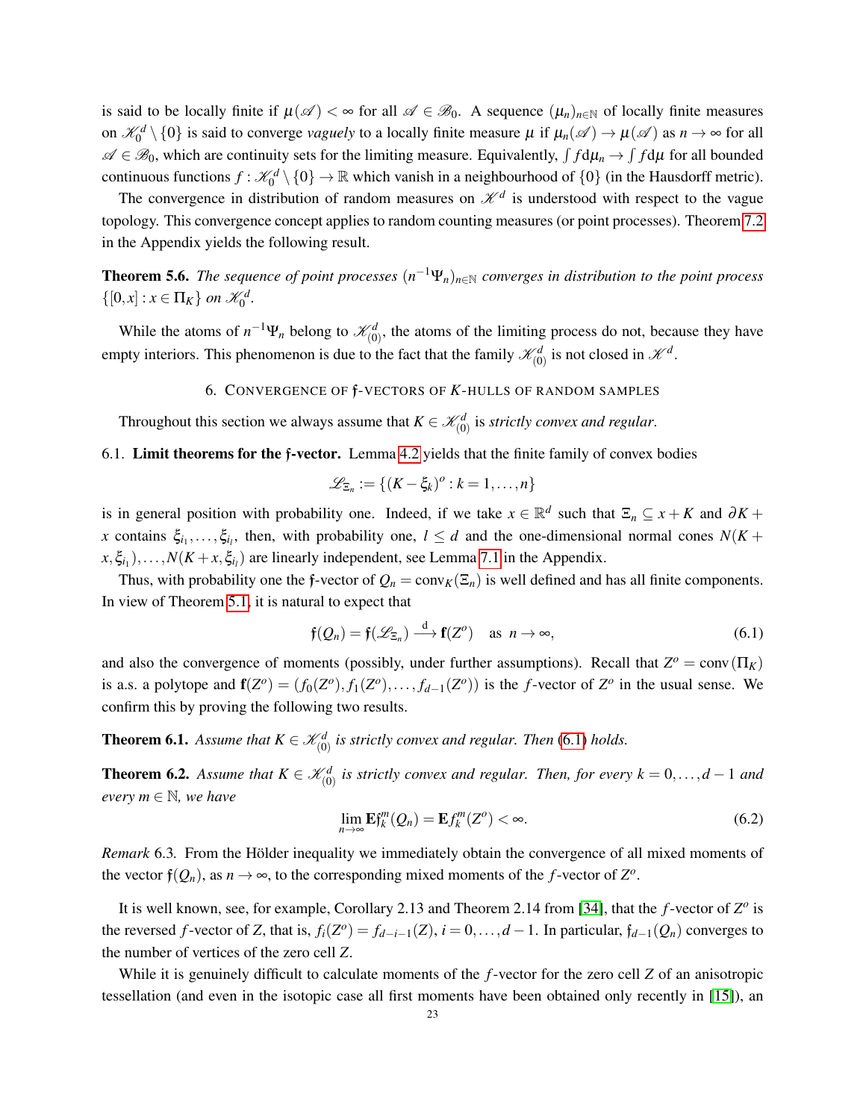is said to be locally finite if  $\mu(\mathscr{A}) < \infty$  for all  $\mathscr{A} \in \mathscr{B}_0$ . A sequence  $(\mu_n)_{n \in \mathbb{N}}$  of locally finite measures on  $\mathscr{K}_0^d\setminus\{0\}$  is said to converge *vaguely* to a locally finite measure  $\mu$  if  $\mu_n(\mathscr{A})\to\mu(\mathscr{A})$  as  $n\to\infty$  for all  $\mathscr{A} \in \mathscr{B}_0$ , which are continuity sets for the limiting measure. Equivalently,  $\int f d\mu_n \to \int f d\mu$  for all bounded continuous functions  $f: \mathcal{K}_0^d \setminus \{0\} \to \mathbb{R}$  which vanish in a neighbourhood of  $\{0\}$  (in the Hausdorff metric).

The convergence in distribution of random measures on  $\mathcal{K}^d$  is understood with respect to the vague topology. This convergence concept applies to random counting measures (or point processes). Theorem [7.2](#page-35-1) in the Appendix yields the following result.

<span id="page-22-5"></span>**Theorem 5.6.** *The sequence of point processes*  $(n^{-1}Ψ<sub>n</sub>)<sub>n∈N</sub>$  *converges in distribution to the point process*  $\{[0, x] : x \in \Pi_K\}$  on  $\mathcal{K}_0^d$ .

While the atoms of  $n^{-1}\Psi_n$  belong to  $\mathcal{K}_{(0)}^d$ , the atoms of the limiting process do not, because they have empty interiors. This phenomenon is due to the fact that the family  $\mathcal{K}_{(0)}^d$  is not closed in  $\mathcal{K}^d$ .

### 6. CONVERGENCE OF f-VECTORS OF *K*-HULLS OF RANDOM SAMPLES

<span id="page-22-0"></span>Throughout this section we always assume that  $K \in \mathcal{K}_{(0)}^d$  is *strictly convex and regular*.

<span id="page-22-1"></span>6.1. Limit theorems for the f-vector. Lemma [4.2](#page-12-2) yields that the finite family of convex bodies

$$
\mathscr{L}_{\Xi_n} := \{ (K - \xi_k)^o : k = 1, \ldots, n \}
$$

is in general position with probability one. Indeed, if we take  $x \in \mathbb{R}^d$  such that  $\Xi_n \subseteq x + K$  and  $\partial K +$ *x* contains  $\xi_{i_1}, \ldots, \xi_{i_l}$ , then, with probability one,  $l \leq d$  and the one-dimensional normal cones  $N(K +$  $(x, \xi_{i_1}), \ldots, N(K + x, \xi_{i_l})$  are linearly independent, see Lemma [7.1](#page-34-2) in the Appendix.

Thus, with probability one the f-vector of  $Q_n = \text{conv}_K(\Xi_n)$  is well defined and has all finite components. In view of Theorem [5.1,](#page-18-0) it is natural to expect that

<span id="page-22-4"></span>
$$
\mathfrak{f}(Q_n) = \mathfrak{f}(\mathscr{L}_{\Xi_n}) \xrightarrow{d} \mathbf{f}(Z^o) \quad \text{as } n \to \infty,
$$
\n(6.1)

and also the convergence of moments (possibly, under further assumptions). Recall that  $Z^{\circ} = \text{conv}(\Pi_K)$ is a.s. a polytope and  $f(Z^o) = (f_0(Z^o), f_1(Z^o), \ldots, f_{d-1}(Z^o))$  is the *f*-vector of  $Z^o$  in the usual sense. We confirm this by proving the following two results.

<span id="page-22-2"></span>**Theorem 6.1.** Assume that  $K \in \mathcal{K}_{(0)}^d$  is strictly convex and regular. Then [\(6.1\)](#page-22-4) holds.

<span id="page-22-3"></span>**Theorem 6.2.** Assume that  $K \in \mathcal{K}_{(0)}^d$  is strictly convex and regular. Then, for every  $k = 0, \ldots, d - 1$  and *every*  $m \in \mathbb{N}$ *, we have* 

$$
\lim_{n\to\infty} \mathbf{E} f_k^m(Q_n) = \mathbf{E} f_k^m(Z^o) < \infty. \tag{6.2}
$$

*Remark* 6.3. From the Hölder inequality we immediately obtain the convergence of all mixed moments of the vector  $\mathfrak{f}(Q_n)$ , as  $n \to \infty$ , to the corresponding mixed moments of the *f*-vector of  $Z^o$ .

It is well known, see, for example, Corollary 2.13 and Theorem 2.14 from [\[34\]](#page-39-5), that the *f*-vector of  $Z^o$  is the reversed *f*-vector of *Z*, that is,  $f_i(Z^o) = f_{d-i-1}(Z)$ ,  $i = 0, \ldots, d-1$ . In particular,  $f_{d-1}(Q_n)$  converges to the number of vertices of the zero cell *Z*.

While it is genuinely difficult to calculate moments of the *f*-vector for the zero cell *Z* of an anisotropic tessellation (and even in the isotopic case all first moments have been obtained only recently in [\[15\]](#page-38-15)), an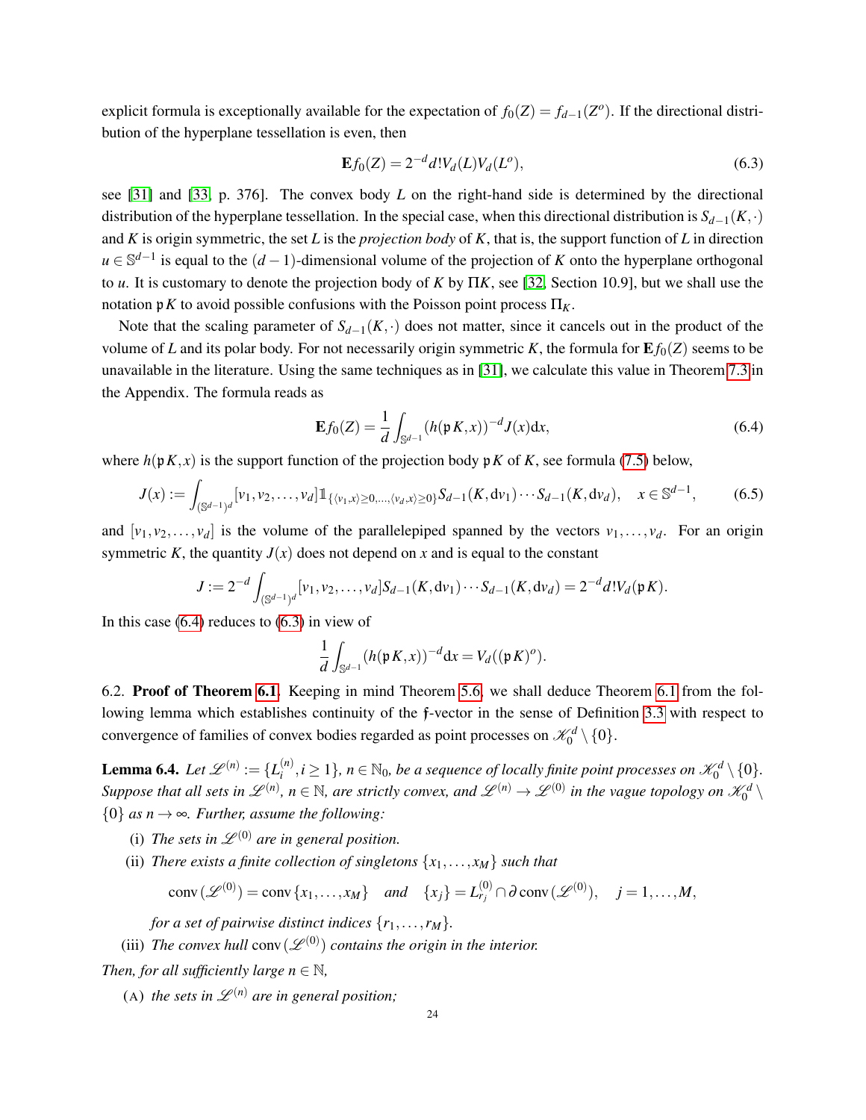explicit formula is exceptionally available for the expectation of  $f_0(Z) = f_{d-1}(Z^o)$ . If the directional distribution of the hyperplane tessellation is even, then

<span id="page-23-2"></span>
$$
\mathbf{E}f_0(Z) = 2^{-d} d! V_d(L) V_d(L^o),\tag{6.3}
$$

see [\[31\]](#page-39-2) and [\[33,](#page-39-0) p. 376]. The convex body *L* on the right-hand side is determined by the directional distribution of the hyperplane tessellation. In the special case, when this directional distribution is  $S_{d-1}(K,·)$ and *K* is origin symmetric, the set *L* is the *projection body* of *K*, that is, the support function of *L* in direction *u* ∈  $\mathbb{S}^{d-1}$  is equal to the  $(d-1)$ -dimensional volume of the projection of *K* onto the hyperplane orthogonal to *u*. It is customary to denote the projection body of *K* by Π*K*, see [\[32,](#page-39-3) Section 10.9], but we shall use the notation p*K* to avoid possible confusions with the Poisson point process Π*K*.

Note that the scaling parameter of  $S_{d-1}(K, \cdot)$  does not matter, since it cancels out in the product of the volume of *L* and its polar body. For not necessarily origin symmetric *K*, the formula for  $E f_0(Z)$  seems to be unavailable in the literature. Using the same techniques as in [\[31\]](#page-39-2), we calculate this value in Theorem [7.3](#page-36-1) in the Appendix. The formula reads as

<span id="page-23-1"></span>
$$
\mathbf{E}f_0(Z) = \frac{1}{d} \int_{\mathbb{S}^{d-1}} (h(\mathfrak{p} K, x))^{-d} J(x) dx,
$$
\n(6.4)

where  $h(pK, x)$  is the support function of the projection body p*K* of *K*, see formula [\(7.5\)](#page-36-2) below,

<span id="page-23-4"></span>
$$
J(x) := \int_{(\mathbb{S}^{d-1})^d} [\nu_1, \nu_2, \dots, \nu_d] \mathbb{1}_{\{ \langle \nu_1, x \rangle \ge 0, \dots, \langle \nu_d, x \rangle \ge 0 \}} S_{d-1}(K, d\nu_1) \cdots S_{d-1}(K, d\nu_d), \quad x \in \mathbb{S}^{d-1},
$$
 (6.5)

and  $[v_1, v_2, \ldots, v_d]$  is the volume of the parallelepiped spanned by the vectors  $v_1, \ldots, v_d$ . For an origin symmetric *K*, the quantity  $J(x)$  does not depend on *x* and is equal to the constant

$$
J := 2^{-d} \int_{(\mathbb{S}^{d-1})^d} [v_1, v_2, \dots, v_d] S_{d-1}(K, dv_1) \cdots S_{d-1}(K, dv_d) = 2^{-d} d! V_d(\mathfrak{p} K).
$$

In this case  $(6.4)$  reduces to  $(6.3)$  in view of

$$
\frac{1}{d}\int_{\mathbb{S}^{d-1}} (h(\mathfrak{p}\,K,x))^{-d} \mathrm{d} x = V_d((\mathfrak{p}\,K)^o).
$$

<span id="page-23-0"></span>6.2. Proof of Theorem [6.1.](#page-22-2) Keeping in mind Theorem [5.6,](#page-22-5) we shall deduce Theorem [6.1](#page-22-2) from the following lemma which establishes continuity of the f-vector in the sense of Definition [3.3](#page-7-4) with respect to convergence of families of convex bodies regarded as point processes on  $\mathcal{K}_0^d \setminus \{0\}.$ 

<span id="page-23-3"></span>**Lemma 6.4.** Let  $\mathscr{L}^{(n)} := \{L_i^{(n)}\}$  $\{a_i^{(n)}, i \geq 1\}$ ,  $n \in \mathbb{N}_0$ , be a sequence of locally finite point processes on  $\mathscr{K}_0^d \setminus \{0\}$ . Suppose that all sets in  $\mathscr{L}^{(n)}$ ,  $n \in \mathbb{N}$ , are strictly convex, and  $\mathscr{L}^{(n)} \to \mathscr{L}^{(0)}$  in the vague topology on  $\mathscr{K}_0^d \setminus$  ${0}$  *as n*  $\rightarrow \infty$ *. Further, assume the following:* 

- (i) The sets in  $\mathscr{L}^{(0)}$  are in general position.
- (ii) *There exists a finite collection of singletons*  $\{x_1, \ldots, x_M\}$  *such that*

$$
\operatorname{conv}(\mathscr{L}^{(0)}) = \operatorname{conv}\{x_1,\ldots,x_M\} \quad \text{and} \quad \{x_j\} = L_{r_j}^{(0)} \cap \partial \operatorname{conv}(\mathscr{L}^{(0)}), \quad j = 1,\ldots,M,
$$

*for a set of pairwise distinct indices*  $\{r_1, \ldots, r_M\}$ .

(iii) The convex hull conv $(\mathscr{L}^{(0)})$  contains the origin in the interior.

*Then, for all sufficiently large n*  $\in$  N,

(A) *the sets in*  $\mathscr{L}^{(n)}$  *are in general position;*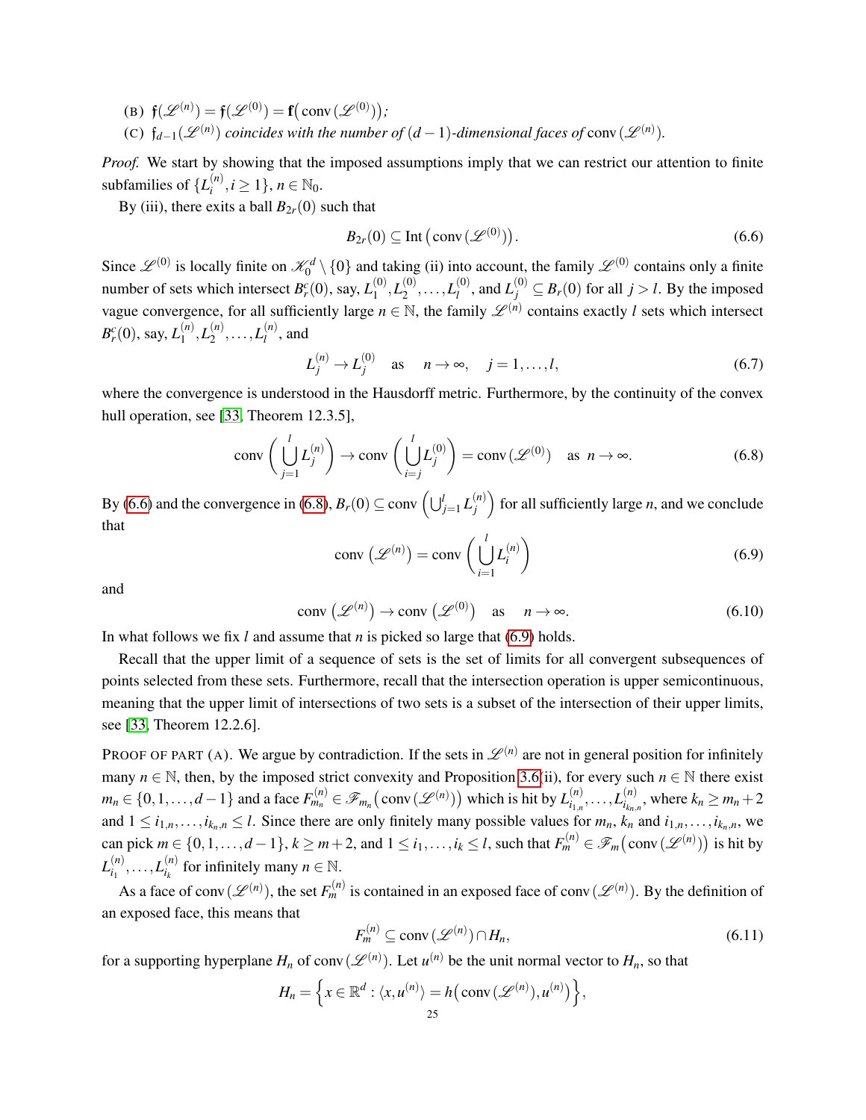- (B)  $\mathfrak{f}(\mathcal{L}^{(n)}) = \mathfrak{f}(\mathcal{L}^{(0)}) = \mathfrak{f}(\text{conv}(\mathcal{L}^{(0)}))$ ;
- (C)  $f_{d-1}(\mathcal{L}^{(n)})$  *coincides with the number of*  $(d-1)$ -dimensional faces of conv $(\mathcal{L}^{(n)})$ .

*Proof.* We start by showing that the imposed assumptions imply that we can restrict our attention to finite subfamilies of  $\{L_i^{(n)}\}$  $\binom{n}{i}, i \geq 1$ ,  $n \in \mathbb{N}_0$ .

By (iii), there exits a ball  $B_{2r}(0)$  such that

<span id="page-24-0"></span>
$$
B_{2r}(0) \subseteq \text{Int}(\text{conv}(\mathscr{L}^{(0)})).\tag{6.6}
$$

Since  $\mathscr{L}^{(0)}$  is locally finite on  $\mathscr{K}_0^d \setminus \{0\}$  and taking (ii) into account, the family  $\mathscr{L}^{(0)}$  contains only a finite number of sets which intersect  $B_r^c(0)$ , say,  $L_1^{(0)}$  $\mathcal{L}_1^{(0)}, L_2^{(0)}$  $L_2^{(0)}, \ldots, L_l^{(0)}$  $L_j^{(0)}$ , and  $L_j^{(0)} \subseteq B_r(0)$  for all  $j > l$ . By the imposed vague convergence, for all sufficiently large  $n \in \mathbb{N}$ , the family  $\mathscr{L}^{(n)}$  contains exactly *l* sets which intersect  $B_r^c(0)$ , say,  $L_1^{(n)}$  $L_1^{(n)}, L_2^{(n)}$  $L_2^{(n)}, \ldots, L_l^{(n)}$  $\mu_l^{(n)}$ , and

<span id="page-24-5"></span>
$$
L_j^{(n)} \to L_j^{(0)} \quad \text{as} \quad n \to \infty, \quad j = 1, \dots, l,\tag{6.7}
$$

where the convergence is understood in the Hausdorff metric. Furthermore, by the continuity of the convex hull operation, see [\[33,](#page-39-0) Theorem 12.3.5],

<span id="page-24-1"></span>
$$
\operatorname{conv}\left(\bigcup_{j=1}^{l} L_j^{(n)}\right) \to \operatorname{conv}\left(\bigcup_{i=j}^{l} L_j^{(0)}\right) = \operatorname{conv}\left(\mathscr{L}^{(0)}\right) \quad \text{as } n \to \infty. \tag{6.8}
$$

By [\(6.6\)](#page-24-0) and the convergence in [\(6.8\)](#page-24-1),  $B_r(0) \subseteq \text{conv} \left( \bigcup_{j=1}^l L_j^{(n)} \right)$  $\binom{n}{j}$  for all sufficiently large *n*, and we conclude that

<span id="page-24-2"></span>
$$
conv\left(\mathcal{L}^{(n)}\right) = conv\left(\bigcup_{i=1}^{l} L_i^{(n)}\right) \tag{6.9}
$$

and

<span id="page-24-3"></span>
$$
conv\left(\mathcal{L}^{(n)}\right) \to conv\left(\mathcal{L}^{(0)}\right) \quad \text{as} \quad n \to \infty. \tag{6.10}
$$

In what follows we fix *l* and assume that *n* is picked so large that [\(6.9\)](#page-24-2) holds.

Recall that the upper limit of a sequence of sets is the set of limits for all convergent subsequences of points selected from these sets. Furthermore, recall that the intersection operation is upper semicontinuous, meaning that the upper limit of intersections of two sets is a subset of the intersection of their upper limits, see [\[33,](#page-39-0) Theorem 12.2.6].

PROOF OF PART (A). We argue by contradiction. If the sets in  $\mathscr{L}^{(n)}$  are not in general position for infinitely many  $n \in \mathbb{N}$ , then, by the imposed strict convexity and Proposition [3.6\(](#page-9-2)ii), for every such  $n \in \mathbb{N}$  there exist  $m_n \in \{0, 1, \ldots, d-1\}$  and a face  $F_{m_n}^{(n)} \in \mathscr{F}_{m_n}(\text{conv}(\mathscr{L}^{(n)}))$  which is hit by  $L_{i_{1,n}}^{(n)}$  $\binom{(n)}{i_{1,n}},\ldots,L_{i_{k_n,n}}^{(n)}$  $\sum_{i_{k_n,n}}^{(n)}$ , where  $k_n \geq m_n + 2$ and  $1 \leq i_{1,n}, \ldots, i_{k_n,n} \leq l$ . Since there are only finitely many possible values for  $m_n$ ,  $k_n$  and  $i_{1,n}, \ldots, i_{k_n,n}$ , we can pick  $m \in \{0,1,\ldots,d-1\}$ ,  $k \ge m+2$ , and  $1 \le i_1,\ldots,i_k \le l$ , such that  $F_m^{(n)} \in \mathscr{F}_m\big(\text{conv}\,(\mathscr{L}^{(n)})\big)$  is hit by  $L_{i_1}^{(n)}$  $\binom{n}{i_1}, \ldots, L_{i_k}^{(n)}$  $\binom{n}{i_k}$  for infinitely many  $n \in \mathbb{N}$ .

As a face of conv $(\mathscr{L}^{(n)})$ , the set  $F_m^{(n)}$  is contained in an exposed face of conv $(\mathscr{L}^{(n)})$ . By the definition of an exposed face, this means that

<span id="page-24-4"></span>
$$
F_m^{(n)} \subseteq \text{conv}\left(\mathcal{L}^{(n)}\right) \cap H_n,\tag{6.11}
$$

for a supporting hyperplane  $H_n$  of conv $(\mathscr{L}^{(n)})$ . Let  $u^{(n)}$  be the unit normal vector to  $H_n$ , so that

$$
H_n = \left\{ x \in \mathbb{R}^d : \langle x, u^{(n)} \rangle = h(\text{conv}(\mathscr{L}^{(n)}), u^{(n)}) \right\},\,
$$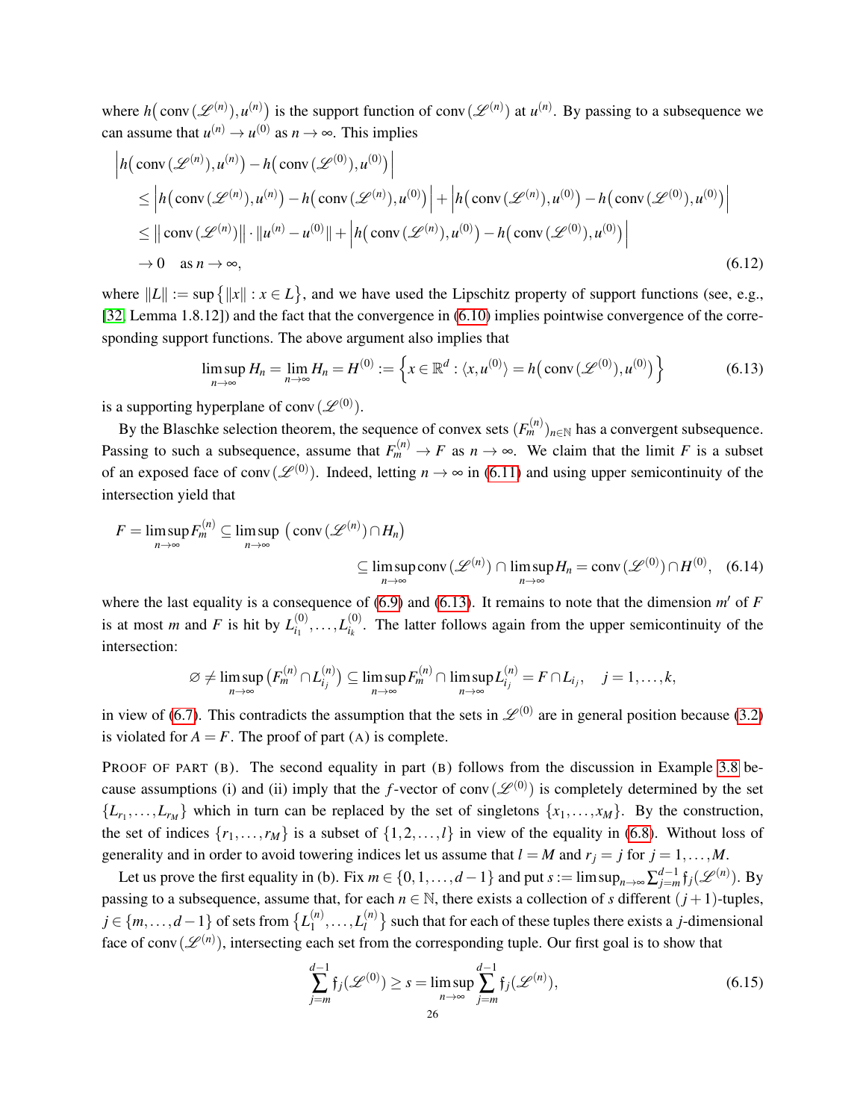where  $h(\text{conv}(\mathcal{L}^{(n)}), u^{(n)})$  is the support function of conv $(\mathcal{L}^{(n)})$  at  $u^{(n)}$ . By passing to a subsequence we can assume that  $u^{(n)} \to u^{(0)}$  as  $n \to \infty$ . This implies

$$
\left| h(\operatorname{conv}(\mathscr{L}^{(n)}), u^{(n)}) - h(\operatorname{conv}(\mathscr{L}^{(0)}), u^{(0)}) \right|
$$
  
\n
$$
\leq \left| h(\operatorname{conv}(\mathscr{L}^{(n)}), u^{(n)}) - h(\operatorname{conv}(\mathscr{L}^{(n)}), u^{(0)}) \right| + \left| h(\operatorname{conv}(\mathscr{L}^{(n)}), u^{(0)}) - h(\operatorname{conv}(\mathscr{L}^{(0)}), u^{(0)}) \right|
$$
  
\n
$$
\leq \left| |\operatorname{conv}(\mathscr{L}^{(n)})| \right| \cdot \left| u^{(n)} - u^{(0)} \right| + \left| h(\operatorname{conv}(\mathscr{L}^{(n)}), u^{(0)}) - h(\operatorname{conv}(\mathscr{L}^{(0)}), u^{(0)}) \right|
$$
  
\n
$$
\to 0 \quad \text{as } n \to \infty,
$$
 (6.12)

where  $||L|| := \sup {||x|| : x \in L}$ , and we have used the Lipschitz property of support functions (see, e.g., [\[32,](#page-39-3) Lemma 1.8.12]) and the fact that the convergence in [\(6.10\)](#page-24-3) implies pointwise convergence of the corresponding support functions. The above argument also implies that

<span id="page-25-0"></span>
$$
\limsup_{n \to \infty} H_n = \lim_{n \to \infty} H_n = H^{(0)} := \left\{ x \in \mathbb{R}^d : \langle x, u^{(0)} \rangle = h\big(\text{conv}\,(\mathcal{L}^{(0)}), u^{(0)}\big) \right\}
$$
(6.13)

is a supporting hyperplane of conv $(\mathscr{L}^{(0)})$ .

By the Blaschke selection theorem, the sequence of convex sets  $(F_m^{(n)})_{n \in \mathbb{N}}$  has a convergent subsequence. Passing to such a subsequence, assume that  $F_m^{(n)} \to F$  as  $n \to \infty$ . We claim that the limit *F* is a subset of an exposed face of conv $(\mathscr{L}^{(0)})$ . Indeed, letting  $n \to \infty$  in [\(6.11\)](#page-24-4) and using upper semicontinuity of the intersection yield that

$$
F = \limsup_{n \to \infty} F_m^{(n)} \subseteq \limsup_{n \to \infty} (\text{conv}(\mathcal{L}^{(n)}) \cap H_n)
$$
  

$$
\subseteq \limsup_{n \to \infty} \text{conv}(\mathcal{L}^{(n)}) \cap \limsup_{n \to \infty} H_n = \text{conv}(\mathcal{L}^{(0)}) \cap H^{(0)}, \quad (6.14)
$$

where the last equality is a consequence of  $(6.9)$  and  $(6.13)$ . It remains to note that the dimension  $m'$  of  $F$ is at most *m* and *F* is hit by  $L_{i_1}^{(0)}$  $\binom{(0)}{i_1},\ldots,L_{i_k}^{(0)}$  $\frac{f^{(0)}}{g_{ik}}$ . The latter follows again from the upper semicontinuity of the intersection:

<span id="page-25-2"></span>
$$
\varnothing \neq \limsup_{n \to \infty} (F_m^{(n)} \cap L_{i_j}^{(n)}) \subseteq \limsup_{n \to \infty} F_m^{(n)} \cap \limsup_{n \to \infty} L_{i_j}^{(n)} = F \cap L_{i_j}, \quad j = 1, \ldots, k,
$$

in view of [\(6.7\)](#page-24-5). This contradicts the assumption that the sets in  $\mathcal{L}^{(0)}$  are in general position because [\(3.2\)](#page-7-1) is violated for  $A = F$ . The proof of part (A) is complete.

PROOF OF PART (B). The second equality in part (B) follows from the discussion in Example [3.8](#page-10-3) because assumptions (i) and (ii) imply that the *f*-vector of conv $(\mathscr{L}^{(0)})$  is completely determined by the set  ${L_{r_1},...,L_{r_M}}$  which in turn can be replaced by the set of singletons  ${x_1,...,x_M}$ . By the construction, the set of indices  $\{r_1, \ldots, r_M\}$  is a subset of  $\{1, 2, \ldots, l\}$  in view of the equality in [\(6.8\)](#page-24-1). Without loss of generality and in order to avoid towering indices let us assume that  $l = M$  and  $r_j = j$  for  $j = 1, ..., M$ .

Let us prove the first equality in (b). Fix  $m \in \{0, 1, ..., d-1\}$  and put  $s := \limsup_{n \to \infty} \sum_{j=m}^{d-1} f_j(\mathcal{L}^{(n)})$ . By passing to a subsequence, assume that, for each  $n \in \mathbb{N}$ , there exists a collection of *s* different  $(j + 1)$ -tuples, *j* ∈ {*m*,...,*d* − 1} of sets from {*L*<sup>(*n*)</sup>  $L_1^{(n)}, \ldots, L_l^{(n)}$  $\binom{n}{l}$  such that for each of these tuples there exists a *j*-dimensional face of conv $(\mathscr{L}^{(n)})$ , intersecting each set from the corresponding tuple. Our first goal is to show that

<span id="page-25-1"></span>
$$
\sum_{j=m}^{d-1} \mathfrak{f}_j(\mathcal{L}^{(0)}) \ge s = \limsup_{n \to \infty} \sum_{j=m}^{d-1} \mathfrak{f}_j(\mathcal{L}^{(n)}),\tag{6.15}
$$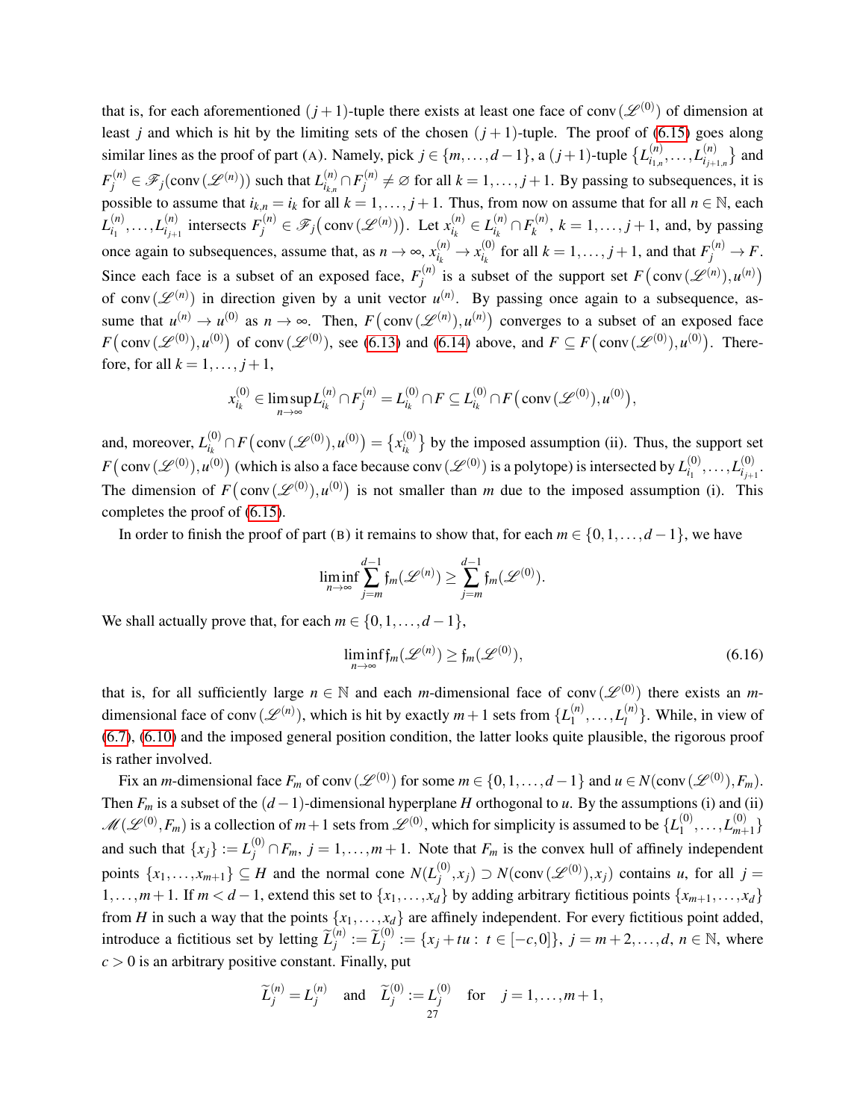that is, for each aforementioned  $(j+1)$ -tuple there exists at least one face of conv $(\mathscr{L}^{(0)})$  of dimension at least *j* and which is hit by the limiting sets of the chosen  $(j + 1)$ -tuple. The proof of [\(6.15\)](#page-25-1) goes along similar lines as the proof of part (A). Namely, pick  $j \in \{m, \ldots, d-1\}$ , a  $(j+1)$ -tuple  $\{L_{i,j}^{(n)}\}$  $\binom{(n)}{i_{1,n}},\ldots,L_{i_{j+1}}^{(n)}$  $\binom{n}{i_{j+1,n}}$  and  $F_j^{(n)} \in \mathscr{F}_j(\text{conv}\,(\mathscr{L}^{(n)}))$  such that  $L_{i_{k,n}}^{(n)}$  $f_{i_{k,n}}^{(n)} \cap F_j^{(n)}$  $j^{(n)}_j \neq \emptyset$  for all  $k = 1, ..., j + 1$ . By passing to subsequences, it is possible to assume that  $i_{k,n} = i_k$  for all  $k = 1, ..., j + 1$ . Thus, from now on assume that for all  $n \in \mathbb{N}$ , each  $L_{i_1}^{(n)}$  $\binom{(n)}{i_1},\ldots,L_{i_{j+1}}^{(n)}$  $\mathcal{F}_j^{(n)}$  intersects  $F_j^{(n)} \in \mathcal{F}_j(\text{conv}(\mathcal{L}^{(n)}))$ . Let  $x_{i_k}^{(n)}$  $i_k^{(n)} \in L_{i_k}^{(n)}$  $f_{i_k}^{(n)}$  ∩  $F_k^{(n)}$  $k_k^{(n)}$ ,  $k = 1, \ldots, j+1$ , and, by passing once again to subsequences, assume that, as  $n \to \infty$ ,  $x_{i_k}^{(n)} \to x_{i_k}^{(0)}$ *i*<sub>*k*</sub> for all  $k = 1, ..., j + 1$ , and that  $F_j^{(n)} \to F$ . Since each face is a subset of an exposed face,  $F_i^{(n)}$  $f_j^{(n)}$  is a subset of the support set  $F\left(\text{conv}\left(\mathscr{L}^{(n)}\right), u^{(n)}\right)$ of conv $(\mathscr{L}^{(n)})$  in direction given by a unit vector  $u^{(n)}$ . By passing once again to a subsequence, assume that  $u^{(n)} \to u^{(0)}$  as  $n \to \infty$ . Then,  $F(\text{conv}(\mathscr{L}^{(n)}), u^{(n)})$  converges to a subset of an exposed face  $F(\text{conv}(\mathcal{L}^{(0)}), \mathbf{u}^{(0)})$  of conv $(\mathcal{L}^{(0)})$ , see [\(6.13\)](#page-25-0) and [\(6.14\)](#page-25-2) above, and  $F \subseteq F(\text{conv}(\mathcal{L}^{(0)}), \mathbf{u}^{(0)})$ . Therefore, for all  $k = 1, \ldots, j + 1$ ,

$$
x_{i_k}^{(0)} \in \limsup_{n \to \infty} L_{i_k}^{(n)} \cap F_j^{(n)} = L_{i_k}^{(0)} \cap F \subseteq L_{i_k}^{(0)} \cap F(\text{conv}\,(\mathscr{L}^{(0)}), u^{(0)}),
$$

and, moreover,  $L_{i}^{(0)}$  $\hat{u}_k^{(0)} \cap F\big(\text{conv}\,(\mathscr{L}^{(0)}), \mathfrak{u}^{(0)}\big) = \big\{x_{i_k}^{(0)}\big\}$  $\begin{bmatrix} a^{(0)} \\ i_k \end{bmatrix}$  by the imposed assumption (ii). Thus, the support set  $F(\text{conv}(\mathcal{L}^{(0)}), u^{(0)})$  (which is also a face because conv $(\mathcal{L}^{(0)})$  is a polytope) is intersected by  $L_{i_1}^{(0)}$  $\binom{(0)}{i_1},\ldots,L_{i_{j+1}}^{(0)}$  $\frac{1}{i_{j+1}}$ . The dimension of  $F(\text{conv}(\mathcal{L}^{(0)}), u^{(0)})$  is not smaller than *m* due to the imposed assumption (i). This completes the proof of [\(6.15\)](#page-25-1).

In order to finish the proof of part (B) it remains to show that, for each  $m \in \{0, 1, ..., d - 1\}$ , we have

$$
\liminf_{n\to\infty}\sum_{j=m}^{d-1}\mathfrak{f}_m(\mathscr{L}^{(n)})\geq \sum_{j=m}^{d-1}\mathfrak{f}_m(\mathscr{L}^{(0)}).
$$

We shall actually prove that, for each  $m \in \{0, 1, \ldots, d - 1\}$ ,

<span id="page-26-0"></span>
$$
\liminf_{n \to \infty} f_m(\mathcal{L}^{(n)}) \ge f_m(\mathcal{L}^{(0)}),\tag{6.16}
$$

that is, for all sufficiently large  $n \in \mathbb{N}$  and each *m*-dimensional face of conv $(\mathscr{L}^{(0)})$  there exists an *m*dimensional face of conv $(\mathscr{L}^{(n)})$ , which is hit by exactly  $m+1$  sets from  $\{L_1^{(n)}\}$  $L_1^{(n)}, \ldots, L_l^{(n)}$  $\binom{n}{l}$ . While, in view of [\(6.7\)](#page-24-5), [\(6.10\)](#page-24-3) and the imposed general position condition, the latter looks quite plausible, the rigorous proof is rather involved.

Fix an *m*-dimensional face  $F_m$  of conv $(\mathscr{L}^{(0)})$  for some  $m \in \{0, 1, ..., d-1\}$  and  $u \in N(\text{conv}(\mathscr{L}^{(0)}), F_m)$ . Then  $F_m$  is a subset of the  $(d-1)$ -dimensional hyperplane *H* orthogonal to *u*. By the assumptions (i) and (ii)  $\mathscr{M}(\mathscr{L}^{(0)}, F_m)$  is a collection of  $m+1$  sets from  $\mathscr{L}^{(0)}$ , which for simplicity is assumed to be  $\{L_1^{(0)}\}$  $L_{1}^{(0)},\ldots,L_{m+1}^{(0)}$  $\binom{(0)}{m+1}$ and such that  $\{x_j\} := L_j^{(0)} \cap F_m$ ,  $j = 1, \ldots, m+1$ . Note that  $F_m$  is the convex hull of affinely independent points  $\{x_1, \ldots, x_{m+1}\} \subseteq H$  and the normal cone  $N(L_i^{(0)})$ *j*<sup>(0)</sup></sup>, $x_j$ ) ⊃ *N*(conv( $\mathscr{L}^{(0)}$ ), $x_j$ ) contains *u*, for all *j* = 1,...,*m* + 1. If *m* < *d* − 1, extend this set to {*x*<sub>1</sub>,...,*x<sub>d</sub>*} by adding arbitrary fictitious points {*x<sub>m+1</sub>*,...,*x<sub>d</sub>*} from *H* in such a way that the points  $\{x_1, \ldots, x_d\}$  are affinely independent. For every fictitious point added, introduce a fictitious set by letting  $\widetilde{L}_{j}^{(n)}$  $\widetilde{L}_{j}^{(n)}:=\widetilde{L}_{j}^{(0)}$ *j*<sup>(0)</sup>) : = { $x_j + tu$  : *t* ∈ [−*c*,0]}, *j* = *m* + 2,...,*d*, *n* ∈ N, where  $c > 0$  is an arbitrary positive constant. Finally, put

$$
\widetilde{L}_j^{(n)} = L_j^{(n)} \quad \text{and} \quad \widetilde{L}_j^{(0)} := L_j^{(0)} \quad \text{for} \quad j = 1, \dots, m+1,
$$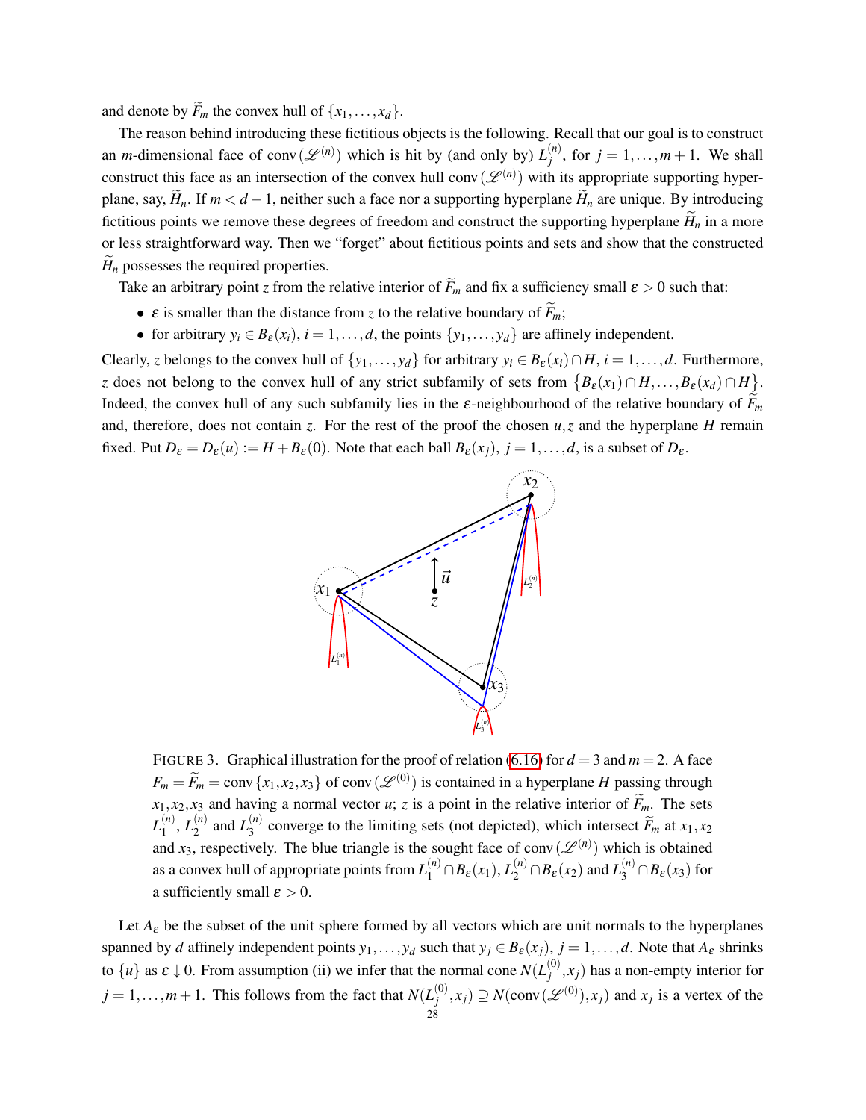and denote by  $\widetilde{F}_m$  the convex hull of  $\{x_1, \ldots, x_d\}$ .

The reason behind introducing these fictitious objects is the following. Recall that our goal is to construct an *m*-dimensional face of conv $(\mathscr{L}^{(n)})$  which is hit by (and only by)  $L_i^{(n)}$  $j^{(n)}$ , for  $j = 1, ..., m + 1$ . We shall construct this face as an intersection of the convex hull conv $(\mathscr{L}^{(n)})$  with its appropriate supporting hyperplane, say,  $H_n$ . If  $m < d-1$ , neither such a face nor a supporting hyperplane  $H_n$  are unique. By introducing fictitious points we remove these degrees of freedom and construct the supporting hyperplane  $\widetilde{H}_n$  in a more or less straightforward way. Then we "forget" about fictitious points and sets and show that the constructed  $H_n$  possesses the required properties.

Take an arbitrary point *z* from the relative interior of  $\widetilde{F}_m$  and fix a sufficiency small  $\varepsilon > 0$  such that:

- $\varepsilon$  is smaller than the distance from *z* to the relative boundary of  $\widetilde{F}_m$ ;
- for arbitrary  $y_i \in B_{\varepsilon}(x_i)$ ,  $i = 1, ..., d$ , the points  $\{y_1, ..., y_d\}$  are affinely independent.

Clearly, *z* belongs to the convex hull of  $\{y_1, \ldots, y_d\}$  for arbitrary  $y_i \in B_{\varepsilon}(x_i) \cap H$ ,  $i = 1, \ldots, d$ . Furthermore, *z* does not belong to the convex hull of any strict subfamily of sets from  $\{B_{\varepsilon}(x_1) \cap H, \ldots, B_{\varepsilon}(x_d) \cap H\}$ . Indeed, the convex hull of any such subfamily lies in the  $\varepsilon$ -neighbourhood of the relative boundary of  $F_m$ and, therefore, does not contain *z*. For the rest of the proof the chosen  $u$ , *z* and the hyperplane *H* remain fixed. Put  $D_{\varepsilon} = D_{\varepsilon}(u) := H + B_{\varepsilon}(0)$ . Note that each ball  $B_{\varepsilon}(x_j)$ ,  $j = 1, ..., d$ , is a subset of  $D_{\varepsilon}$ .



FIGURE 3. Graphical illustration for the proof of relation [\(6.16\)](#page-26-0) for  $d = 3$  and  $m = 2$ . A face  $F_m = \widetilde{F}_m = \text{conv} \{x_1, x_2, x_3\}$  of conv $(\mathscr{L}^{(0)})$  is contained in a hyperplane *H* passing through  $x_1, x_2, x_3$  and having a normal vector *u*; *z* is a point in the relative interior of  $\widetilde{F}_m$ . The sets  $L_1^{(n)}$  $L_1^{(n)}, L_2^{(n)}$  $L_2^{(n)}$  and  $L_3^{(n)}$  $\sum_{3}^{(n)}$  converge to the limiting sets (not depicted), which intersect  $F_m$  at  $x_1, x_2$ and  $x_3$ , respectively. The blue triangle is the sought face of conv $(\mathscr{L}^{(n)})$  which is obtained as a convex hull of appropriate points from  $L_1^{(n)} \cap B_\varepsilon(x_1), L_2^{(n)} \cap B_\varepsilon(x_2)$  and  $L_3^{(n)} \cap B_\varepsilon(x_3)$  for a sufficiently small  $\varepsilon > 0$ .

Let  $A_{\varepsilon}$  be the subset of the unit sphere formed by all vectors which are unit normals to the hyperplanes spanned by *d* affinely independent points  $y_1, \ldots, y_d$  such that  $y_j \in B_{\varepsilon}(x_j)$ ,  $j = 1, \ldots, d$ . Note that  $A_{\varepsilon}$  shrinks to  $\{u\}$  as  $\varepsilon \downarrow 0$ . From assumption (ii) we infer that the normal cone  $N(L_i^{(0)})$  $j^{(0)}$ ,  $x_j$ ) has a non-empty interior for  $j = 1, \ldots, m + 1$ . This follows from the fact that  $N(L_i^{(0)})$  $y_j^{(0)}, x_j$ )  $\supseteq N(\text{conv}(\mathscr{L}^{(0)}), x_j)$  and  $x_j$  is a vertex of the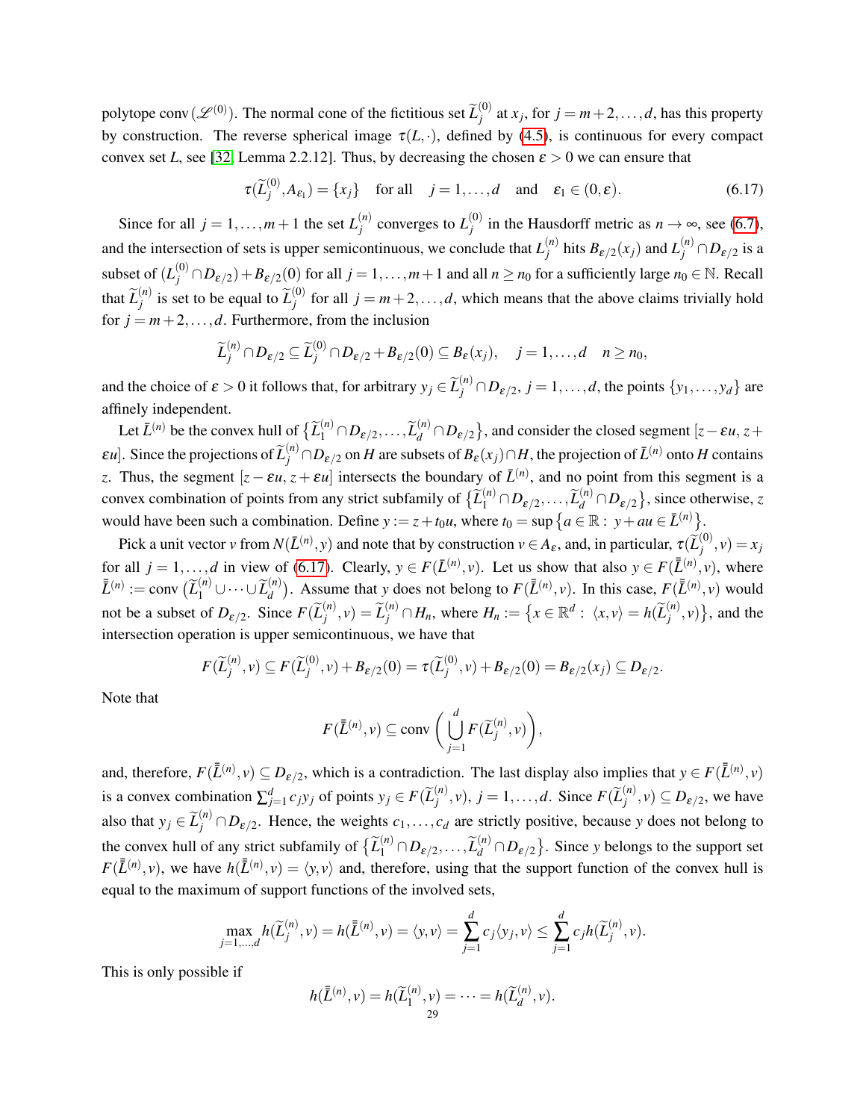polytope conv ( $\mathscr{L}^{(0)}$ ). The normal cone of the fictitious set  $\widetilde{L}_{j}^{(0)}$  $j_j^{(0)}$  at  $x_j$ , for  $j = m+2, \ldots, d$ , has this property by construction. The reverse spherical image  $\tau(L, \cdot)$ , defined by [\(4.5\)](#page-14-0), is continuous for every compact convex set *L*, see [\[32,](#page-39-3) Lemma 2.2.12]. Thus, by decreasing the chosen  $\varepsilon > 0$  we can ensure that

<span id="page-28-0"></span>
$$
\tau(\widetilde{L}_j^{(0)}, A_{\varepsilon_1}) = \{x_j\} \quad \text{for all} \quad j = 1, ..., d \quad \text{and} \quad \varepsilon_1 \in (0, \varepsilon). \tag{6.17}
$$

Since for all  $j = 1, ..., m+1$  the set  $L_i^{(n)}$  $\binom{n}{j}$  converges to  $L_j^{(0)}$  $j_j^{(0)}$  in the Hausdorff metric as  $n \to \infty$ , see [\(6.7\)](#page-24-5), and the intersection of sets is upper semicontinuous, we conclude that  $L_i^{(n)}$  $\frac{d^{(n)}}{d^{j}}$  hits  $B_{\varepsilon/2}(x_{j})$  and  $L_{j}^{(n)} \cap D_{\varepsilon/2}$  is a subset of  $(L_j^{(0)} \cap D_{\varepsilon/2}) + B_{\varepsilon/2}(0)$  for all  $j = 1, ..., m+1$  and all  $n \ge n_0$  for a sufficiently large  $n_0 \in \mathbb{N}$ . Recall that  $\widetilde{L}_{j}^{(n)}$  $\widetilde{L}_j^{(n)}$  is set to be equal to  $\widetilde{L}_j^{(0)}$  $j_j^{(0)}$  for all  $j = m+2, \ldots, d$ , which means that the above claims trivially hold for  $j = m+2, \ldots, d$ . Furthermore, from the inclusion

$$
\widetilde{L}_j^{(n)} \cap D_{\varepsilon/2} \subseteq \widetilde{L}_j^{(0)} \cap D_{\varepsilon/2} + B_{\varepsilon/2}(0) \subseteq B_{\varepsilon}(x_j), \quad j = 1, \ldots, d \quad n \ge n_0,
$$

and the choice of  $\varepsilon > 0$  it follows that, for arbitrary  $y_j \in \tilde{L}_j^{(n)} \cap D_{\varepsilon/2}$ ,  $j = 1, ..., d$ , the points  $\{y_1, ..., y_d\}$  are affinely independent.

Let  $\bar{L}^{(n)}$  be the convex hull of  $\{ \widetilde{L}_1^{(n)} \cap D_{\varepsilon/2}, \ldots, \widetilde{L}_d^{(n)} \cap D_{\varepsilon/2} \}$ , and consider the closed segment  $[z - \varepsilon u, z + \widetilde{L}_d^{(n)}]$ *εu*]. Since the projections of  $\widetilde{L}_{j}^{(n)} \cap D_{\varepsilon/2}$  on *H* are subsets of  $B_{\varepsilon}(x_j) \cap H$ , the projection of  $\overline{L}^{(n)}$  onto *H* contains *z*. Thus, the segment  $[z - \varepsilon u, z + \varepsilon u]$  intersects the boundary of  $\bar{L}^{(n)}$ , and no point from this segment is a convex combination of points from any strict subfamily of  $\{\widetilde{L}_1^{(n)} \cap D_{\varepsilon/2}, \ldots, \widetilde{L}_d^{(n)} \cap D_{\varepsilon/2}\}$ , since otherwise, *z* would have been such a combination. Define  $y := z + t_0 u$ , where  $t_0 = \sup \{ a \in \mathbb{R} : y + au \in \overline{L}^{(n)} \}.$ 

Pick a unit vector *v* from  $N(\bar{L}^{(n)}, y)$  and note that by construction  $v \in A_{\varepsilon}$ , and, in particular,  $\tau(\widetilde{L}^{(0)}_j)$  $j^{(0)}$ ,  $v$ ) =  $x_j$ for all  $j = 1, ..., d$  in view of [\(6.17\)](#page-28-0). Clearly,  $y \in F(\bar{L}^{(n)}, v)$ . Let us show that also  $y \in F(\bar{L}^{(n)}, v)$ , where  $\overline{\overline{L}}^{(n)} := \text{conv} \left( \widetilde{L}_1^{(n)} \cup \cdots \cup \widetilde{L}_d^{(n)} \right)$  $\left(\frac{n}{d}\right)$ . Assume that *y* does not belong to  $F(\bar{L}^{(n)}, v)$ . In this case,  $F(\bar{L}^{(n)}, v)$  would not be a subset of  $D_{\varepsilon/2}$ . Since  $F(\widetilde{L}_j^{(n)})$  $\widetilde{L}_j^{(n)}, v$  =  $\widetilde{L}_j^{(n)} \cap H_n$ , where  $H_n := \{x \in \mathbb{R}^d : \langle x, v \rangle = h(\widetilde{L}_j^{(n)})\}$  $\{n^{\prime n}, v\}$ , and the intersection operation is upper semicontinuous, we have that

$$
F(\widetilde{L}_{j}^{(n)}, v) \subseteq F(\widetilde{L}_{j}^{(0)}, v) + B_{\varepsilon/2}(0) = \tau(\widetilde{L}_{j}^{(0)}, v) + B_{\varepsilon/2}(0) = B_{\varepsilon/2}(x_{j}) \subseteq D_{\varepsilon/2}
$$

.

Note that

$$
F(\bar{\bar{L}}^{(n)}, v) \subseteq \text{conv}\,\bigg(\bigcup_{j=1}^d F(\widetilde{L}_j^{(n)}, v)\bigg),\,
$$

and, therefore,  $F(\bar{L}^{(n)}, v) \subseteq D_{\varepsilon/2}$ , which is a contradiction. The last display also implies that  $y \in F(\bar{L}^{(n)}, v)$ is a convex combination  $\sum_{j=1}^{d} c_j y_j$  of points  $y_j \in F(\widetilde{L}_j^{(n)})$  $j^{(n)}$ , *v*),  $j = 1, ..., d$ . Since  $F(\widetilde{L}_{j}^{(n)})$  $\mathcal{D}_{\varepsilon/2}^{(n)}$ ,  $v) \subseteq D_{\varepsilon/2}$ , we have also that  $y_j \in \tilde{L}_j^{(n)} \cap D_{\varepsilon/2}$ . Hence, the weights  $c_1, \ldots, c_d$  are strictly positive, because *y* does not belong to the convex hull of any strict subfamily of  $\{\widetilde{L}_1^{(n)} \cap D_{\varepsilon/2}, \ldots, \widetilde{L}_d^{(n)} \cap D_{\varepsilon/2}\}$ . Since *y* belongs to the support set  $F(\bar{L}^{(n)}, v)$ , we have  $h(\bar{L}^{(n)}, v) = \langle y, v \rangle$  and, therefore, using that the support function of the convex hull is equal to the maximum of support functions of the involved sets,

$$
\max_{j=1,\dots,d} h(\widetilde{L}_j^{(n)}, v) = h(\overline{L}^{(n)}, v) = \langle y, v \rangle = \sum_{j=1}^d c_j \langle y_j, v \rangle \le \sum_{j=1}^d c_j h(\widetilde{L}_j^{(n)}, v).
$$

This is only possible if

$$
h(\overline{\tilde{L}}^{(n)}, v) = h(\widetilde{L}_1^{(n)}, v) = \cdots = h(\widetilde{L}_d^{(n)}, v).
$$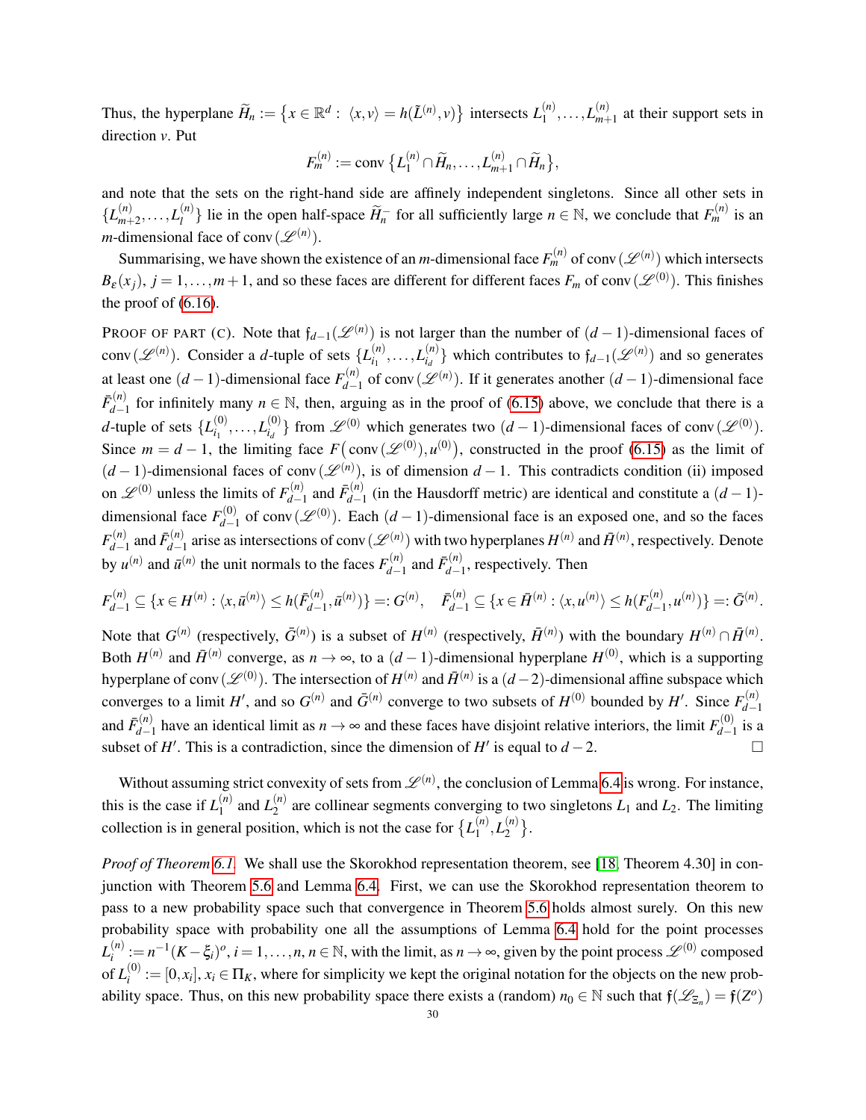Thus, the hyperplane  $\widetilde{H}_n := \{ x \in \mathbb{R}^d : \langle x, v \rangle = h(\widetilde{L}^{(n)}, v) \}$  intersects  $L_1^{(n)}$  $L_{1}^{(n)}, \ldots, L_{m+1}^{(n)}$  $\binom{n}{m+1}$  at their support sets in direction *v*. Put

$$
F_m^{(n)} := \text{conv }\big\{L_1^{(n)} \cap \widetilde{H}_n, \ldots, L_{m+1}^{(n)} \cap \widetilde{H}_n \big\},\
$$

and note that the sets on the right-hand side are affinely independent singletons. Since all other sets in  ${L}^{(n)}_{m+}$  $L_{m+2}^{(n)}, \ldots, L_l^{(n)}$  $\{n\}$  lie in the open half-space  $\widetilde{H}_n^-$  for all sufficiently large  $n \in \mathbb{N}$ , we conclude that  $F_m^{(n)}$  is an *m*-dimensional face of conv $(\mathscr{L}^{(n)})$ .

Summarising, we have shown the existence of an *m*-dimensional face  $F_m^{(n)}$  of conv $(\mathscr{L}^{(n)})$  which intersects  $B_{\varepsilon}(x_j)$ ,  $j = 1, \ldots, m+1$ , and so these faces are different for different faces  $F_m$  of conv $(\mathscr{L}^{(0)})$ . This finishes the proof of [\(6.16\)](#page-26-0).

PROOF OF PART (C). Note that  $f_{d-1}(\mathcal{L}^{(n)})$  is not larger than the number of  $(d-1)$ -dimensional faces of conv $(\mathscr{L}^{(n)})$ . Consider a *d*-tuple of sets  $\{L_{i}^{(n)}\}$  $\binom{n}{i_1}, \ldots, L_{i_d}^{(n)}$  $\binom{n}{i_d}$  which contributes to  $f_{d-1}(\mathscr{L}^{(n)})$  and so generates at least one  $(d-1)$ -dimensional face  $F_{d-1}^{(n)}$  $\mathcal{L}_{d-1}^{(n)}$  of conv $(\mathcal{L}^{(n)})$ . If it generates another  $(d-1)$ -dimensional face  $\bar{F}_{d-}^{(n)}$  $a_{d-1}^{(n)}$  for infinitely many  $n \in \mathbb{N}$ , then, arguing as in the proof of [\(6.15\)](#page-25-1) above, we conclude that there is a *d*-tuple of sets  $\{L_i^{(0)}\}$  $\bar{L}_{i_1}^{(0)}, \ldots, L_{i_d}^{(0)}$  $\mathcal{L}^{(0)}_{i_d}$ } from  $\mathcal{L}^{(0)}$  which generates two  $(d-1)$ -dimensional faces of conv $(\mathcal{L}^{(0)})$ . Since  $m = d - 1$ , the limiting face  $F(\text{conv}(\mathcal{L}^{(0)}), u^{(0)})$ , constructed in the proof [\(6.15\)](#page-25-1) as the limit of  $(d-1)$ -dimensional faces of conv $(\mathscr{L}^{(n)})$ , is of dimension  $d-1$ . This contradicts condition (ii) imposed on  $\mathscr{L}^{(0)}$  unless the limits of  $F_{d-}^{(n)}$  $\bar{F}_{d-1}^{(n)}$  and  $\bar{F}_{d-1}^{(n)}$  $d_{d-1}^{(n)}$  (in the Hausdorff metric) are identical and constitute a  $(d-1)$ dimensional face  $F_{d-}^{(0)}$  $d_{d-1}^{(0)}$  of conv $(\mathscr{L}^{(0)})$ . Each  $(d-1)$ -dimensional face is an exposed one, and so the faces  $F_{d-}^{(n)}$  $\bar{F}_{d-1}^{(n)}$  and  $\bar{F}_{d-1}^{(n)}$  $d_{d-1}^{(n)}$  arise as intersections of conv $(\mathscr{L}^{(n)})$  with two hyperplanes  $H^{(n)}$  and  $\bar{H}^{(n)}$ , respectively. Denote by  $u^{(n)}$  and  $\bar{u}^{(n)}$  the unit normals to the faces  $F_{d-1}^{(n)}$  $\bar{F}_{d-1}^{(n)}$  and  $\bar{F}_{d-1}^{(n)}$  $d_{d-1}^{(n)}$ , respectively. Then

$$
F_{d-1}^{(n)} \subseteq \{x \in H^{(n)} : \langle x, \bar{u}^{(n)} \rangle \le h(\bar{F}_{d-1}^{(n)}, \bar{u}^{(n)})\} =: G^{(n)}, \quad \bar{F}_{d-1}^{(n)} \subseteq \{x \in \bar{H}^{(n)} : \langle x, u^{(n)} \rangle \le h(F_{d-1}^{(n)}, u^{(n)})\} =: \bar{G}^{(n)}.
$$

Note that  $G^{(n)}$  (respectively,  $\bar{G}^{(n)}$ ) is a subset of  $H^{(n)}$  (respectively,  $\bar{H}^{(n)}$ ) with the boundary  $H^{(n)} \cap \bar{H}^{(n)}$ . Both  $H^{(n)}$  and  $\bar{H}^{(n)}$  converge, as  $n \to \infty$ , to a  $(d-1)$ -dimensional hyperplane  $H^{(0)}$ , which is a supporting hyperplane of conv $(\mathscr{L}^{(0)})$ . The intersection of  $H^{(n)}$  and  $\bar{H}^{(n)}$  is a  $(d-2)$ -dimensional affine subspace which converges to a limit *H'*, and so  $G^{(n)}$  and  $\bar{G}^{(n)}$  converge to two subsets of  $H^{(0)}$  bounded by *H'*. Since  $F^{(n)}_{d-1}$ *d*−1 and  $\bar{F}_{d-}^{(n)}$  $a_{d-1}^{(n)}$  have an identical limit as  $n \to \infty$  and these faces have disjoint relative interiors, the limit  $F_{d-1}^{(0)}$  $\int_{d-1}^{(0)}$  is a subset of *H'*. This is a contradiction, since the dimension of *H'* is equal to *d* − 2.

Without assuming strict convexity of sets from  $\mathcal{L}^{(n)}$ , the conclusion of Lemma [6.4](#page-23-3) is wrong. For instance, this is the case if  $L_1^{(n)}$  $L_1^{(n)}$  and  $L_2^{(n)}$  $\chi_2^{(n)}$  are collinear segments converging to two singletons  $L_1$  and  $L_2$ . The limiting collection is in general position, which is not the case for  $\{L_1^{(n)}\}$  $L_1^{(n)}, L_2^{(n)}$  $\binom{n}{2}$ .

*Proof of Theorem [6.1.](#page-22-2)* We shall use the Skorokhod representation theorem, see [\[18,](#page-38-16) Theorem 4.30] in conjunction with Theorem [5.6](#page-22-5) and Lemma [6.4.](#page-23-3) First, we can use the Skorokhod representation theorem to pass to a new probability space such that convergence in Theorem [5.6](#page-22-5) holds almost surely. On this new probability space with probability one all the assumptions of Lemma [6.4](#page-23-3) hold for the point processes  $L_i^{(n)}$  $a_i^{(n)} := n^{-1}(K - \xi_i)^o$ , *i* = 1,...,*n*, *n* ∈ ℕ, with the limit, as *n* → ∞, given by the point process  $\mathscr{L}^{(0)}$  composed of  $L_i^{(0)}$  $i^{(0)} := [0, x_i], x_i \in \Pi_K$ , where for simplicity we kept the original notation for the objects on the new probability space. Thus, on this new probability space there exists a (random)  $n_0 \in \mathbb{N}$  such that  $f(\mathcal{L}_{\Xi_n}) = f(Z^o)$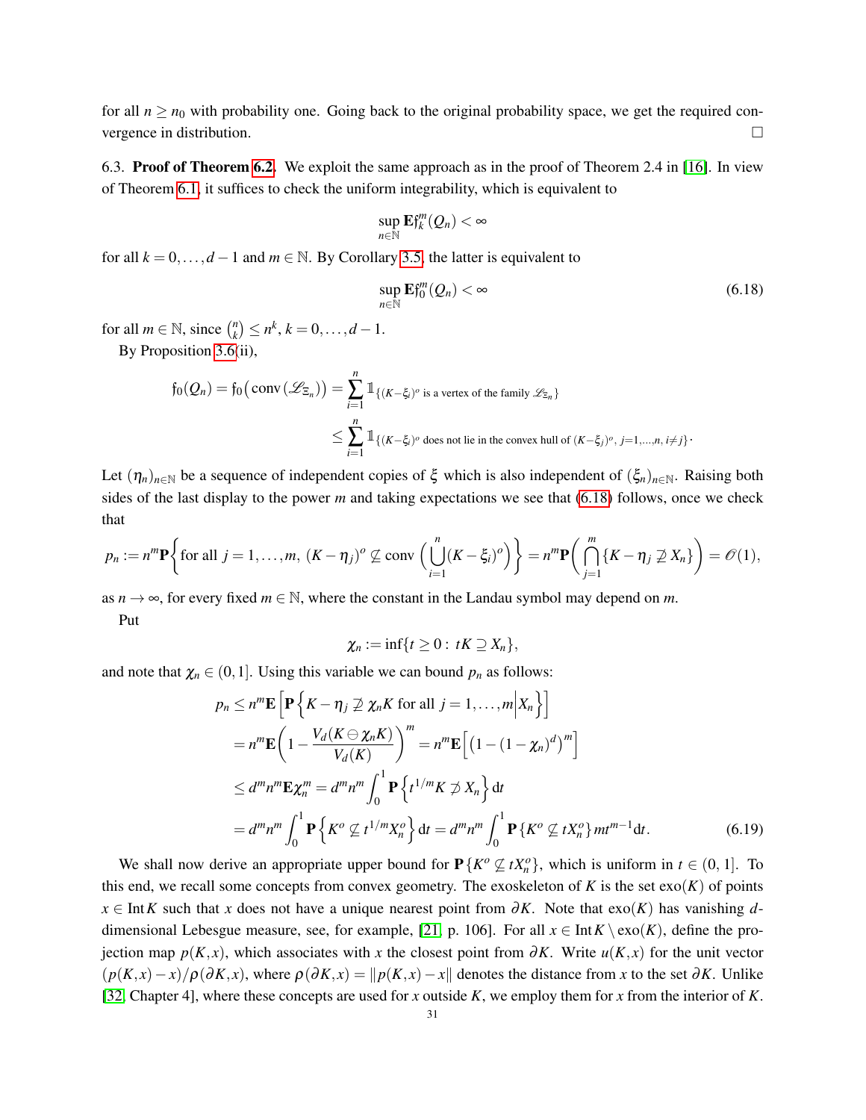for all  $n \ge n_0$  with probability one. Going back to the original probability space, we get the required convergence in distribution.

<span id="page-30-0"></span>6.3. Proof of Theorem [6.2.](#page-22-3) We exploit the same approach as in the proof of Theorem 2.4 in [\[16\]](#page-38-2). In view of Theorem [6.1,](#page-22-2) it suffices to check the uniform integrability, which is equivalent to

$$
\sup_{n\in\mathbb{N}}\mathbf{E} f_k^m(Q_n)<\infty
$$

for all  $k = 0, \ldots, d - 1$  and  $m \in \mathbb{N}$ . By Corollary [3.5,](#page-9-3) the latter is equivalent to

<span id="page-30-1"></span>
$$
\sup_{n\in\mathbb{N}} \mathbf{E} f_0^m(Q_n) < \infty \tag{6.18}
$$

for all  $m \in \mathbb{N}$ , since  $\binom{n}{k}$  $\binom{n}{k} \leq n^k, k = 0, \ldots, d - 1.$ 

By Proposition [3.6\(](#page-9-2)ii),

$$
\begin{split} \mathfrak{f}_0(\mathcal{Q}_n) = \mathfrak{f}_0\big(\mathop{\mathrm{conv}}\nolimits\left(\mathscr{L}_{\Xi_n}\right)\big) &= \sum_{i=1}^n \mathbb{1}_{\{(K-\xi_i)^o \text{ is a vertex of the family }\mathscr{L}_{\Xi_n}\}} \\ &\leq \sum_{i=1}^n \mathbb{1}_{\{(K-\xi_i)^o \text{ does not lie in the convex hull of }(K-\xi_j)^o, \, j=1,\dots,n, \, i\neq j\}}. \end{split}
$$

Let  $(\eta_n)_{n\in\mathbb{N}}$  be a sequence of independent copies of  $\xi$  which is also independent of  $(\xi_n)_{n\in\mathbb{N}}$ . Raising both sides of the last display to the power *m* and taking expectations we see that [\(6.18\)](#page-30-1) follows, once we check that

$$
p_n := n^m \mathbf{P} \bigg\{ \text{for all } j = 1, \ldots, m, \ (K - \eta_j)^o \not\subseteq \text{conv} \left( \bigcup_{i=1}^n (K - \xi_i)^o \right) \bigg\} = n^m \mathbf{P} \bigg( \bigcap_{j=1}^m \{ K - \eta_j \not\supseteq X_n \} \bigg) = \mathcal{O}(1),
$$

as  $n \to \infty$ , for every fixed  $m \in \mathbb{N}$ , where the constant in the Landau symbol may depend on *m*.

Put

<span id="page-30-2"></span>
$$
\chi_n:=\inf\{t\geq 0:\ tK\supseteq X_n\},\
$$

and note that  $\chi_n \in (0,1]$ . Using this variable we can bound  $p_n$  as follows:

$$
p_n \le n^m \mathbf{E} \left[ \mathbf{P} \left\{ K - \eta_j \not\supseteq \chi_n K \text{ for all } j = 1, ..., m \middle| X_n \right\} \right]
$$
  
\n
$$
= n^m \mathbf{E} \left( 1 - \frac{V_d(K \ominus \chi_n K)}{V_d(K)} \right)^m = n^m \mathbf{E} \left[ \left( 1 - (1 - \chi_n)^d \right)^m \right]
$$
  
\n
$$
\le d^m n^m \mathbf{E} \chi_n^m = d^m n^m \int_0^1 \mathbf{P} \left\{ t^{1/m} K \not\supseteq X_n \right\} dt
$$
  
\n
$$
= d^m n^m \int_0^1 \mathbf{P} \left\{ K^o \not\subseteq t^{1/m} X_n^o \right\} dt = d^m n^m \int_0^1 \mathbf{P} \left\{ K^o \not\subseteq t X_n^o \right\} m^{m-1} dt.
$$
 (6.19)

We shall now derive an appropriate upper bound for  $P\{K^o \not\subseteq tX^o_n\}$ , which is uniform in  $t \in (0, 1]$ . To this end, we recall some concepts from convex geometry. The exoskeleton of  $K$  is the set  $\text{exo}(K)$  of points *x* ∈ Int*K* such that *x* does not have a unique nearest point from  $\partial K$ . Note that exo(*K*) has vanishing *d*-dimensional Lebesgue measure, see, for example, [\[21,](#page-38-13) p. 106]. For all  $x \in Int K \setminus \text{exo}(K)$ , define the projection map  $p(K, x)$ , which associates with x the closest point from  $\partial K$ . Write  $u(K, x)$  for the unit vector  $(p(K, x) - x)/p(\partial K, x)$ , where  $p(\partial K, x) = ||p(K, x) - x||$  denotes the distance from *x* to the set ∂*K*. Unlike [\[32,](#page-39-3) Chapter 4], where these concepts are used for *x* outside *K*, we employ them for *x* from the interior of *K*.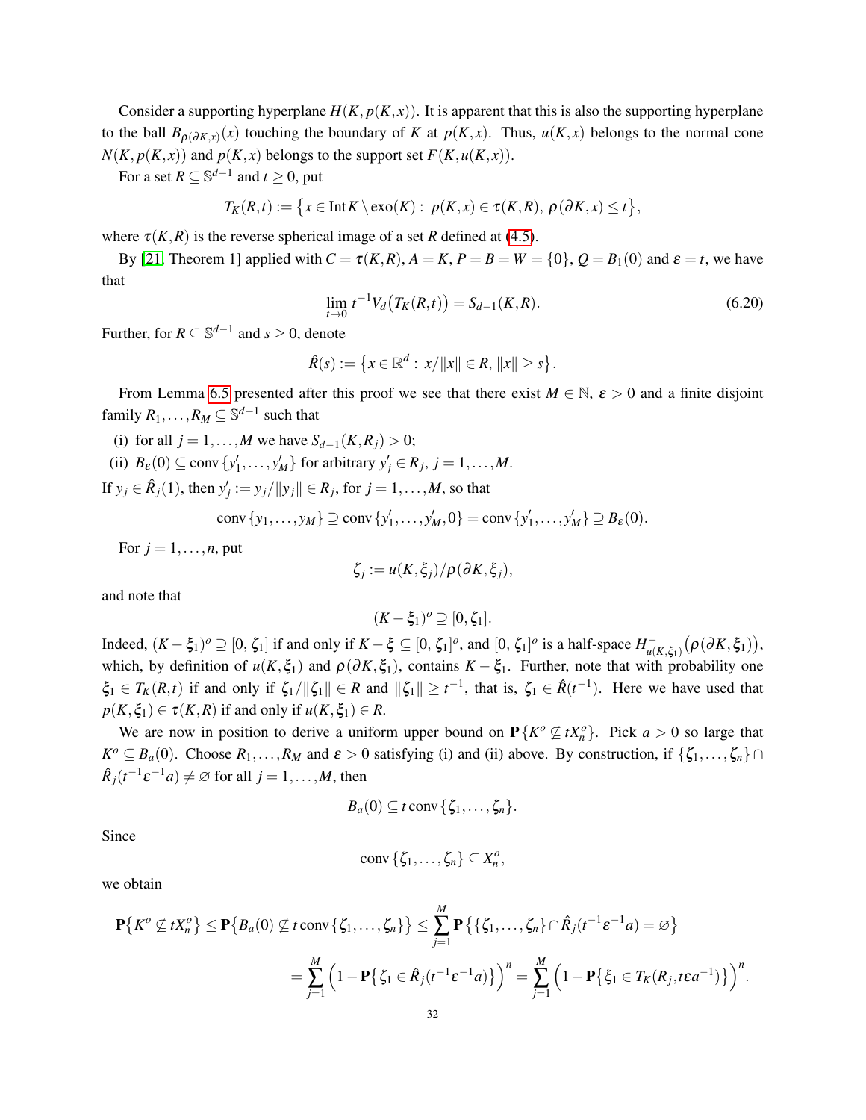Consider a supporting hyperplane  $H(K, p(K, x))$ . It is apparent that this is also the supporting hyperplane to the ball  $B_{\rho(\partial K,x)}(x)$  touching the boundary of *K* at  $p(K,x)$ . Thus,  $u(K,x)$  belongs to the normal cone  $N(K, p(K, x))$  and  $p(K, x)$  belongs to the support set  $F(K, u(K, x))$ .

For a set  $R \subseteq \mathbb{S}^{d-1}$  and  $t \ge 0$ , put

$$
T_K(R,t) := \big\{ x \in \text{Int } K \setminus \text{exo}(K) : p(K,x) \in \tau(K,R), \, \rho(\partial K,x) \leq t \big\},
$$

where  $\tau(K,R)$  is the reverse spherical image of a set *R* defined at [\(4.5\)](#page-14-0).

By [\[21,](#page-38-13) Theorem 1] applied with  $C = \tau(K,R)$ ,  $A = K$ ,  $P = B = W = \{0\}$ ,  $Q = B_1(0)$  and  $\varepsilon = t$ , we have that

<span id="page-31-0"></span>
$$
\lim_{t \to 0} t^{-1} V_d \big( T_K(R, t) \big) = S_{d-1}(K, R). \tag{6.20}
$$

Further, for  $R \subseteq \mathbb{S}^{d-1}$  and  $s \ge 0$ , denote

$$
\hat{R}(s) := \{ x \in \mathbb{R}^d : x/||x|| \in R, ||x|| \geq s \}.
$$

From Lemma [6.5](#page-32-1) presented after this proof we see that there exist  $M \in \mathbb{N}$ ,  $\varepsilon > 0$  and a finite disjoint family  $R_1, \ldots, R_M \subseteq \mathbb{S}^{d-1}$  such that

(i) for all  $j = 1, ..., M$  we have  $S_{d-1}(K, R_j) > 0$ ; (ii)  $B_{\varepsilon}(0) \subseteq \text{conv}\{y'_1, \ldots, y'_M\}$  for arbitrary  $y'_j \in R_j$ ,  $j = 1, \ldots, M$ .

If  $y_j \in \hat{R}_j(1)$ , then  $y'_j := y_j / ||y_j|| \in R_j$ , for  $j = 1, ..., M$ , so that

conv  $\{y_1, ..., y_M\} \supseteq \text{conv } \{y'_1, ..., y'_M, 0\} = \text{conv } \{y'_1, ..., y'_M\} \supseteq B_{\varepsilon}(0)$ .

For  $j = 1, \ldots, n$ , put

$$
\zeta_j := u(K,\xi_j)/\rho(\partial K,\xi_j),
$$

and note that

$$
(K-\xi_1)^o\supseteq[0,\zeta_1].
$$

Indeed,  $(K - \xi_1)^o \supseteq [0, \zeta_1]$  if and only if  $K - \xi \subseteq [0, \zeta_1]^o$ , and  $[0, \zeta_1]^o$  is a half-space  $H_{\mu}^ \int_{u(K,\xi_1)}^{-} \bigl(\rho(\partial K,\xi_1)\bigr),$ which, by definition of  $u(K, \xi_1)$  and  $\rho(\partial K, \xi_1)$ , contains  $K - \xi_1$ . Further, note that with probability one  $\xi_1 \in T_K(R,t)$  if and only if  $\zeta_1/\|\zeta_1\| \in R$  and  $\|\zeta_1\| \ge t^{-1}$ , that is,  $\zeta_1 \in \hat{R}(t^{-1})$ . Here we have used that  $p(K, \xi_1) \in \tau(K, R)$  if and only if  $u(K, \xi_1) \in R$ .

We are now in position to derive a uniform upper bound on  $P\{K^o \not\subseteq tX^o_n\}$ . Pick  $a > 0$  so large that  $K^o \subseteq B_a(0)$ . Choose  $R_1, \ldots, R_M$  and  $\varepsilon > 0$  satisfying (i) and (ii) above. By construction, if  $\{\zeta_1, \ldots, \zeta_n\} \cap$  $\hat{R}_j(t^{-1}\varepsilon^{-1}a) \neq \varnothing$  for all  $j = 1, \ldots, M$ , then

$$
B_a(0) \subseteq t \operatorname{conv} \{ \zeta_1, \ldots, \zeta_n \}.
$$

Since

$$
\operatorname{conv}\left\{ \zeta_1,\ldots,\zeta_n\right\} \subseteq X_n^o,
$$

we obtain

$$
\mathbf{P}\{K^o \not\subseteq tX_n^o\} \leq \mathbf{P}\{B_a(0) \not\subseteq t \text{ conv }\{\zeta_1,\ldots,\zeta_n\}\} \leq \sum_{j=1}^M \mathbf{P}\{\{\zeta_1,\ldots,\zeta_n\} \cap \hat{R}_j(t^{-1}\varepsilon^{-1}a) = \varnothing\}
$$
  
= 
$$
\sum_{j=1}^M \left(1 - \mathbf{P}\{\zeta_1 \in \hat{R}_j(t^{-1}\varepsilon^{-1}a)\}\right)^n = \sum_{j=1}^M \left(1 - \mathbf{P}\{\xi_1 \in T_K(R_j, t\varepsilon a^{-1})\}\right)^n.
$$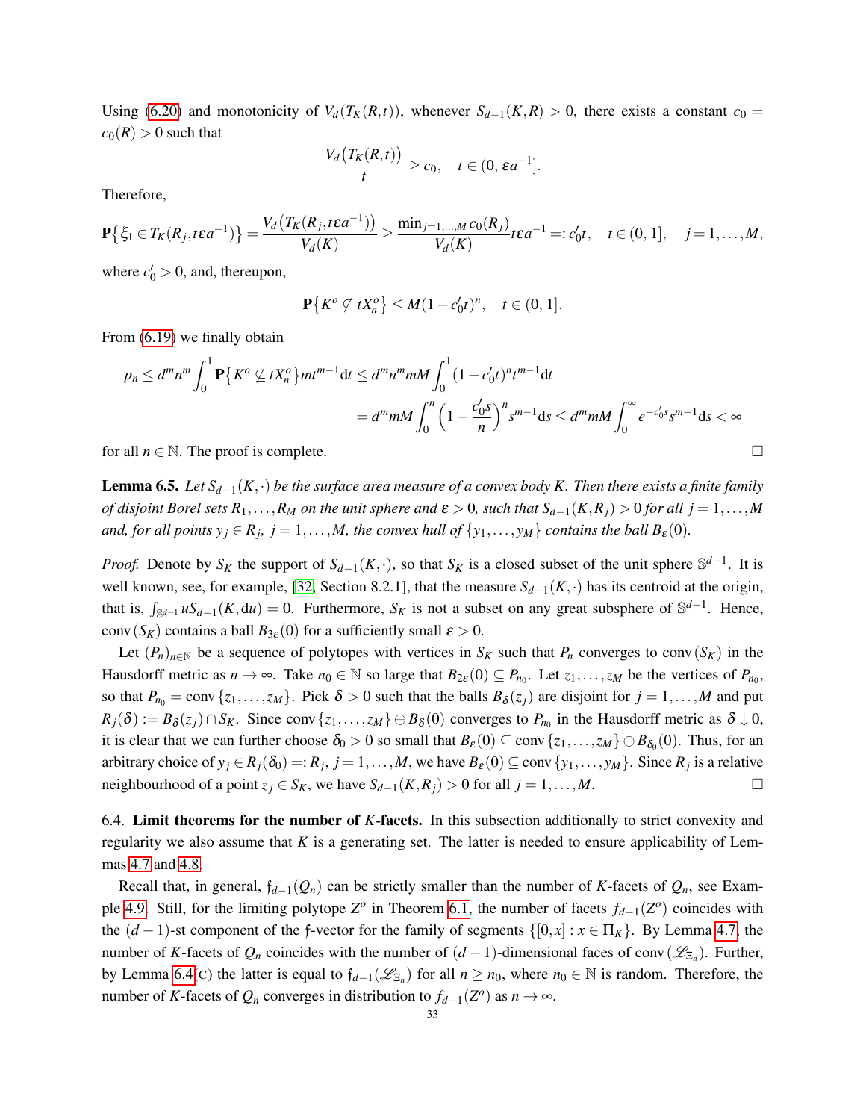Using [\(6.20\)](#page-31-0) and monotonicity of  $V_d(T_K(R,t))$ , whenever  $S_{d-1}(K,R) > 0$ , there exists a constant  $c_0 =$  $c_0(R) > 0$  such that

$$
\frac{V_d\big(T_K(R,t)\big)}{t}\geq c_0,\quad t\in(0,\varepsilon a^{-1}].
$$

Therefore,

$$
\mathbf{P}\big\{\xi_1 \in T_K(R_j, t\epsilon a^{-1})\big\} = \frac{V_d\big(T_K(R_j, t\epsilon a^{-1})\big)}{V_d(K)} \ge \frac{\min_{j=1,\dots,M} c_0(R_j)}{V_d(K)} t\epsilon a^{-1} =: c'_0t, \quad t \in (0, 1], \quad j = 1,\dots,M,
$$

where  $c'_0 > 0$ , and, thereupon,

$$
\mathbf{P}\big\{K^o \not\subseteq tX_n^o\big\} \leq M(1-c_0't)^n, \quad t \in (0,1].
$$

From [\(6.19\)](#page-30-2) we finally obtain

$$
p_n \le d^m n^m \int_0^1 \mathbf{P} \{ K^o \nsubseteq t X_n^o \} m t^{m-1} dt \le d^m n^m m M \int_0^1 (1 - c'_0 t)^n t^{m-1} dt
$$
  
=  $d^m m M \int_0^n \left( 1 - \frac{c'_0 s}{n} \right)^n s^{m-1} ds \le d^m m M \int_0^\infty e^{-c'_0 s} s^{m-1} ds < \infty$ 

for all  $n \in \mathbb{N}$ . The proof is complete.

<span id="page-32-1"></span>**Lemma 6.5.** *Let*  $S_{d-1}(K, \cdot)$  *be the surface area measure of a convex body K. Then there exists a finite family of disjoint Borel sets*  $R_1, \ldots, R_M$  *on the unit sphere and*  $\varepsilon > 0$ *, such that*  $S_{d-1}(K, R_i) > 0$  *for all j* = 1,...,*M and, for all points*  $y_j \in R_j$ ,  $j = 1, ..., M$ , the convex hull of  $\{y_1, ..., y_M\}$  contains the ball  $B_{\varepsilon}(0)$ .

*Proof.* Denote by  $S_K$  the support of  $S_{d-1}(K, \cdot)$ , so that  $S_K$  is a closed subset of the unit sphere  $\mathbb{S}^{d-1}$ . It is well known, see, for example, [\[32,](#page-39-3) Section 8.2.1], that the measure *Sd*−1(*K*,·) has its centroid at the origin, that is,  $\int_{\mathbb{S}^{d-1}} uS_{d-1}(K, du) = 0$ . Furthermore,  $S_K$  is not a subset on any great subsphere of  $\mathbb{S}^{d-1}$ . Hence, conv $(S_K)$  contains a ball  $B_{3\varepsilon}(0)$  for a sufficiently small  $\varepsilon > 0$ .

Let  $(P_n)_{n \in \mathbb{N}}$  be a sequence of polytopes with vertices in  $S_K$  such that  $P_n$  converges to conv $(S_K)$  in the Hausdorff metric as  $n \to \infty$ . Take  $n_0 \in \mathbb{N}$  so large that  $B_{2\varepsilon}(0) \subseteq P_{n_0}$ . Let  $z_1, \ldots, z_M$  be the vertices of  $P_{n_0}$ , so that  $P_{n_0} = \text{conv} \{z_1, \ldots, z_M\}$ . Pick  $\delta > 0$  such that the balls  $B_{\delta}(z_j)$  are disjoint for  $j = 1, \ldots, M$  and put  $R_j(\delta) := B_\delta(z_j) \cap S_K$ . Since conv $\{z_1, \ldots, z_M\} \ominus B_\delta(0)$  converges to  $P_{n_0}$  in the Hausdorff metric as  $\delta \downarrow 0$ , it is clear that we can further choose  $\delta_0 > 0$  so small that  $B_\varepsilon(0) \subseteq \text{conv}\{z_1,\ldots,z_M\} \oplus B_{\delta_0}(0)$ . Thus, for an arbitrary choice of  $y_j \in R_j(\delta_0) =: R_j$ ,  $j = 1, ..., M$ , we have  $B_\varepsilon(0) \subseteq \text{conv } \{y_1, ..., y_M\}$ . Since  $R_j$  is a relative neighbourhood of a point  $z_j \in S_K$ , we have  $S_{d-1}(K, R_j) > 0$  for all  $j = 1, ..., M$ .

<span id="page-32-0"></span>6.4. Limit theorems for the number of *K*-facets. In this subsection additionally to strict convexity and regularity we also assume that *K* is a generating set. The latter is needed to ensure applicability of Lemmas [4.7](#page-14-1) and [4.8.](#page-15-0)

Recall that, in general,  $f_{d-1}(Q_n)$  can be strictly smaller than the number of *K*-facets of  $Q_n$ , see Exam-ple [4.9.](#page-15-1) Still, for the limiting polytope  $Z^o$  in Theorem [6.1,](#page-22-2) the number of facets  $f_{d-1}(Z^o)$  coincides with the  $(d-1)$ -st component of the f-vector for the family of segments  $\{[0, x] : x \in \Pi_K\}$ . By Lemma [4.7,](#page-14-1) the number of *K*-facets of  $Q_n$  coincides with the number of  $(d-1)$ -dimensional faces of conv $(\mathscr{L}_{\Xi_n})$ . Further, by Lemma [6.4\(](#page-23-3)C) the latter is equal to  $f_{d-1}(\mathcal{L}_{\Sigma_n})$  for all  $n \geq n_0$ , where  $n_0 \in \mathbb{N}$  is random. Therefore, the number of *K*-facets of  $Q_n$  converges in distribution to  $f_{d-1}(Z^o)$  as  $n \to \infty$ .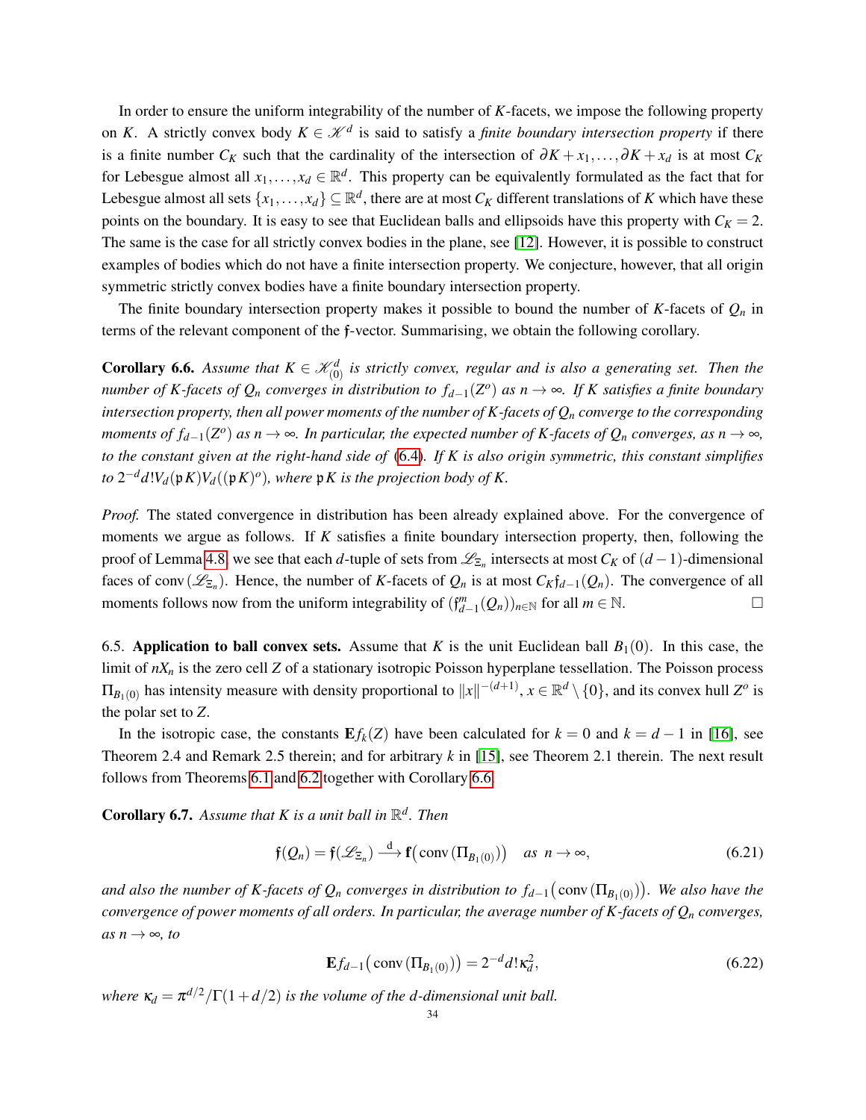In order to ensure the uniform integrability of the number of *K*-facets, we impose the following property on *K*. A strictly convex body  $K \in \mathcal{K}^d$  is said to satisfy a *finite boundary intersection property* if there is a finite number  $C_K$  such that the cardinality of the intersection of  $\partial K + x_1, \dots, \partial K + x_d$  is at most  $C_K$ for Lebesgue almost all  $x_1, \ldots, x_d \in \mathbb{R}^d$ . This property can be equivalently formulated as the fact that for Lebesgue almost all sets  $\{x_1,\ldots,x_d\}\subseteq\mathbb{R}^d,$  there are at most  $C_K$  different translations of  $K$  which have these points on the boundary. It is easy to see that Euclidean balls and ellipsoids have this property with  $C_K = 2$ . The same is the case for all strictly convex bodies in the plane, see [\[12\]](#page-38-17). However, it is possible to construct examples of bodies which do not have a finite intersection property. We conjecture, however, that all origin symmetric strictly convex bodies have a finite boundary intersection property.

The finite boundary intersection property makes it possible to bound the number of  $K$ -facets of  $Q_n$  in terms of the relevant component of the f-vector. Summarising, we obtain the following corollary.

<span id="page-33-1"></span>**Corollary 6.6.** Assume that  $K \in \mathcal{K}_{(0)}^d$  is strictly convex, regular and is also a generating set. Then the *number of K-facets of Q<sup>n</sup> converges in distribution to fd*−1(*Z o* ) *as n* → ∞*. If K satisfies a finite boundary intersection property, then all power moments of the number of K-facets of Q<sup>n</sup> converge to the corresponding moments of f*<sub>*d*−1</sub>( $Z^o$ ) *as*  $n \to \infty$ *. In particular, the expected number of K-facets of*  $Q_n$  *<i>converges, as*  $n \to \infty$ *, to the constant given at the right-hand side of* [\(6.4\)](#page-23-1)*. If K is also origin symmetric, this constant simplifies to*  $2^{-d}d!V_d(\mathfrak{p} K)V_d((\mathfrak{p} K)^o)$ , where  $\mathfrak{p} K$  is the projection body of K.

*Proof.* The stated convergence in distribution has been already explained above. For the convergence of moments we argue as follows. If *K* satisfies a finite boundary intersection property, then, following the proof of Lemma [4.8,](#page-15-0) we see that each *d*-tuple of sets from  $\mathscr{L}_{\Xi_n}$  intersects at most  $C_K$  of  $(d-1)$ -dimensional faces of conv $(\mathscr{L}_{\Xi_n})$ . Hence, the number of *K*-facets of  $Q_n$  is at most  $C_K \mathfrak{f}_{d-1}(Q_n)$ . The convergence of all moments follows now from the uniform integrability of  $(\mathfrak{f}_{d-1}^m(Q_n))_{n\in\mathbb{N}}$  for all  $m \in \mathbb{N}$ .

<span id="page-33-0"></span>6.5. Application to ball convex sets. Assume that *K* is the unit Euclidean ball  $B_1(0)$ . In this case, the limit of *nX<sup>n</sup>* is the zero cell *Z* of a stationary isotropic Poisson hyperplane tessellation. The Poisson process  $\Pi_{B_1(0)}$  has intensity measure with density proportional to  $||x||^{-(d+1)}$ ,  $x \in \mathbb{R}^d \setminus \{0\}$ , and its convex hull  $Z^o$  is the polar set to *Z*.

In the isotropic case, the constants  $E f_k(Z)$  have been calculated for  $k = 0$  and  $k = d - 1$  in [\[16\]](#page-38-2), see Theorem 2.4 and Remark 2.5 therein; and for arbitrary *k* in [\[15\]](#page-38-15), see Theorem 2.1 therein. The next result follows from Theorems [6.1](#page-22-2) and [6.2](#page-22-3) together with Corollary [6.6.](#page-33-1)

**Corollary 6.7.** Assume that K is a unit ball in  $\mathbb{R}^d$ . Then

$$
\mathfrak{f}(Q_n) = \mathfrak{f}(\mathscr{L}_{\Xi_n}) \xrightarrow{d} \mathfrak{f}(\text{conv}\left(\Pi_{B_1(0)}\right)) \quad \text{as } n \to \infty,
$$
\n(6.21)

and also the number of K-facets of  $Q_n$  converges in distribution to  $f_{d-1}(\text{conv}(\Pi_{B_1(0)}))$ . We also have the *convergence of power moments of all orders. In particular, the average number of K-facets of Q<sup>n</sup> converges,*  $as n \rightarrow \infty$ *, to* 

<span id="page-33-2"></span>
$$
\mathbf{E}f_{d-1}(\text{conv}\left(\Pi_{B_1(0)}\right)) = 2^{-d}d!\kappa_d^2,\tag{6.22}
$$

*where*  $\kappa_d = \pi^{d/2}/\Gamma(1+d/2)$  *is the volume of the d-dimensional unit ball.*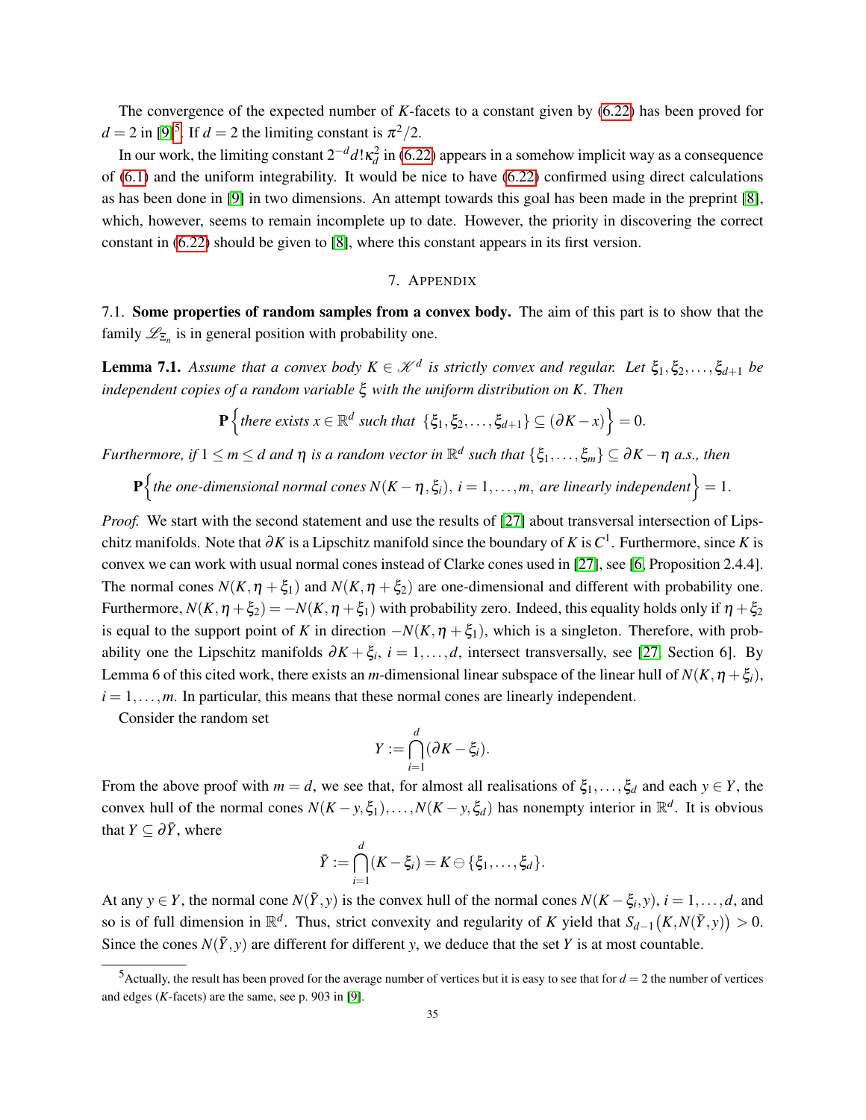The convergence of the expected number of *K*-facets to a constant given by [\(6.22\)](#page-33-2) has been proved for  $d = 2$  in [\[9\]](#page-38-4)<sup>[5](#page-34-3)</sup>. If  $d = 2$  the limiting constant is  $\pi^2/2$ .

In our work, the limiting constant  $2^{-d}d! \kappa_d^2$  in [\(6.22\)](#page-33-2) appears in a somehow implicit way as a consequence of [\(6.1\)](#page-22-4) and the uniform integrability. It would be nice to have [\(6.22\)](#page-33-2) confirmed using direct calculations as has been done in [\[9\]](#page-38-4) in two dimensions. An attempt towards this goal has been made in the preprint [\[8\]](#page-38-6), which, however, seems to remain incomplete up to date. However, the priority in discovering the correct constant in [\(6.22\)](#page-33-2) should be given to [\[8\]](#page-38-6), where this constant appears in its first version.

# 7. APPENDIX

<span id="page-34-1"></span><span id="page-34-0"></span>7.1. Some properties of random samples from a convex body. The aim of this part is to show that the family  $\mathcal{L}_{\Sigma_n}$  is in general position with probability one.

<span id="page-34-2"></span>**Lemma 7.1.** Assume that a convex body  $K \in \mathcal{K}^d$  is strictly convex and regular. Let  $\xi_1, \xi_2, \ldots, \xi_{d+1}$  be *independent copies of a random variable* ξ *with the uniform distribution on K. Then*

$$
\mathbf{P}\left\{\text{there exists } x \in \mathbb{R}^d \text{ such that } \left\{\xi_1,\xi_2,\ldots,\xi_{d+1}\right\} \subseteq \left(\partial K - x\right)\right\} = 0.
$$

 $Furthermore, if 1 \le m \le d$  and  $\eta$  *is a random vector in*  $\mathbb{R}^d$  such that  $\{\xi_1,\ldots,\xi_m\} \subseteq \partial K - \eta$  a.s., then

 $\mathbf{P}$ {the one-dimensional normal cones  $N(K - \eta, \xi_i)$ ,  $i = 1, \ldots, m$ , are linearly independent} = 1.

*Proof.* We start with the second statement and use the results of [\[27\]](#page-38-18) about transversal intersection of Lipschitz manifolds. Note that  $\partial K$  is a Lipschitz manifold since the boundary of *K* is  $C^1$ . Furthermore, since *K* is convex we can work with usual normal cones instead of Clarke cones used in [\[27\]](#page-38-18), see [\[6,](#page-37-5) Proposition 2.4.4]. The normal cones  $N(K, \eta + \xi_1)$  and  $N(K, \eta + \xi_2)$  are one-dimensional and different with probability one. Furthermore,  $N(K, \eta + \xi_2) = -N(K, \eta + \xi_1)$  with probability zero. Indeed, this equality holds only if  $\eta + \xi_2$ is equal to the support point of *K* in direction  $-N(K, \eta + \xi_1)$ , which is a singleton. Therefore, with probability one the Lipschitz manifolds  $\partial K + \xi_i$ ,  $i = 1, ..., d$ , intersect transversally, see [\[27,](#page-38-18) Section 6]. By Lemma 6 of this cited work, there exists an *m*-dimensional linear subspace of the linear hull of  $N(K, \eta + \xi_i)$ ,  $i = 1, \ldots, m$ . In particular, this means that these normal cones are linearly independent.

Consider the random set

$$
Y:=\bigcap_{i=1}^d(\partial K-\xi_i).
$$

From the above proof with  $m = d$ , we see that, for almost all realisations of  $\xi_1, \ldots, \xi_d$  and each  $y \in Y$ , the convex hull of the normal cones  $N(K - y, \xi_1), \ldots, N(K - y, \xi_d)$  has nonempty interior in  $\mathbb{R}^d$ . It is obvious that *Y*  $\subseteq \partial \overline{Y}$ , where

$$
\bar{Y} := \bigcap_{i=1}^d (K - \xi_i) = K \ominus \{\xi_1, \ldots, \xi_d\}.
$$

At any  $y \in Y$ , the normal cone  $N(\overline{Y}, y)$  is the convex hull of the normal cones  $N(K - \xi_i, y)$ ,  $i = 1, \ldots, d$ , and so is of full dimension in  $\mathbb{R}^d$ . Thus, strict convexity and regularity of *K* yield that  $S_{d-1}(K, N(\bar{Y}, y)) > 0$ . Since the cones  $N(\bar{Y}, y)$  are different for different *y*, we deduce that the set *Y* is at most countable.

<span id="page-34-3"></span> $5$ Actually, the result has been proved for the average number of vertices but it is easy to see that for  $d = 2$  the number of vertices and edges (*K*-facets) are the same, see p. 903 in [\[9\]](#page-38-4).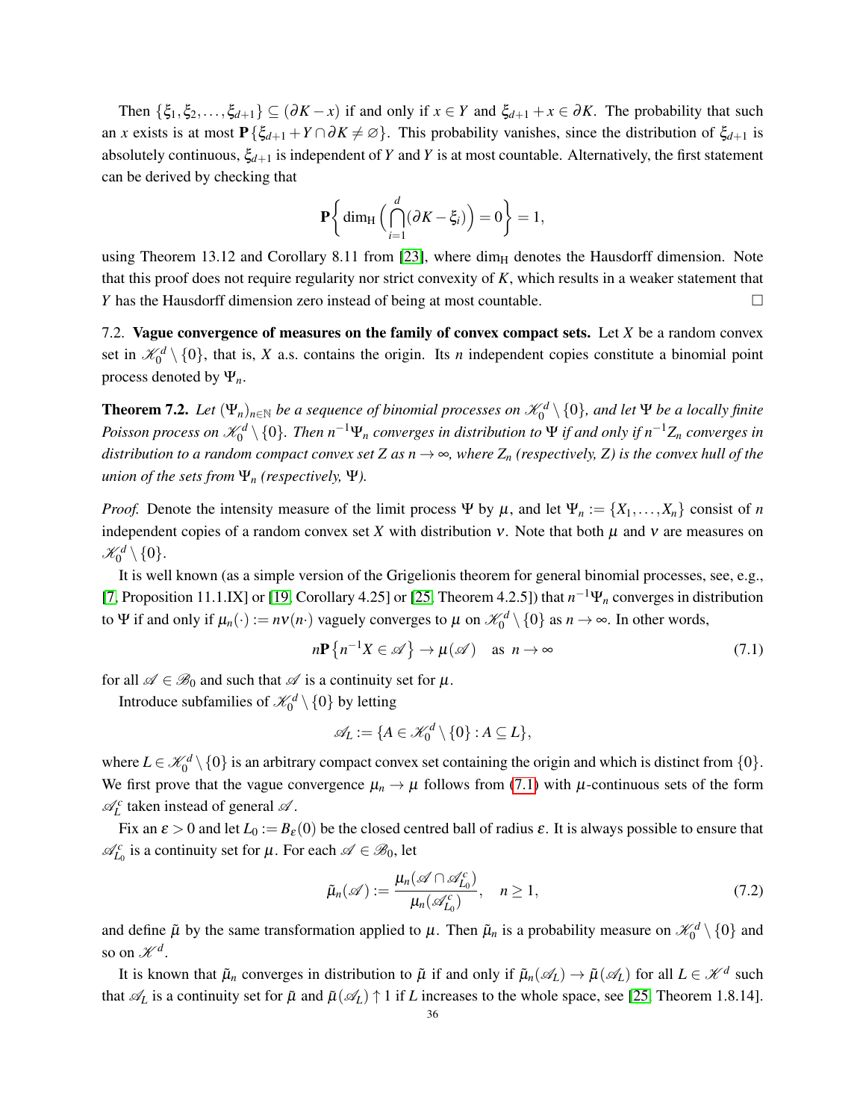Then  $\{\xi_1, \xi_2, \ldots, \xi_{d+1}\} \subseteq (\partial K - x)$  if and only if  $x \in Y$  and  $\xi_{d+1} + x \in \partial K$ . The probability that such an *x* exists is at most  $P\{\xi_{d+1} + Y \cap \partial K \neq \emptyset\}$ . This probability vanishes, since the distribution of  $\xi_{d+1}$  is absolutely continuous,  $\xi_{d+1}$  is independent of *Y* and *Y* is at most countable. Alternatively, the first statement can be derived by checking that

$$
\mathbf{P}\bigg\{\dim_{\mathrm{H}}\Big(\bigcap_{i=1}^d(\partial K-\xi_i)\Big)=0\bigg\}=1,
$$

using Theorem 13.12 and Corollary 8.11 from [\[23\]](#page-38-19), where  $\dim_H$  denotes the Hausdorff dimension. Note that this proof does not require regularity nor strict convexity of *K*, which results in a weaker statement that *Y* has the Hausdorff dimension zero instead of being at most countable.

<span id="page-35-0"></span>7.2. Vague convergence of measures on the family of convex compact sets. Let *X* be a random convex set in  $\mathcal{K}_0^d \setminus \{0\}$ , that is, *X* a.s. contains the origin. Its *n* independent copies constitute a binomial point process denoted by Ψ*n*.

<span id="page-35-1"></span>**Theorem 7.2.** Let  $(\Psi_n)_{n\in\mathbb{N}}$  be a sequence of binomial processes on  $\mathscr{K}_0^d\setminus\{0\}$ , and let  $\Psi$  be a locally finite  $Poisson$   $process$  on  $\mathscr{K}_{0}^{d}\setminus\{0\}.$  Then  $n^{-1}\Psi_{n}$  converges in distribution to  $\Psi$  if and only if  $n^{-1}Z_{n}$  converges in *distribution to a random compact convex set Z as*  $n \to \infty$ *, where*  $Z_n$  *(respectively, Z) is the convex hull of the union of the sets from* Ψ*<sup>n</sup> (respectively,* Ψ*).*

*Proof.* Denote the intensity measure of the limit process Ψ by  $\mu$ , and let  $\Psi_n := \{X_1, \ldots, X_n\}$  consist of *n* independent copies of a random convex set *X* with distribution  $v$ . Note that both  $\mu$  and  $v$  are measures on  $\mathscr{K}^d_0 \setminus \{0\}.$ 

It is well known (as a simple version of the Grigelionis theorem for general binomial processes, see, e.g., [\[7,](#page-38-20) Proposition 11.1.IX] or [\[19,](#page-38-21) Corollary 4.25] or [\[25,](#page-38-12) Theorem 4.2.5]) that *n* <sup>−</sup>1Ψ*<sup>n</sup>* converges in distribution to Ψ if and only if  $\mu_n(\cdot) := nv(n \cdot)$  vaguely converges to  $\mu$  on  $\mathcal{K}_0^d \setminus \{0\}$  as  $n \to \infty$ . In other words,

<span id="page-35-2"></span>
$$
n\mathbf{P}\left\{n^{-1}X\in\mathscr{A}\right\}\to\mu(\mathscr{A})\quad\text{as }n\to\infty\tag{7.1}
$$

for all  $\mathscr{A} \in \mathscr{B}_0$  and such that  $\mathscr{A}$  is a continuity set for  $\mu$ .

Introduce subfamilies of  $\mathcal{K}_0^d \setminus \{0\}$  by letting

$$
\mathscr{A}_L := \{ A \in \mathscr{K}_0^d \setminus \{0\} : A \subseteq L \},\
$$

where  $L \in \mathcal{K}_0^d \setminus \{0\}$  is an arbitrary compact convex set containing the origin and which is distinct from  $\{0\}$ . We first prove that the vague convergence  $\mu_n \to \mu$  follows from [\(7.1\)](#page-35-2) with  $\mu$ -continuous sets of the form  $\mathcal{A}_{L}^{c}$  taken instead of general  $\mathcal{A}$ .

Fix an  $\varepsilon > 0$  and let  $L_0 := B_{\varepsilon}(0)$  be the closed centred ball of radius  $\varepsilon$ . It is always possible to ensure that  $\mathscr{A}_{L_0}^c$  is a continuity set for  $\mu$ . For each  $\mathscr{A} \in \mathscr{B}_0$ , let

<span id="page-35-3"></span>
$$
\tilde{\mu}_n(\mathscr{A}) := \frac{\mu_n(\mathscr{A} \cap \mathscr{A}_{L_0}^c)}{\mu_n(\mathscr{A}_{L_0}^c)}, \quad n \ge 1,
$$
\n(7.2)

and define  $\tilde{\mu}$  by the same transformation applied to  $\mu$ . Then  $\tilde{\mu}_n$  is a probability measure on  $\mathcal{K}_0^d \setminus \{0\}$  and so on  $\mathscr{K}^d$ .

It is known that  $\tilde{\mu}_n$  converges in distribution to  $\tilde{\mu}$  if and only if  $\tilde{\mu}_n(\mathscr{A}_L) \to \tilde{\mu}(\mathscr{A}_L)$  for all  $L \in \mathscr{K}^d$  such that  $\mathscr{A}_L$  is a continuity set for  $\tilde{\mu}$  and  $\tilde{\mu}(\mathscr{A}_L) \uparrow 1$  if *L* increases to the whole space, see [\[25,](#page-38-12) Theorem 1.8.14].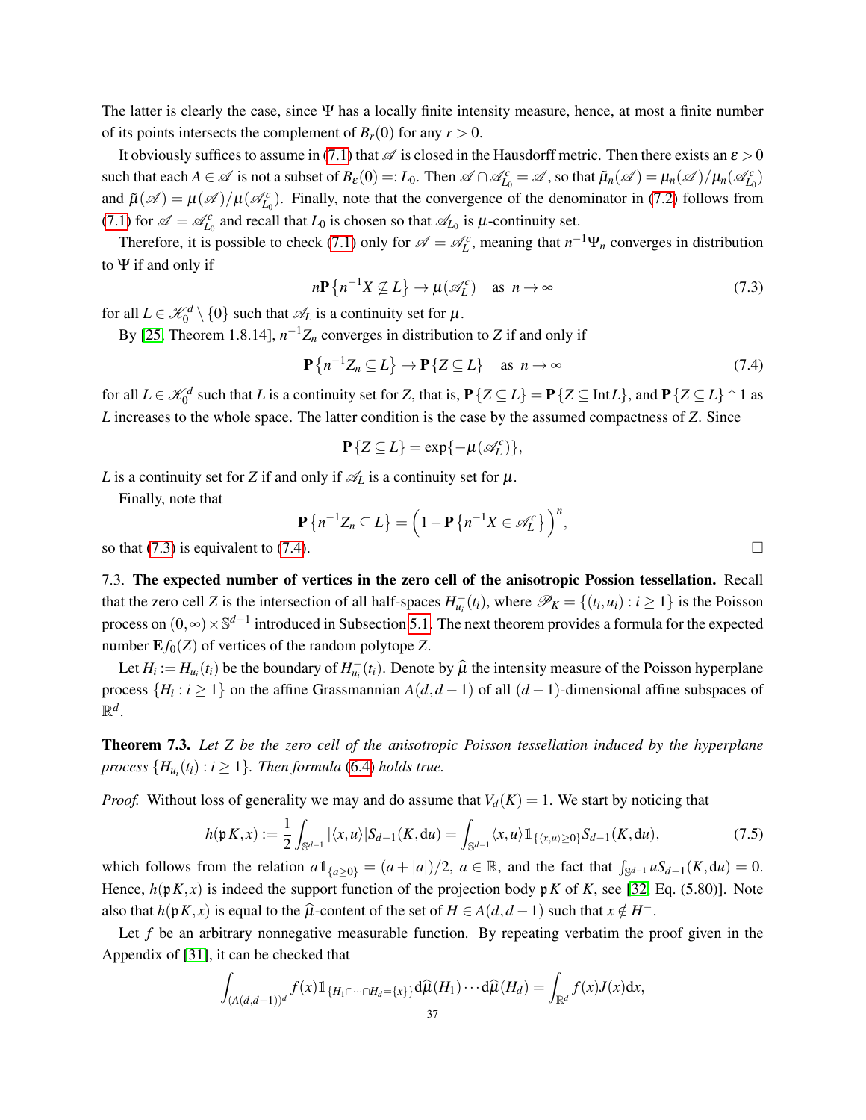The latter is clearly the case, since  $\Psi$  has a locally finite intensity measure, hence, at most a finite number of its points intersects the complement of  $B_r(0)$  for any  $r > 0$ .

It obviously suffices to assume in [\(7.1\)](#page-35-2) that  $\mathscr A$  is closed in the Hausdorff metric. Then there exists an  $\varepsilon > 0$ such that each  $A \in \mathcal{A}$  is not a subset of  $B_{\varepsilon}(0) =: L_0$ . Then  $\mathcal{A} \cap \mathcal{A}_{L_0}^c = \mathcal{A}$ , so that  $\tilde{\mu}_n(\mathcal{A}) = \mu_n(\mathcal{A}) / \mu_n(\mathcal{A}_{L_0}^c)$ and  $\tilde{\mu}(\mathscr{A}) = \mu(\mathscr{A})/\mu(\mathscr{A}_{L_0}^c)$ . Finally, note that the convergence of the denominator in [\(7.2\)](#page-35-3) follows from [\(7.1\)](#page-35-2) for  $\mathscr{A} = \mathscr{A}_{L_0}^c$  and recall that  $L_0$  is chosen so that  $\mathscr{A}_{L_0}$  is  $\mu$ -continuity set.

Therefore, it is possible to check [\(7.1\)](#page-35-2) only for  $\mathscr{A} = \mathscr{A}_L^c$ , meaning that  $n^{-1}\Psi_n$  converges in distribution to Ψ if and only if

<span id="page-36-3"></span>
$$
n\mathbf{P}\left\{n^{-1}X \not\subseteq L\right\} \to \mu(\mathscr{A}_L^c) \quad \text{as } n \to \infty \tag{7.3}
$$

for all  $L \in \mathcal{K}_0^d \setminus \{0\}$  such that  $\mathcal{A}_L$  is a continuity set for  $\mu$ .

By [\[25,](#page-38-12) Theorem 1.8.14],  $n^{-1}Z_n$  converges in distribution to *Z* if and only if

<span id="page-36-4"></span>
$$
\mathbf{P}\left\{n^{-1}Z_n \subseteq L\right\} \to \mathbf{P}\left\{Z \subseteq L\right\} \quad \text{as } n \to \infty \tag{7.4}
$$

for all  $L \in \mathcal{K}_0^d$  such that *L* is a continuity set for *Z*, that is,  $P\{Z \subseteq L\} = P\{Z \subseteq Int L\}$ , and  $P\{Z \subseteq L\} \uparrow 1$  as *L* increases to the whole space. The latter condition is the case by the assumed compactness of *Z*. Since

$$
\mathbf{P}\{Z\subseteq L\}=\exp\{-\mu(\mathscr{A}_L^c)\},\
$$

*L* is a continuity set for *Z* if and only if  $\mathcal{A}_L$  is a continuity set for  $\mu$ .

Finally, note that

$$
\mathbf{P}\left\{n^{-1}Z_n\subseteq L\right\}=\left(1-\mathbf{P}\left\{n^{-1}X\in\mathscr{A}_L^c\right\}\right)^n,
$$

so that [\(7.3\)](#page-36-3) is equivalent to [\(7.4\)](#page-36-4).

<span id="page-36-0"></span>7.3. The expected number of vertices in the zero cell of the anisotropic Possion tessellation. Recall that the zero cell *Z* is the intersection of all half-spaces  $H_{u_i}^-(t_i)$ , where  $\mathcal{P}_K = \{(t_i, u_i) : i \ge 1\}$  is the Poisson process on  $(0, ∞) \times \mathbb{S}^{d-1}$  introduced in Subsection [5.1.](#page-16-1) The next theorem provides a formula for the expected number  $E f_0(Z)$  of vertices of the random polytope *Z*.

Let  $H_i := H_{u_i}(t_i)$  be the boundary of  $H_{u_i}(t_i)$ . Denote by  $\hat{\mu}$  the intensity measure of the Poisson hyperplane process  $\{H_i : i \geq 1\}$  on the affine Grassmannian  $A(d, d - 1)$  of all  $(d - 1)$ -dimensional affine subspaces of  $\mathbb{R}^d$ .

<span id="page-36-1"></span>Theorem 7.3. *Let Z be the zero cell of the anisotropic Poisson tessellation induced by the hyperplane process*  $\{H_{u_i}(t_i): i \geq 1\}$ . *Then formula* [\(6.4\)](#page-23-1) *holds true.* 

*Proof.* Without loss of generality we may and do assume that  $V_d(K) = 1$ . We start by noticing that

<span id="page-36-2"></span>
$$
h(\mathfrak{p} K, x) := \frac{1}{2} \int_{\mathbb{S}^{d-1}} |\langle x, u \rangle| S_{d-1}(K, \mathrm{d} u) = \int_{\mathbb{S}^{d-1}} \langle x, u \rangle \mathbb{1}_{\{\langle x, u \rangle \ge 0\}} S_{d-1}(K, \mathrm{d} u), \tag{7.5}
$$

which follows from the relation  $a\mathbb{1}_{\{a\geq 0\}} = (a+|a|)/2$ ,  $a \in \mathbb{R}$ , and the fact that  $\int_{\mathbb{S}^{d-1}} uS_{d-1}(K,du) = 0$ . Hence,  $h(pK, x)$  is indeed the support function of the projection body p*K* of *K*, see [\[32,](#page-39-3) Eq. (5.80)]. Note also that  $h(\mathfrak{p} K, x)$  is equal to the  $\widehat{\mu}$ -content of the set of  $H \in A(d, d-1)$  such that  $x \notin H^-$ .

Let  $f$  be an arbitrary nonnegative measurable function. By repeating verbatim the proof given in the Appendix of [\[31\]](#page-39-2), it can be checked that

$$
\int_{(A(d,d-1))^{d}} f(x) 1\!\!1_{\{H_1 \cap \dots \cap H_d = \{x\}\}} d\widehat{\mu}(H_1) \cdots d\widehat{\mu}(H_d) = \int_{\mathbb{R}^d} f(x) J(x) dx,
$$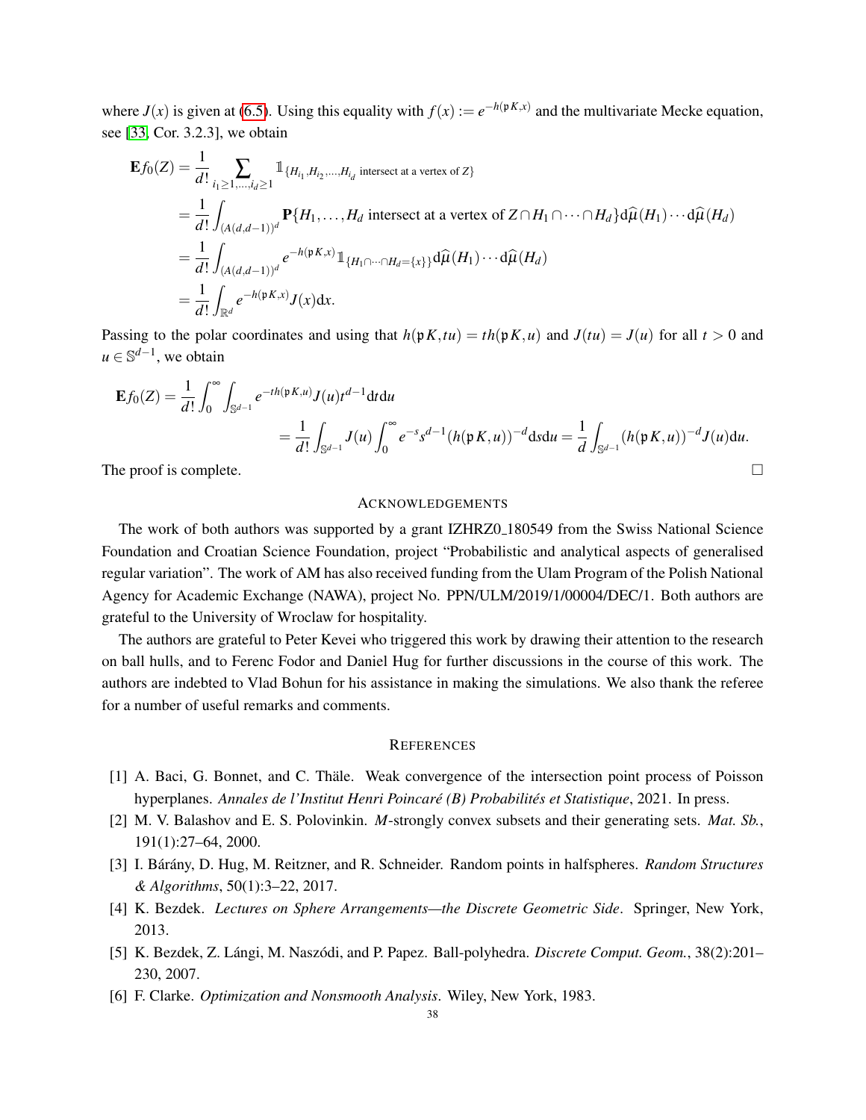where  $J(x)$  is given at [\(6.5\)](#page-23-4). Using this equality with  $f(x) := e^{-h(pK,x)}$  and the multivariate Mecke equation, see [\[33,](#page-39-0) Cor. 3.2.3], we obtain

$$
\mathbf{E}f_0(Z) = \frac{1}{d!} \sum_{i_1 \ge 1, \dots, i_d \ge 1} \mathbb{1}_{\{H_{i_1}, H_{i_2}, \dots, H_{i_d}\text{ intersect at a vertex of } Z\}}
$$
\n
$$
= \frac{1}{d!} \int_{(A(d,d-1))^d} \mathbf{P}\{H_1, \dots, H_d \text{ intersect at a vertex of } Z \cap H_1 \cap \dots \cap H_d\} d\hat{\mu}(H_1) \cdots d\hat{\mu}(H_d)
$$
\n
$$
= \frac{1}{d!} \int_{(A(d,d-1))^d} e^{-h(\mathfrak{p}K,x)} \mathbb{1}_{\{H_1 \cap \dots \cap H_d = \{x\}\}} d\hat{\mu}(H_1) \cdots d\hat{\mu}(H_d)
$$
\n
$$
= \frac{1}{d!} \int_{\mathbb{R}^d} e^{-h(\mathfrak{p}K,x)} J(x) dx.
$$

Passing to the polar coordinates and using that  $h(pK, tu) = th(pK, u)$  and  $J(tu) = J(u)$  for all  $t > 0$  and  $u \in \mathbb{S}^{d-1}$ , we obtain

$$
\mathbf{E}f_0(Z) = \frac{1}{d!} \int_0^{\infty} \int_{\mathbb{S}^{d-1}} e^{-th(\mathfrak{p}K,u)} J(u) t^{d-1} dt du
$$
  
= 
$$
\frac{1}{d!} \int_{\mathbb{S}^{d-1}} J(u) \int_0^{\infty} e^{-s} s^{d-1} (h(\mathfrak{p}K, u))^{-d} ds du = \frac{1}{d} \int_{\mathbb{S}^{d-1}} (h(\mathfrak{p}K, u))^{-d} J(u) du.
$$

The proof is complete.  $\Box$ 

#### ACKNOWLEDGEMENTS

The work of both authors was supported by a grant IZHRZ0 180549 from the Swiss National Science Foundation and Croatian Science Foundation, project "Probabilistic and analytical aspects of generalised regular variation". The work of AM has also received funding from the Ulam Program of the Polish National Agency for Academic Exchange (NAWA), project No. PPN/ULM/2019/1/00004/DEC/1. Both authors are grateful to the University of Wroclaw for hospitality.

The authors are grateful to Peter Kevei who triggered this work by drawing their attention to the research on ball hulls, and to Ferenc Fodor and Daniel Hug for further discussions in the course of this work. The authors are indebted to Vlad Bohun for his assistance in making the simulations. We also thank the referee for a number of useful remarks and comments.

### **REFERENCES**

- <span id="page-37-1"></span>[1] A. Baci, G. Bonnet, and C. Thäle. Weak convergence of the intersection point process of Poisson hyperplanes. *Annales de l'Institut Henri Poincaré (B) Probabilités et Statistique, 2021. In press.*
- <span id="page-37-4"></span>[2] M. V. Balashov and E. S. Polovinkin. *M*-strongly convex subsets and their generating sets. *Mat. Sb.*, 191(1):27–64, 2000.
- <span id="page-37-0"></span>[3] I. Bárány, D. Hug, M. Reitzner, and R. Schneider. Random points in halfspheres. *Random Structures & Algorithms*, 50(1):3–22, 2017.
- <span id="page-37-2"></span>[4] K. Bezdek. *Lectures on Sphere Arrangements—the Discrete Geometric Side*. Springer, New York, 2013.
- <span id="page-37-3"></span>[5] K. Bezdek, Z. Lángi, M. Naszódi, and P. Papez. Ball-polyhedra. *Discrete Comput. Geom.*, 38(2):201– 230, 2007.
- <span id="page-37-5"></span>[6] F. Clarke. *Optimization and Nonsmooth Analysis*. Wiley, New York, 1983.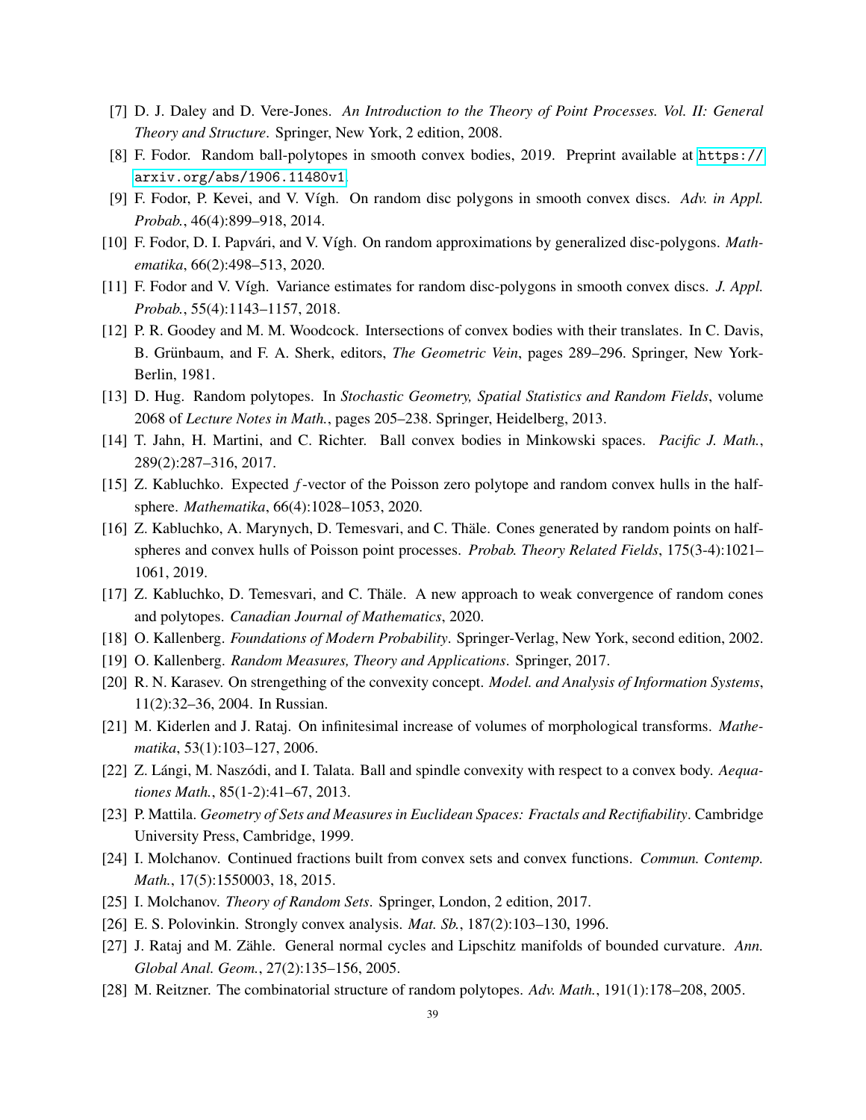- <span id="page-38-20"></span>[7] D. J. Daley and D. Vere-Jones. *An Introduction to the Theory of Point Processes. Vol. II: General Theory and Structure*. Springer, New York, 2 edition, 2008.
- <span id="page-38-6"></span>[8] F. Fodor. Random ball-polytopes in smooth convex bodies, 2019. Preprint available at [https://](https://arxiv.org/abs/1906.11480v1) [arxiv.org/abs/1906.11480v1](https://arxiv.org/abs/1906.11480v1).
- <span id="page-38-4"></span>[9] F. Fodor, P. Kevei, and V. Vígh. On random disc polygons in smooth convex discs. *Adv. in Appl. Probab.*, 46(4):899–918, 2014.
- <span id="page-38-10"></span>[10] F. Fodor, D. I. Papvári, and V. Vígh. On random approximations by generalized disc-polygons. *Mathematika*, 66(2):498–513, 2020.
- <span id="page-38-5"></span>[11] F. Fodor and V. V´ıgh. Variance estimates for random disc-polygons in smooth convex discs. *J. Appl. Probab.*, 55(4):1143–1157, 2018.
- <span id="page-38-17"></span>[12] P. R. Goodey and M. M. Woodcock. Intersections of convex bodies with their translates. In C. Davis, B. Grünbaum, and F. A. Sherk, editors, *The Geometric Vein*, pages 289–296. Springer, New York-Berlin, 1981.
- <span id="page-38-0"></span>[13] D. Hug. Random polytopes. In *Stochastic Geometry, Spatial Statistics and Random Fields*, volume 2068 of *Lecture Notes in Math.*, pages 205–238. Springer, Heidelberg, 2013.
- <span id="page-38-8"></span>[14] T. Jahn, H. Martini, and C. Richter. Ball convex bodies in Minkowski spaces. *Pacific J. Math.*, 289(2):287–316, 2017.
- <span id="page-38-15"></span>[15] Z. Kabluchko. Expected *f*-vector of the Poisson zero polytope and random convex hulls in the halfsphere. *Mathematika*, 66(4):1028–1053, 2020.
- <span id="page-38-2"></span>[16] Z. Kabluchko, A. Marynych, D. Temesvari, and C. Thale. Cones generated by random points on half- ¨ spheres and convex hulls of Poisson point processes. *Probab. Theory Related Fields*, 175(3-4):1021– 1061, 2019.
- <span id="page-38-3"></span>[17] Z. Kabluchko, D. Temesvari, and C. Thäle. A new approach to weak convergence of random cones and polytopes. *Canadian Journal of Mathematics*, 2020.
- <span id="page-38-16"></span>[18] O. Kallenberg. *Foundations of Modern Probability*. Springer-Verlag, New York, second edition, 2002.
- <span id="page-38-21"></span>[19] O. Kallenberg. *Random Measures, Theory and Applications*. Springer, 2017.
- <span id="page-38-11"></span>[20] R. N. Karasev. On strengething of the convexity concept. *Model. and Analysis of Information Systems*, 11(2):32–36, 2004. In Russian.
- <span id="page-38-13"></span>[21] M. Kiderlen and J. Rataj. On infinitesimal increase of volumes of morphological transforms. *Mathematika*, 53(1):103–127, 2006.
- <span id="page-38-9"></span>[22] Z. Lángi, M. Naszódi, and I. Talata. Ball and spindle convexity with respect to a convex body. *Aequationes Math.*, 85(1-2):41–67, 2013.
- <span id="page-38-19"></span>[23] P. Mattila. *Geometry of Sets and Measures in Euclidean Spaces: Fractals and Rectifiability*. Cambridge University Press, Cambridge, 1999.
- <span id="page-38-14"></span>[24] I. Molchanov. Continued fractions built from convex sets and convex functions. *Commun. Contemp. Math.*, 17(5):1550003, 18, 2015.
- <span id="page-38-12"></span><span id="page-38-7"></span>[25] I. Molchanov. *Theory of Random Sets*. Springer, London, 2 edition, 2017.
- [26] E. S. Polovinkin. Strongly convex analysis. *Mat. Sb.*, 187(2):103–130, 1996.
- <span id="page-38-18"></span>[27] J. Rataj and M. Zähle. General normal cycles and Lipschitz manifolds of bounded curvature. Ann. *Global Anal. Geom.*, 27(2):135–156, 2005.
- <span id="page-38-1"></span>[28] M. Reitzner. The combinatorial structure of random polytopes. *Adv. Math.*, 191(1):178–208, 2005.